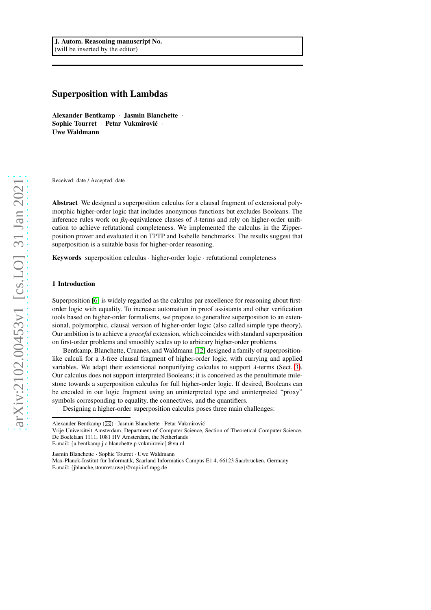# Superposition with Lambdas

Alexander Bentkamp · Jasmin Blanchette · Sophie Tourret · Petar Vukmirović · Uwe Waldmann

Received: date / Accepted: date

Abstract We designed a superposition calculus for a clausal fragment of extensional polymorphic higher-order logic that includes anonymous functions but excludes Booleans. The inference rules work on  $\beta n$ -equivalence classes of  $\lambda$ -terms and rely on higher-order unification to achieve refutational completeness. We implemented the calculus in the Zipperposition prover and evaluated it on TPTP and Isabelle benchmarks. The results suggest that superposition is a suitable basis for higher-order reasoning.

Keywords superposition calculus · higher-order logic · refutational completeness

#### 1 Introduction

Superposition [\[6\]](#page-42-0) is widely regarded as the calculus par excellence for reasoning about firstorder logic with equality. To increase automation in proof assistants and other verification tools based on higher-order formalisms, we propose to generalize superposition to an extensional, polymorphic, clausal version of higher-order logic (also called simple type theory). Our ambition is to achieve a *graceful* extension, which coincides with standard superposition on first-order problems and smoothly scales up to arbitrary higher-order problems.

Bentkamp, Blanchette, Cruanes, and Waldmann [\[12\]](#page-42-1) designed a family of superpositionlike calculi for a  $\lambda$ -free clausal fragment of higher-order logic, with currying and applied variables. We adapt their extensional nonpurifying calculus to support  $\lambda$ -terms (Sect. [3\)](#page-4-0). Our calculus does not support interpreted Booleans; it is conceived as the penultimate milestone towards a superposition calculus for full higher-order logic. If desired, Booleans can be encoded in our logic fragment using an uninterpreted type and uninterpreted "proxy" symbols corresponding to equality, the connectives, and the quantifiers.

Designing a higher-order superposition calculus poses three main challenges:

Jasmin Blanchette · Sophie Tourret · Uwe Waldmann

Alexander Bentkamp ( $\boxtimes$ ) · Jasmin Blanchette · Petar Vukmirović

Vrije Universiteit Amsterdam, Department of Computer Science, Section of Theoretical Computer Science, De Boelelaan 1111, 1081 HV Amsterdam, the Netherlands E-mail: {a.bentkamp,j.c.blanchette,p.vukmirovic}@vu.nl

Max-Planck-Institut für Informatik, Saarland Informatics Campus E1 4, 66123 Saarbrücken, Germany E-mail: {jblanche,stourret,uwe}@mpi-inf.mpg.de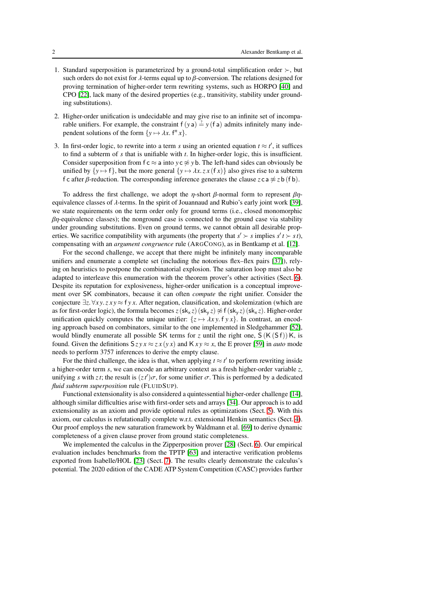- 1. Standard superposition is parameterized by a ground-total simplification order ≻, but such orders do not exist for  $\lambda$ -terms equal up to  $\beta$ -conversion. The relations designed for proving termination of higher-order term rewriting systems, such as HORPO [\[40\]](#page-43-0) and CPO [\[22\]](#page-42-2), lack many of the desired properties (e.g., transitivity, stability under grounding substitutions).
- 2. Higher-order unification is undecidable and may give rise to an infinite set of incomparable unifiers. For example, the constraint  $f(ya) = y(fa)$  admits infinitely many independent solutions of the form  $\{y \mapsto \lambda x$ .  $f^n x\}.$
- 3. In first-order logic, to rewrite into a term *s* using an oriented equation  $t \approx t'$ , it suffices to find a subterm of *s* that is unifiable with *t*. In higher-order logic, this is insufficient. Consider superposition from  $f c \approx a$  into  $y c \not\approx y b$ . The left-hand sides can obviously be unified by  $\{y \mapsto f\}$ , but the more general  $\{y \mapsto \lambda x. z x (f x)\}$  also gives rise to a subterm f c after *β*-reduction. The corresponding inference generates the clause  $z \text{ c a} \approx z \text{ b (f b)}$ .

To address the first challenge, we adopt the *η*-short  $\beta$ -normal form to represent  $\beta$ *η*equivalence classes of λ-terms. In the spirit of Jouannaud and Rubio's early joint work [\[39\]](#page-43-1), we state requirements on the term order only for ground terms (i.e., closed monomorphic  $\beta$ η-equivalence classes); the nonground case is connected to the ground case via stability under grounding substitutions. Even on ground terms, we cannot obtain all desirable properties. We sacrifice compatibility with arguments (the property that  $s' \succ s$  implies  $s' t \succ s t$ ), compensating with an *argument congruence* rule (ARGCONG), as in Bentkamp et al. [\[12\]](#page-42-1).

For the second challenge, we accept that there might be infinitely many incomparable unifiers and enumerate a complete set (including the notorious flex–flex pairs [\[37\]](#page-43-2)), relying on heuristics to postpone the combinatorial explosion. The saturation loop must also be adapted to interleave this enumeration with the theorem prover's other activities (Sect. [6\)](#page-36-0). Despite its reputation for explosiveness, higher-order unification is a conceptual improvement over SK combinators, because it can often *compute* the right unifier. Consider the conjecture ∃*z*. ∀*x y*.*z x y* ≈ f *y x*. After negation, clausification, and skolemization (which are as for first-order logic), the formula becomes  $z$ (sk<sub>x</sub> *z*) (sk<sub>y</sub> *z*)  $\not\approx$  f(sk<sub>y</sub> *z*) (sk<sub>x</sub> *z*). Higher-order unification quickly computes the unique unifier:  $\{z \mapsto \lambda xy$ .  $f y x\}$ . In contrast, an encoding approach based on combinators, similar to the one implemented in Sledgehammer [\[52\]](#page-43-3), would blindly enumerate all possible SK terms for *z* until the right one,  $S(K(Sf))K$ , is found. Given the definitions  $Szyx \approx zx(yx)$  and  $Kxy \approx x$ , the E prover [\[59\]](#page-44-0) in *auto* mode needs to perform 3757 inferences to derive the empty clause.

For the third challenge, the idea is that, when applying  $t \approx t'$  to perform rewriting inside a higher-order term *s*, we can encode an arbitrary context as a fresh higher-order variable *z*, unifying *s* with *zt*; the result is  $(zt')\sigma$ , for some unifier  $\sigma$ . This is performed by a dedicated *fluid subterm superposition* rule (FLUIDSUP).

Functional extensionality is also considered a quintessential higher-order challenge [\[14\]](#page-42-3), although similar difficulties arise with first-order sets and arrays [\[34\]](#page-43-4). Our approach is to add extensionality as an axiom and provide optional rules as optimizations (Sect. [5\)](#page-31-0). With this axiom, our calculus is refutationally complete w.r.t. extensional Henkin semantics (Sect. [4\)](#page-16-0). Our proof employs the new saturation framework by Waldmann et al. [\[69\]](#page-44-1) to derive dynamic completeness of a given clause prover from ground static completeness.

We implemented the calculus in the Zipperposition prover [\[28\]](#page-43-5) (Sect. [6\)](#page-36-0). Our empirical evaluation includes benchmarks from the TPTP [\[63\]](#page-44-2) and interactive verification problems exported from Isabelle/HOL [\[23\]](#page-42-4) (Sect. [7\)](#page-37-0). The results clearly demonstrate the calculus's potential. The 2020 edition of the CADE ATP System Competition (CASC) provides further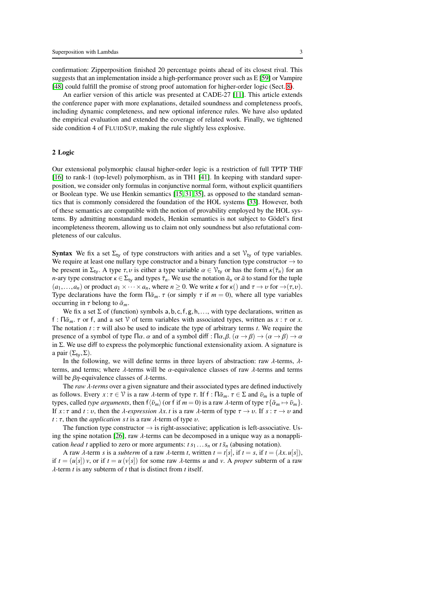confirmation: Zipperposition finished 20 percentage points ahead of its closest rival. This suggests that an implementation inside a high-performance prover such as E [\[59\]](#page-44-0) or Vampire [\[48\]](#page-43-6) could fulfill the promise of strong proof automation for higher-order logic (Sect. [8\)](#page-40-0).

An earlier version of this article was presented at CADE-27 [\[11\]](#page-42-5). This article extends the conference paper with more explanations, detailed soundness and completeness proofs, including dynamic completeness, and new optional inference rules. We have also updated the empirical evaluation and extended the coverage of related work. Finally, we tightened side condition 4 of FLUIDSUP, making the rule slightly less explosive.

#### 2 Logic

Our extensional polymorphic clausal higher-order logic is a restriction of full TPTP THF [\[16\]](#page-42-6) to rank-1 (top-level) polymorphism, as in TH1 [\[41\]](#page-43-7). In keeping with standard superposition, we consider only formulas in conjunctive normal form, without explicit quantifiers or Boolean type. We use Henkin semantics [\[15,](#page-42-7) [31,](#page-43-8) [35\]](#page-43-9), as opposed to the standard semantics that is commonly considered the foundation of the HOL systems [\[33\]](#page-43-10). However, both of these semantics are compatible with the notion of provability employed by the HOL systems. By admitting nonstandard models, Henkin semantics is not subject to Gödel's first incompleteness theorem, allowing us to claim not only soundness but also refutational completeness of our calculus.

**Syntax** We fix a set  $\Sigma_{\text{tv}}$  of type constructors with arities and a set  $V_{\text{tv}}$  of type variables. We require at least one nullary type constructor and a binary function type constructor  $\rightarrow$  to be present in  $\Sigma_{\tau v}$ . A type  $\tau, v$  is either a type variable  $\alpha \in \mathcal{V}_{\tau v}$  or has the form  $\kappa(\bar{\tau}_n)$  for an *n*-ary type constructor  $\kappa \in \Sigma_{\text{tv}}$  and types  $\bar{\tau}_n$ . We use the notation  $\bar{a}_n$  or  $\bar{a}$  to stand for the tuple  $(a_1,...,a_n)$  or product  $a_1 \times \cdots \times a_n$ , where  $n \ge 0$ . We write  $\kappa$  for  $\kappa()$  and  $\tau \to \nu$  for  $\to (\tau, \nu)$ . Type declarations have the form  $\Pi \bar{\alpha}_m$ .  $\tau$  (or simply  $\tau$  if  $m = 0$ ), where all type variables occurring in  $\tau$  belong to  $\bar{\alpha}_m$ .

We fix a set  $\Sigma$  of (function) symbols a, b, c, f, g, h, ..., with type declarations, written as f :  $\Pi \bar{\alpha}_m$ .  $\tau$  or f, and a set V of term variables with associated types, written as  $x : \tau$  or  $x$ . The notation *t* : τ will also be used to indicate the type of arbitrary terms *t*. We require the presence of a symbol of type Πα. α and of a symbol diff : Πα,  $\beta$ .  $(\alpha \rightarrow \beta) \rightarrow (\alpha \rightarrow \beta) \rightarrow \alpha$ in  $\Sigma$ . We use diff to express the polymorphic functional extensionality axiom. A signature is a pair  $(\Sigma_{\text{tv}}, \Sigma)$ .

In the following, we will define terms in three layers of abstraction: raw  $\lambda$ -terms,  $\lambda$ terms, and terms; where  $\lambda$ -terms will be  $\alpha$ -equivalence classes of raw  $\lambda$ -terms and terms will be  $\beta$ η-equivalence classes of  $\lambda$ -terms.

The *raw* λ*-terms* over a given signature and their associated types are defined inductively as follows. Every  $x : \tau \in V$  is a raw  $\lambda$ -term of type  $\tau$ . If  $f : \Pi \bar{\alpha}_m$ .  $\tau \in \Sigma$  and  $\bar{\nu}_m$  is a tuple of types, called *type arguments*, then  $f\langle \bar{v}_m \rangle$  (or f if  $m = 0$ ) is a raw  $\lambda$ -term of type  $\tau \{\bar{\alpha}_m \mapsto \bar{v}_m\}$ . If  $x : \tau$  and  $t : \nu$ , then the *λ-expression*  $\lambda x. t$  is a raw *λ*-term of type  $\tau \to \nu$ . If  $s : \tau \to \nu$  and *t* : τ, then the *application s t* is a raw λ-term of type υ.

The function type constructor  $\rightarrow$  is right-associative; application is left-associative. Us-ing the spine notation [\[26\]](#page-42-8), raw  $\lambda$ -terms can be decomposed in a unique way as a nonapplication *head t* applied to zero or more arguments:  $t s_1 \tcdot \tcdot s_n$  or  $t \bar{s}_n$  (abusing notation).

A raw  $\lambda$ -term *s* is a *subterm* of a raw  $\lambda$ -term *t*, written  $t = t[s]$ , if  $t = s$ , if  $t = (\lambda x. u[s])$ , if  $t = (u[s]) v$ , or if  $t = u(v[s])$  for some raw  $\lambda$ -terms *u* and *v*. A *proper* subterm of a raw λ-term *t* is any subterm of *t* that is distinct from *t* itself.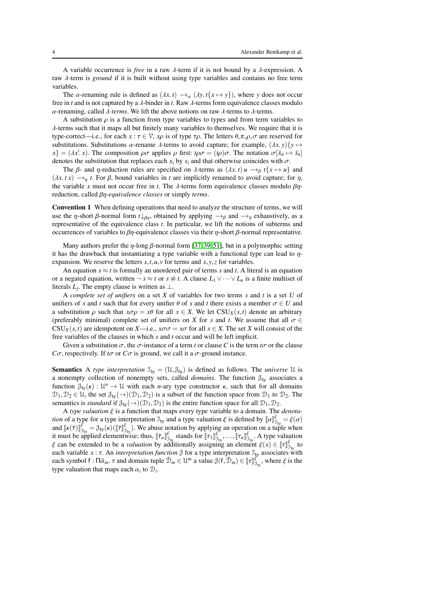A variable occurrence is *free* in a raw  $\lambda$ -term if it is not bound by a  $\lambda$ -expression. A raw λ-term is *ground* if it is built without using type variables and contains no free term variables.

The  $\alpha$ -renaming rule is defined as  $(\lambda x. t) \rightarrow_{\alpha} (\lambda y. t \{x \mapsto y\})$ , where *y* does not occur free in *t* and is not captured by a λ-binder in *t*. Raw λ-terms form equivalence classes modulo α-renaming, called λ*-terms*. We lift the above notions on raw λ-terms to λ-terms.

A substitution  $\rho$  is a function from type variables to types and from term variables to  $\lambda$ -terms such that it maps all but finitely many variables to themselves. We require that it is type-correct—i.e., for each  $x : \tau \in \mathcal{V}$ ,  $x\rho$  is of type  $\tau \rho$ . The letters  $\theta, \pi, \rho, \sigma$  are reserved for substitutions. Substitutions  $\alpha$ -rename  $\lambda$ -terms to avoid capture; for example,  $(\lambda x, y)$  $\{y \mapsto$  $\{x\} = (\lambda x'.x)$ . The composition  $\rho\sigma$  applies  $\rho$  first:  $t\rho\sigma = (t\rho)\sigma$ . The notation  $\sigma[\bar{x}_n \mapsto \bar{s}_n]$ denotes the substitution that replaces each  $x_i$  by  $s_i$  and that otherwise coincides with  $\sigma$ .

The  $\beta$ - and  $\eta$ -reduction rules are specified on  $\lambda$ -terms as  $(\lambda x. t) u \rightarrow_\beta t \{x \mapsto u\}$  and  $(\lambda x. t x) \rightarrow_n t$ . For  $\beta$ , bound variables in *t* are implicitly renamed to avoid capture; for  $\eta$ , the variable *x* must not occur free in *t*. The  $\lambda$ -terms form equivalence classes modulo  $\beta\eta$ reduction, called βη*-equivalence classes* or simply *terms*.

<span id="page-3-0"></span>Convention 1 When defining operations that need to analyze the structure of terms, we will use the *η*-short *β*-normal form  $t\downarrow_{\beta\eta}$ , obtained by applying  $\rightarrow_{\beta}$  and  $\rightarrow_{\eta}$  exhaustively, as a representative of the equivalence class *t*. In particular, we lift the notions of subterms and occurrences of variables to  $βη$ -equivalence classes via their  $η$ -short  $β$ -normal representative.

Many authors prefer the  $\eta$ -long  $\beta$ -normal form [\[37,](#page-43-2) [39,](#page-43-1) [51\]](#page-43-11), but in a polymorphic setting it has the drawback that instantiating a type variable with a functional type can lead to  $\eta$ expansion. We reserve the letters *s*,*t*,*u*, *v* for terms and *x*, *y*,*z* for variables.

An equation  $s \approx t$  is formally an unordered pair of terms *s* and *t*. A literal is an equation or a negated equation, written  $\neg s \approx t$  or  $s \not\approx t$ . A clause  $L_1 \vee \cdots \vee L_n$  is a finite multiset of literals  $L_j$ . The empty clause is written as  $\perp$ .

A *complete set of unifiers* on a set *X* of variables for two terms *s* and *t* is a set *U* of unifiers of *s* and *t* such that for every unifier  $\theta$  of *s* and *t* there exists a member  $\sigma \in U$  and a substitution  $\rho$  such that  $x \sigma \rho = x \theta$  for all  $x \in X$ . We let  $CSU_X(s,t)$  denote an arbitrary (preferably minimal) complete set of unifiers on *X* for *s* and *t*. We assume that all  $\sigma \in$  $CSU_X(s,t)$  are idempotent on *X*—i.e.,  $x\sigma\sigma = x\sigma$  for all  $x \in X$ . The set *X* will consist of the free variables of the clauses in which *s* and *t* occur and will be left implicit.

Given a substitution  $\sigma$ , the  $\sigma$ -instance of a term *t* or clause *C* is the term  $t\sigma$  or the clause *C* $\sigma$ , respectively. If *t* $\sigma$  or *C* $\sigma$  is ground, we call it a  $\sigma$ -ground instance.

**Semantics** A *type interpretation*  $\mathcal{I}_{ty} = (\mathcal{U}, \mathcal{J}_{ty})$  is defined as follows. The *universe* U is a nonempty collection of nonempty sets, called *domains*. The function  $\mathcal{J}_{tv}$  associates a function  $\mathcal{J}_{ty}(\kappa) : \mathcal{U}^n \to \mathcal{U}$  with each *n*-ary type constructor  $\kappa$ , such that for all domains  $\mathcal{D}_1, \mathcal{D}_2 \in \mathcal{U}$ , the set  $\mathcal{J}_{ty}(\rightarrow)(\mathcal{D}_1, \mathcal{D}_2)$  is a subset of the function space from  $\mathcal{D}_1$  to  $\mathcal{D}_2$ . The semantics is *standard* if  $\mathcal{J}_{\text{tv}}(\rightarrow)(\mathcal{D}_1, \mathcal{D}_2)$  is the entire function space for all  $\mathcal{D}_1, \mathcal{D}_2$ .

A *type valuation* ξ is a function that maps every type variable to a domain. The *denotation* of a type for a type interpretation  $\mathcal{I}_{ty}$  and a type valuation  $\xi$  is defined by  $[\![\alpha]\!]_{\mathcal{I}_{1,y}}^{\xi} = \xi(\alpha)$ *Ition* of a type is a type interpretation  $J_{ty}$  and a type valuation  $\xi$  is defined by  $\|\alpha\|_{\mathcal{J}_{ty}} = \xi(\alpha)$ <br>and  $\llbracket \kappa(\bar{\tau}) \rrbracket_{\mathcal{J}_{ty}}^{\xi} = \mathcal{J}_{ty}(\kappa) (\llbracket \bar{\tau} \rrbracket_{\mathcal{J}_{ty}}^{\xi})$ . We abuse notation by applying an it must be applied elementwise; thus,  $[\![\bar{\tau}_n]\!]_{\mathfrak{I}_{\text{ty}}}^{\xi}$  stands for  $[\![\tau_1]\!]_{\mathfrak{I}_{\text{ty}}}^{\xi}$ ,...,  $[\![\tau_n]\!]_{\mathfrak{I}_{\text{ty}}}^{\xi}$ . A type valuation  $\xi$  can be extended to be a *valuation* by additionally assigning an element  $\xi(x) \in [\![\tau]\!]_{\mathfrak{I}_{\mathrm{ty}}}^{\xi}$  to each variable  $x : \tau$ . An *interpretation function*  $\mathcal{J}$  for a type interpretation  $\mathcal{J}_{ty}$  associates with each symbol  $f : \Pi \bar{\alpha}_m$ .  $\tau$  and domain tuple  $\bar{\mathcal{D}}_m \in \mathcal{U}^m$  a value  $\mathcal{J}(f, \bar{\mathcal{D}}_m) \in [\![\tau]\!]_{\mathcal{I}_{\mathcal{U}}}^{\xi'}$ , where  $\xi$  is the type valuation that maps each  $\alpha_i$  to  $\mathcal{D}_i$ .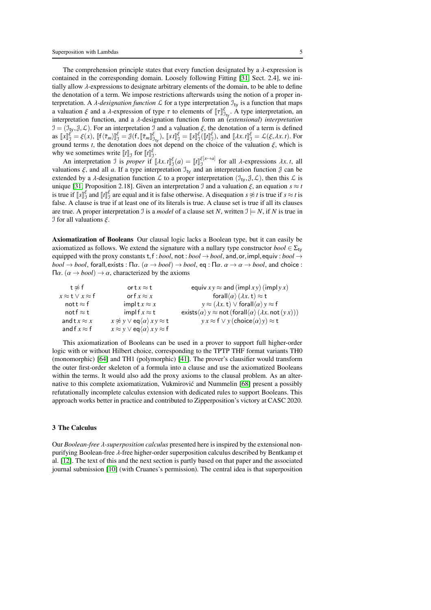The comprehension principle states that every function designated by a  $\lambda$ -expression is contained in the corresponding domain. Loosely following Fitting [\[31,](#page-43-8) Sect. 2.4], we initially allow  $\lambda$ -expressions to designate arbitrary elements of the domain, to be able to define the denotation of a term. We impose restrictions afterwards using the notion of a proper interpretation. A *λ*-designation function  $\mathcal L$  for a type interpretation  $\mathcal I_{\text{tv}}$  is a function that maps a valuation  $\xi$  and a  $\lambda$ -expression of type  $\tau$  to elements of  $[\![\tau]\!]_{\mathcal{I}_{\tau_v}}^{\xi}$ . A type interpretation, an interpretation function, and a λ-designation function form an (*extensional*) *interpretation*  $\mathcal{I} = (\mathcal{I}_{\mathbf{y}}, \mathcal{J}, \mathcal{L})$ . For an interpretation  $\mathcal{I}$  and a valuation  $\xi$ , the denotation of a term is defined as  $\llbracket x \rrbracket_{\mathcal{I}}^{\xi} = \xi(x)$ ,  $\llbracket f(\bar{\tau}_m) \rrbracket_{\mathcal{I}}^{\xi} = \mathcal{J}(f, \llbracket \bar{\tau}_m \rrbracket_{\mathcal{I}_V}^{\xi})$ ,  $\llbracket s \rrbracket_{\mathcal{I}}^{\xi} = \llbracket s \rrbracket_{\mathcal{I}}^{\xi}(\llbracket t \rrbracket_{\mathcal{I}}^{\xi})$ , and  $\llbracket \lambda x. t \rrbracket_{\mathcal{I}}^{\xi} = \mathcal{L}(\xi, \lambda x. t)$ . For ground terms *t*, the denotation does not depend on the choice of the valuation  $\xi$ , which is why we sometimes write  $[[t]]_J$  for  $[[t]]_J^{\xi}$ .

An interpretation J is *proper* if  $[\![\lambda x. t]\!]_J^{\xi}(a) = [\![t]\!]_J^{\xi[x \to a]}$  for all  $\lambda$ -expressions  $\lambda x. t$ , all valuations  $\xi$ , and all *a*. If a type interpretation  $\mathfrak{I}_{\text{tv}}$  and an interpretation function  $\mathfrak{J}$  can be extended by a  $\lambda$ -designation function  $\mathcal L$  to a proper interpretation  $(\mathcal{I}_{\mathsf{tv}},\mathcal{J},\mathcal{L})$ , then this  $\mathcal L$  is unique [\[31,](#page-43-8) Proposition 2.18]. Given an interpretation J and a valuation  $\xi$ , an equation  $s \approx t$ is true if  $[s]_j^{\xi}$  and  $[t]_j^{\xi}$  are equal and it is false otherwise. A disequation  $s \not\approx t$  is true if  $s \approx t$  is false. A clause is true if at least one of its literals is true. A clause set is true if all its clauses are true. A proper interpretation J is a *model* of a clause set N, written  $\mathcal{I} \models N$ , if N is true in I for all valuations ξ.

Axiomatization of Booleans Our clausal logic lacks a Boolean type, but it can easily be axiomatized as follows. We extend the signature with a nullary type constructor  $bool \in \Sigma_{\text{tv}}$ equipped with the proxy constants  $t, f$ : *bool*, not : *bool*  $\rightarrow$  *bool*, and, or, impl, equiv : *bool*  $\rightarrow$  $bool \rightarrow bool$ , forall, exists :  $\Pi \alpha$ .  $(\alpha \rightarrow bool) \rightarrow bool$ , eq :  $\Pi \alpha$ .  $\alpha \rightarrow \alpha \rightarrow bool$ , and choice :  $Πα. (α → *bool*) → α, characterized by the axioms$ 

| t≉f                            | ort $x \approx t$                                            | equiv $xy \approx$ and (impl xy) (impl y x)                                                                    |
|--------------------------------|--------------------------------------------------------------|----------------------------------------------------------------------------------------------------------------|
| $x \approx t \vee x \approx f$ | or f $x \approx x$                                           | forall $\langle \alpha \rangle$ $(\lambda x. t) \approx t$                                                     |
| nott $\approx$ f               | implt $x \approx x$                                          | $y \approx (\lambda x. t) \vee$ forall $\langle \alpha \rangle y \approx f$                                    |
| not f $\approx$ t              | implf $x \approx t$                                          | exists $\langle \alpha \rangle$ y $\approx$ not (forall $\langle \alpha \rangle$ ( $\lambda x$ . not $(yx)$ )) |
| and $\mathsf{t} x \approx x$   | $x \not\approx y \vee eq\langle \alpha \rangle xy \approx t$ | $y \times z \in V$ y (choice $\langle \alpha \rangle y \approx t$                                              |
| and $f x \approx f$            | $x \approx y \vee eq\langle \alpha \rangle xy \approx f$     |                                                                                                                |

This axiomatization of Booleans can be used in a prover to support full higher-order logic with or without Hilbert choice, corresponding to the TPTP THF format variants TH0 (monomorphic) [\[64\]](#page-44-3) and TH1 (polymorphic) [\[41\]](#page-43-7). The prover's clausifier would transform the outer first-order skeleton of a formula into a clause and use the axiomatized Booleans within the terms. It would also add the proxy axioms to the clausal problem. As an alternative to this complete axiomatization, Vukmirovic and Nummelin [\[68\]](#page-44-4) present a possibly ´ refutationally incomplete calculus extension with dedicated rules to support Booleans. This approach works better in practice and contributed to Zipperposition's victory at CASC 2020.

### <span id="page-4-0"></span>3 The Calculus

Our *Boolean-free* λ*-superposition calculus* presented here is inspired by the extensional nonpurifying Boolean-free λ-free higher-order superposition calculus described by Bentkamp et al. [\[12\]](#page-42-1). The text of this and the next section is partly based on that paper and the associated journal submission [\[10\]](#page-42-9) (with Cruanes's permission). The central idea is that superposition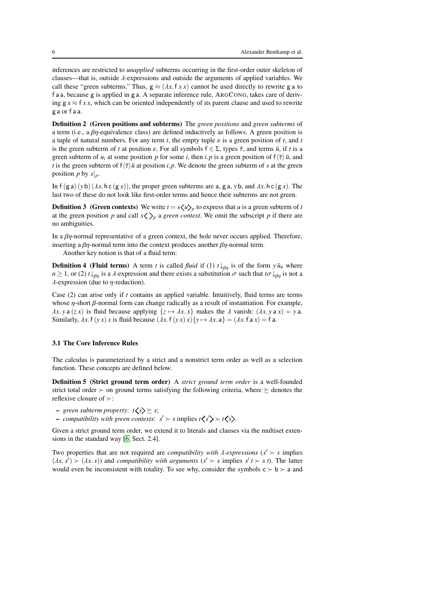inferences are restricted to *unapplied* subterms occurring in the first-order outer skeleton of clauses—that is, outside  $\lambda$ -expressions and outside the arguments of applied variables. We call these "green subterms." Thus,  $g \approx (\lambda x. f x x)$  cannot be used directly to rewrite g a to f a a, because g is applied in g a. A separate inference rule, ARGCONG, takes care of deriving  $g x \approx f x x$ , which can be oriented independently of its parent clause and used to rewrite g a or f a a.

Definition 2 (Green positions and subterms) The *green positions* and *green subterms* of a term (i.e., a  $\beta\eta$ -equivalence class) are defined inductively as follows. A green position is a tuple of natural numbers. For any term *t*, the empty tuple  $\varepsilon$  is a green position of *t*, and *t* is the green subterm of *t* at position  $\varepsilon$ . For all symbols  $f \in \Sigma$ , types  $\overline{\tau}$ , and terms  $\overline{u}$ , if *t* is a green subterm of  $u_i$  at some position p for some *i*, then *i*. p is a green position of  $f(\overline{\tau})$   $\overline{u}$ , and *t* is the green subterm of  $f\langle \bar{\tau} \rangle \bar{u}$  at position *i*.*p*. We denote the green subterm of *s* at the green position *p* by  $s|_p$ .

In f (g a) (*y* b) ( $\lambda x$ . h c (g *x*)), the proper green subterms are a, g a, *y* b, and  $\lambda x$ . h c (g *x*). The last two of these do not look like first-order terms and hence their subterms are not green.

**Definition 3** (Green contexts) We write  $t = s \langle u \rangle_p$  to express that *u* is a green subterm of *t* at the green position *p* and call  $s \langle \rangle_p$  a *green context*. We omit the subscript *p* if there are no ambiguities.

In a  $\beta\eta$ -normal representative of a green context, the hole never occurs applied. Therefore, inserting a  $\beta\eta$ -normal term into the context produces another  $\beta\eta$ -normal term.

Another key notion is that of a fluid term:

**Definition 4 (Fluid terms)** A term *t* is called *fluid* if (1)  $t \downarrow_{\beta\eta}$  is of the form  $y \bar{u}_n$  where  $n \geq 1$ , or (2)  $t \downarrow_{\beta\eta}$  is a  $\lambda$ -expression and there exists a substitution  $\sigma$  such that  $t\sigma \downarrow_{\beta\eta}$  is not a  $\lambda$ -expression (due to *η*-reduction).

Case (2) can arise only if *t* contains an applied variable. Intuitively, fluid terms are terms whose  $\eta$ -short  $\beta$ -normal form can change radically as a result of instantiation. For example,  $\lambda x. y a (zx)$  is fluid because applying  $\{z \mapsto \lambda x. x\}$  makes the  $\lambda$  vanish:  $(\lambda x. y a x) = y a$ . Similarly,  $\lambda x$ . f  $(yx)$  *x* is fluid because  $(\lambda x$ . f  $(yx)x$  $\{y \mapsto \lambda x$ . a $\} = (\lambda x$ . f a  $x) = f$  a.

#### <span id="page-5-0"></span>3.1 The Core Inference Rules

The calculus is parameterized by a strict and a nonstrict term order as well as a selection function. These concepts are defined below.

Definition 5 (Strict ground term order) A *strict ground term order* is a well-founded strict total order ≻ on ground terms satisfying the following criteria, where  $\succ$  denotes the reflexive closure of ≻:

- $-$  *green subterm property:*  $t \leq s \geq s$ ;
- − *compatibility with green contexts*:  $s'$  ≻ *s* implies  $t\left\langle s'\right\rangle > t\left\langle s\right\rangle$ .

Given a strict ground term order, we extend it to literals and clauses via the multiset extensions in the standard way [\[6,](#page-42-0) Sect. 2.4].

Two properties that are not required are *compatibility with*  $\lambda$ -expressions ( $s' \succ s$  implies  $(\lambda x. s') \succ (\lambda x. s)$  and *compatibility with arguments*  $(s' \succ s$  implies  $s' t \succ s t$ . The latter would even be inconsistent with totality. To see why, consider the symbols  $c > b > a$  and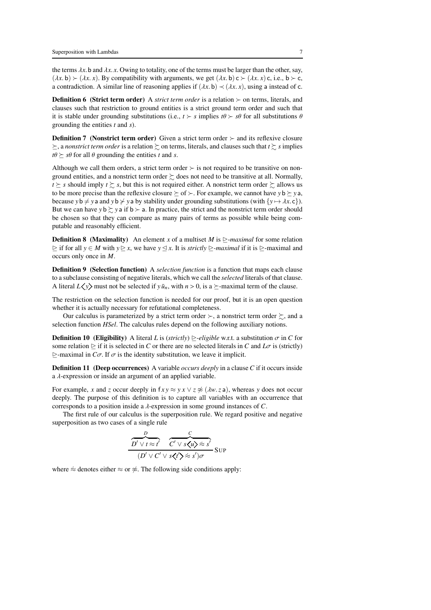the terms  $\lambda x$ . b and  $\lambda x$ . *x*. Owing to totality, one of the terms must be larger than the other, say,  $(\lambda x. \mathbf{b}) \succ (\lambda x. x)$ . By compatibility with arguments, we get  $(\lambda x. \mathbf{b}) \subset \succ (\lambda x. x)$  c, i.e.,  $\mathbf{b} \succ \mathbf{c}$ , a contradiction. A similar line of reasoning applies if  $(\lambda x. b) \prec (\lambda x. x)$ , using a instead of c.

<span id="page-6-0"></span>Definition 6 (Strict term order) A *strict term order* is a relation ≻ on terms, literals, and clauses such that restriction to ground entities is a strict ground term order and such that it is stable under grounding substitutions (i.e.,  $t \succ s$  implies  $t\theta \succ s\theta$  for all substitutions  $\theta$ grounding the entities *t* and *s*).

**Definition 7** (Nonstrict term order) Given a strict term order  $\succ$  and its reflexive closure  $\succeq$ , a *nonstrict term order* is a relation  $\succeq$  on terms, literals, and clauses such that  $t \succeq s$  implies  $t\theta \succeq s\theta$  for all  $\theta$  grounding the entities *t* and *s*.

Although we call them orders, a strict term order  $\succ$  is not required to be transitive on nonground entities, and a nonstrict term order  $\geq$  does not need to be transitive at all. Normally,  $t \geq s$  should imply  $t \geq s$ , but this is not required either. A nonstrict term order  $\succeq$  allows us to be more precise than the reflexive closure  $\succeq$  of  $\succeq$ . For example, we cannot have  $y$   $\triangleright \succeq y$  a, because *y*  $\mathbf{b} \neq \mathbf{y}$  a and *y*  $\mathbf{b} \neq \mathbf{y}$  a by stability under grounding substitutions (with  $\{y \mapsto \lambda x.\mathbf{c}\}$ ). But we can have *y* b  $\succsim y$  a if b  $\succ$  a. In practice, the strict and the nonstrict term order should be chosen so that they can compare as many pairs of terms as possible while being computable and reasonably efficient.

**Definition 8** (Maximality) An element *x* of a multiset *M* is  $\ge$ *-maximal* for some relation  $\triangleright$  if for all  $y \in M$  with  $y \triangleright x$ , we have  $y \triangleleft x$ . It is *strictly*  $\triangleright$ *-maximal* if it is  $\triangleright$ -maximal and occurs only once in *M*.

<span id="page-6-1"></span>Definition 9 (Selection function) A *selection function* is a function that maps each clause to a subclause consisting of negative literals, which we call the *selected* literals of that clause. A literal  $L \langle y \rangle$  must not be selected if  $y \bar{u}_n$ , with  $n > 0$ , is a  $\succeq$ -maximal term of the clause.

The restriction on the selection function is needed for our proof, but it is an open question whether it is actually necessary for refutational completeness.

Our calculus is parameterized by a strict term order  $\succ$ , a nonstrict term order  $\succsim$ , and a selection function *HSel*. The calculus rules depend on the following auxiliary notions.

**Definition 10** (Eligibility) A literal *L* is (*strictly*)  $\ge$ -*eligible* w.r.t. a substitution  $\sigma$  in *C* for some relation  $\geq$  if it is selected in *C* or there are no selected literals in *C* and  $L\sigma$  is (strictly)  $\ge$ -maximal in *C* $\sigma$ . If  $\sigma$  is the identity substitution, we leave it implicit.

**Definition 11 (Deep occurrences)** A variable *occurs deeply* in a clause *C* if it occurs inside a λ-expression or inside an argument of an applied variable.

For example, *x* and *z* occur deeply in  $fxy \approx y \times x \vee z \not\approx (\lambda w \cdot z \cdot a)$ , whereas *y* does not occur deeply. The purpose of this definition is to capture all variables with an occurrence that corresponds to a position inside a λ-expression in some ground instances of *C*.

The first rule of our calculus is the superposition rule. We regard positive and negative superposition as two cases of a single rule

$$
\frac{D}{D' \lor t \approx t'} \frac{C}{C' \lor s \langle u \rangle \approx s'} \text{Sup}
$$
  

$$
(D' \lor C' \lor s \langle t' \rangle \approx s')\sigma
$$

where  $\approx$  denotes either  $\approx$  or  $\approx$ . The following side conditions apply: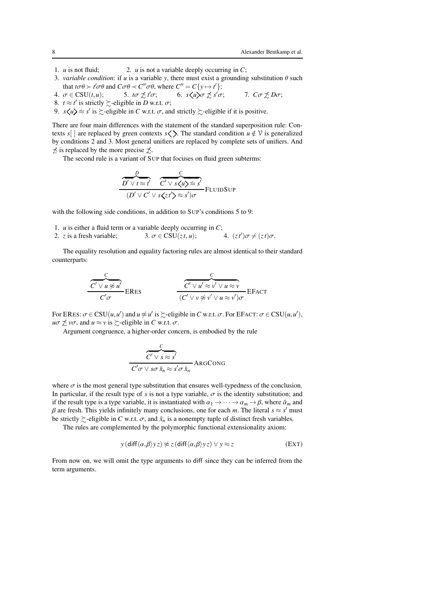- 1. *u* is not fluid; 2. *u* is not a variable deeply occurring in *C*;
- 3. *variable condition*: if *u* is a variable *y*, there must exist a grounding substitution  $\theta$  such that  $t \sigma \theta \succ t' \sigma \theta$  and  $C \sigma \theta \prec C'' \sigma \theta$ , where  $C'' = C\{y \mapsto t'\};$
- 4.  $\sigma \in \text{CSU}(t, u);$  5.  $t\sigma \not\preceq t'\sigma;$ 6.  $s\langle u \rangle \sigma \not\preceq s' \sigma$ ; *7. Cσ*  $\not\preceq$ *Dσ*;
- 8.  $t \approx t'$  is strictly  $\succsim$ -eligible in *D* w.r.t.  $\sigma$ ;

9.  $s \langle u \rangle \approx s'$  is  $\succsim$ -eligible in *C* w.r.t.  $\sigma$ , and strictly  $\succsim$ -eligible if it is positive.

There are four main differences with the statement of the standard superposition rule: Contexts *s*[ ] are replaced by green contexts *s*  $\langle \rangle$ . The standard condition *u*  $\notin \mathcal{V}$  is generalized by conditions 2 and 3. Most general unifiers are replaced by complete sets of unifiers. And  $\neq$  is replaced by the more precise  $\neq$ .

The second rule is a variant of SUP that focuses on fluid green subterms:

$$
\frac{D}{D' \lor t \approx t'} \frac{C}{C' \lor s\cancel{(u)} \approx s'}(D' \lor C' \lor s\cancel{(z/\grave{z})} \approx s')\sigma
$$
FLUIDSup

with the following side conditions, in addition to SUP's conditions 5 to 9:

1. *u* is either a fluid term or a variable deeply occurring in *C*;

l,

2. *z* is a fresh variable;  $3. \sigma \in \text{CSU}(zt, u);$ 4.  $(zt')\sigma \neq (zt)\sigma$ .

The equality resolution and equality factoring rules are almost identical to their standard counterparts:

$$
\frac{C}{C' \lor u \not\approx u'} \text{ERes}
$$
\n
$$
\frac{C}{C' \lor u' \approx v' \lor u \approx v} \text{EFACT}
$$
\n
$$
\frac{C}{(C' \lor v \not\approx v' \lor u \approx v')\sigma} \text{EFACT}
$$

For ERES:  $\sigma \in \text{CSU}(u, u')$  and  $u \not\approx u'$  is  $\succsim$ -eligible in *C* w.r.t.  $\sigma$ . For EFACT:  $\sigma \in \text{CSU}(u, u')$ ,  $u\sigma \npreceq v\sigma$ , and  $u \approx v$  is  $\succeq$ -eligible in *C* w.r.t.  $\sigma$ .

Argument congruence, a higher-order concern, is embodied by the rule

$$
\frac{C}{C' \vee s \approx s'}\over C'\sigma \vee s\sigma \bar{x}_n \approx s'\sigma \bar{x}_n
$$
ARGCONG

where  $\sigma$  is the most general type substitution that ensures well-typedness of the conclusion. In particular, if the result type of *s* is not a type variable,  $\sigma$  is the identity substitution; and if the result type is a type variable, it is instantiated with  $\alpha_1 \to \cdots \to \alpha_m \to \beta$ , where  $\bar{\alpha}_m$  and β are fresh. This yields infinitely many conclusions, one for each *m*. The literal  $s \approx s'$  must be strictly  $\succeq$ -eligible in *C* w.r.t.  $\sigma$ , and  $\bar{x}_n$  is a nonempty tuple of distinct fresh variables.

The rules are complemented by the polymorphic functional extensionality axiom:

$$
y \left( \text{diff} \langle \alpha, \beta \rangle yz \right) \not\approx z \left( \text{diff} \langle \alpha, \beta \rangle yz \right) \lor y \approx z \tag{EXT}
$$

From now on, we will omit the type arguments to diff since they can be inferred from the term arguments.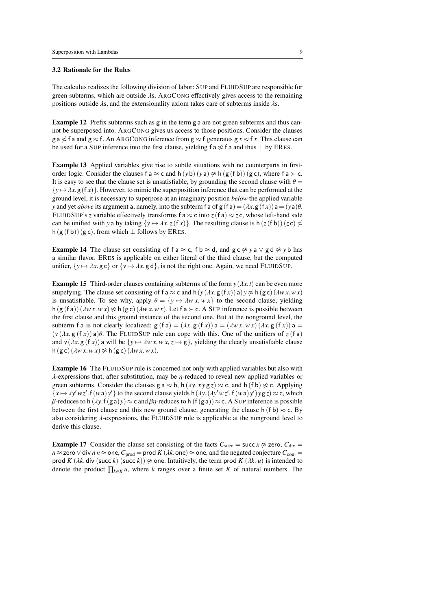### 3.2 Rationale for the Rules

The calculus realizes the following division of labor: SUP and FLUIDSUP are responsible for green subterms, which are outside  $\lambda$ s, ARGCONG effectively gives access to the remaining positions outside  $\lambda$ s, and the extensionality axiom takes care of subterms inside  $\lambda$ s.

Example 12 Prefix subterms such as g in the term g a are not green subterms and thus cannot be superposed into. ARGCONG gives us access to those positions. Consider the clauses g a  $\approx$  f a and g  $\approx$  f. An ARGCONG inference from g  $\approx$  f generates g  $x \approx$  f x. This clause can be used for a SUP inference into the first clause, yielding f a  $\frac{4}{5}$  f a and thus  $\perp$  by ERES.

<span id="page-8-1"></span>Example 13 Applied variables give rise to subtle situations with no counterparts in firstorder logic. Consider the clauses f a  $\approx$  c and h (*y* b) (*y* a)  $\approx$  h (g (f b)) (g c), where f a ≻ c. It is easy to see that the clause set is unsatisfiable, by grounding the second clause with  $\theta =$  $\{y \mapsto \lambda x. g(fx)\}\.$  However, to mimic the superposition inference that can be performed at the ground level, it is necessary to superpose at an imaginary position *below* the applied variable *y* and yet *above* its argument a, namely, into the subterm f a of  $g(fa) = (\lambda x. g(fx))a = (ya)\theta$ . FLUIDSUP's *z* variable effectively transforms f a  $\approx$  c into *z*(f a)  $\approx$  *z* c, whose left-hand side can be unified with *y* a by taking  $\{y \mapsto \lambda x. z(fx)\}$ . The resulting clause is h( $z(fb)$ )( $zc$ )  $\neq$ h (g (f b)) (g c), from which  $\perp$  follows by ERES.

<span id="page-8-2"></span>**Example 14** The clause set consisting of f a  $\approx$  c, f b  $\approx$  d, and g c  $\approx$  *y* a  $\lor$  g d  $\approx$  *v* b has a similar flavor. ERES is applicable on either literal of the third clause, but the computed unifier,  $\{v \mapsto \lambda x$ . g c} or  $\{v \mapsto \lambda x$ . g d}, is not the right one. Again, we need FLUIDSUP.

<span id="page-8-3"></span>**Example 15** Third-order clauses containing subterms of the form  $y(\lambda x, t)$  can be even more stupefying. The clause set consisting of f a  $\approx$  c and h( $y$  ( $\lambda x$ ,  $g$  (f  $x$ )) a)  $y \not\approx$  h( $g$  c) ( $\lambda wx$ ,  $w x$ ) is unsatisfiable. To see why, apply  $\theta = \{y \mapsto \lambda w \cdot x \cdot w \cdot x\}$  to the second clause, yielding h  $(g(fa))$   $(\lambda wx.wx) \not\approx h(gc)(\lambda wx.wx)$ . Let f a ≻ c. A SUP inference is possible between the first clause and this ground instance of the second one. But at the nonground level, the subterm f a is not clearly localized:  $g(f a) = (\lambda x. g(f x)) a = (\lambda w x. w x) (\lambda x. g(f x)) a =$  $(y (\lambda x. g (f x)) a)$ θ. The FLUIDSUP rule can cope with this. One of the unifiers of  $z(f a)$ and *y* ( $\lambda x$ , g (f *x*)) a will be {*y*  $\mapsto \lambda w x$ .  $w x$ ,  $z \mapsto g$ }, yielding the clearly unsatisfiable clause  $h(g c) (\lambda w x. w x) \not\approx h(g c) (\lambda w x. w x).$ 

Example 16 The FLUIDSUP rule is concerned not only with applied variables but also with  $\lambda$ -expressions that, after substitution, may be *η*-reduced to reveal new applied variables or green subterms. Consider the clauses g a  $\approx$  b, h ( $\lambda y. xy$  g  $z$ )  $\approx$  c, and h (f b)  $\napprox$  c. Applying  ${x \mapsto \lambda y'wz'. f(wa)y'}$  to the second clause yields h( $\lambda y.(\lambda y'wz'. f(wa)y')yz \geq c$ , which β-reduces to h (λ*y*. f(ga)*y*) ≈ c and βη-reduces to h (f(ga)) ≈ c. A SUP inference is possible between the first clause and this new ground clause, generating the clause h (f b)  $\approx$  c. By also considering  $\lambda$ -expressions, the FLUIDSUP rule is applicable at the nonground level to derive this clause.

<span id="page-8-0"></span>**Example 17** Consider the clause set consisting of the facts  $C_{succ} =$  succ  $x \approx$  zero,  $C_{div} =$  $n \approx$  zero  $\vee$  div  $n n \approx$  one,  $C_{\text{prod}}$  = prod *K* ( $\lambda k$ .one)  $\approx$  one, and the negated conjecture  $C_{\text{conj}}$  = prod *K* ( $\lambda k$ . div (succ *k*) (succ *k*))  $\napprox$  one. Intuitively, the term prod *K* ( $\lambda k$ . *u*) is intended to denote the product ∏*k*∈*<sup>K</sup> u*, where *k* ranges over a finite set *K* of natural numbers. The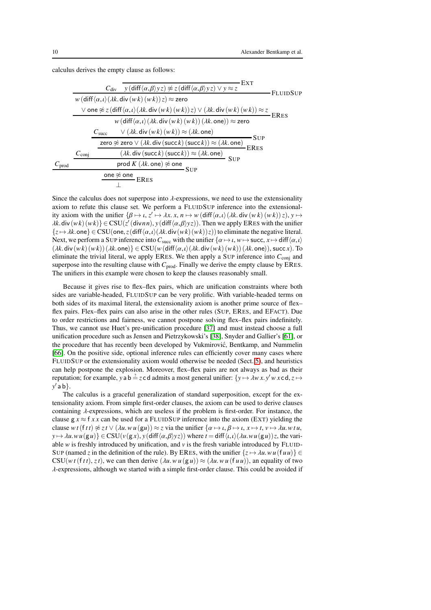calculus derives the empty clause as follows:

|                |                |            |                                                                                                                                                      |            | EXT        |                 |
|----------------|----------------|------------|------------------------------------------------------------------------------------------------------------------------------------------------------|------------|------------|-----------------|
|                |                |            | $C_{\text{div}}$ y (diff $\langle \alpha, \beta \rangle$ yz) $\not\approx$ z (diff $\langle \alpha, \beta \rangle$ yz) $\vee$ y $\approx$ z          |            |            | <b>FLUIDSUP</b> |
|                |                |            | $w(\text{diff}\langle\alpha,\iota\rangle(\lambda k.\text{div}(wk)(wk))z)\approx$ zero                                                                |            |            |                 |
|                |                |            | $\lor$ one $\not\approx$ z (diff $\langle \alpha, \iota \rangle (\lambda k)$ div $(wk)(wk))$ z) $\lor$ $(\lambda k)$ div $(wk)(wk)) \approx$ z ERES  |            |            |                 |
|                |                |            | $w(\text{diff}\langle\alpha,\iota\rangle(\lambda k.\text{div}\left(w\,k\right)(w\,k))(\lambda k.\text{one}))\approx$ zero                            |            |            |                 |
|                |                | $C_{succ}$ | $\vee$ ( <i><math>\lambda</math>k</i> . div ( <i>wk</i> ) ( <i>wk</i> )) $\approx$ ( <i><math>\lambda</math>k</i> . one)                             |            |            |                 |
|                |                |            | zero $\frac{2}{\kappa}$ zero $\vee$ ( <i><math>\lambda</math>k.</i> div (succ <i>k</i> ) (succ <i>k</i> )) $\approx$ ( $\lambda$ <i>k.</i> one) ERES |            | - Sup      |                 |
|                | $C_{\rm coni}$ |            | $(\lambda k.$ div $(\mathsf{succ}\, k)(\mathsf{succ}\, k)) \approx (\lambda k.$ one)                                                                 |            | <b>SUP</b> |                 |
| $C_{\rm prod}$ |                |            | prod $K\left(\lambda k.\,\mathsf{one}\right)\not\approx\mathsf{one}$                                                                                 | <b>SUP</b> |            |                 |
|                |                |            | one $\not\approx$ one ERES                                                                                                                           |            |            |                 |
|                |                |            |                                                                                                                                                      |            |            |                 |

Since the calculus does not superpose into  $\lambda$ -expressions, we need to use the extensionality axiom to refute this clause set. We perform a FLUIDSUP inference into the extensionality axiom with the unifier  $\{\beta \mapsto \iota, z' \mapsto \lambda x, x, n \mapsto w$  (diff $\langle \alpha, \iota \rangle (\lambda k, \text{div}(w k)(w k)) z), y \mapsto z$  $\lambda k$ .div $(wk)(wk)$ } ∈ CSU( $z'$ (div*nn*), *y*(diff $\langle \alpha, \beta \rangle$ *yz*)). Then we apply ERES with the unifier  $\{z \mapsto \lambda k$ .one}  $\in \text{CSU}(\text{one}, z(\text{diff}\langle \alpha, \iota \rangle(\lambda k, \text{div}(wk)(wk))z))$  to eliminate the negative literal. Next, we perform a SUP inference into  $C_{succ}$  with the unifier  $\{\alpha \mapsto \iota, w \mapsto \text{succ}, x \mapsto \text{diff}\langle \alpha, \iota \rangle\}$  $(\lambda k \cdot \text{div}(wk)(wk))(\lambda k \cdot \text{one})$   $\in \text{CSU}(w(\text{diff}\langle\alpha,\iota\rangle(\lambda k.\text{div}(wk)(wk))(\lambda k.\text{one}))$ , succ *x*). To eliminate the trivial literal, we apply ERES. We then apply a SUP inference into  $C_{\text{conj}}$  and superpose into the resulting clause with  $C_{prod}$ . Finally we derive the empty clause by ERES. The unifiers in this example were chosen to keep the clauses reasonably small.

Because it gives rise to flex–flex pairs, which are unification constraints where both sides are variable-headed, FLUIDSUP can be very prolific. With variable-headed terms on both sides of its maximal literal, the extensionality axiom is another prime source of flex– flex pairs. Flex–flex pairs can also arise in the other rules (SUP, ERES, and EFACT). Due to order restrictions and fairness, we cannot postpone solving flex–flex pairs indefinitely. Thus, we cannot use Huet's pre-unification procedure [\[37\]](#page-43-2) and must instead choose a full unification procedure such as Jensen and Pietrzykowski's [\[38\]](#page-43-12), Snyder and Gallier's [\[61\]](#page-44-5), or the procedure that has recently been developed by Vukmirovic, Bentkamp, and Nummelin ´ [\[66\]](#page-44-6). On the positive side, optional inference rules can efficiently cover many cases where FLUIDSUP or the extensionality axiom would otherwise be needed (Sect. [5\)](#page-31-0), and heuristics can help postpone the explosion. Moreover, flex–flex pairs are not always as bad as their reputation; for example, *y* a b  $\frac{2}{3}$  *z* c d admits a most general unifier:  $\{y \mapsto \lambda wx. y'w \times z \cdot d, z \mapsto z \cdot d\}$ *y* ′ a b}.

The calculus is a graceful generalization of standard superposition, except for the extensionality axiom. From simple first-order clauses, the axiom can be used to derive clauses containing  $\lambda$ -expressions, which are useless if the problem is first-order. For instance, the clause  $g x \approx f x x$  can be used for a FLUIDSUP inference into the axiom (EXT) yielding the clause  $wt(ftt) \not\approx z t \vee (\lambda u \cdot w u(gu)) \approx z$  via the unifier  $\{\alpha \mapsto \iota, \beta \mapsto \iota, x \mapsto t, v \mapsto \lambda u \cdot w_t u,$  $y \mapsto \lambda u \cdot wu(gu) \in \text{CSU}(v(gx), y(\text{diff}\langle \alpha, \beta \rangle yz))$  where  $t = \text{diff}\langle u, v \rangle (\lambda u \cdot wu(gu))z$ , the variable *w* is freshly introduced by unification, and *v* is the fresh variable introduced by FLUID-SUP (named *z* in the definition of the rule). By ERES, with the unifier  $\{z \mapsto \lambda u. w u(\{t u\})\}$  $CSU(w t (ft t), z t)$ , we can then derive  $(\lambda u. w u (g u)) \approx (\lambda u. w u (f u u))$ , an equality of two  $\lambda$ -expressions, although we started with a simple first-order clause. This could be avoided if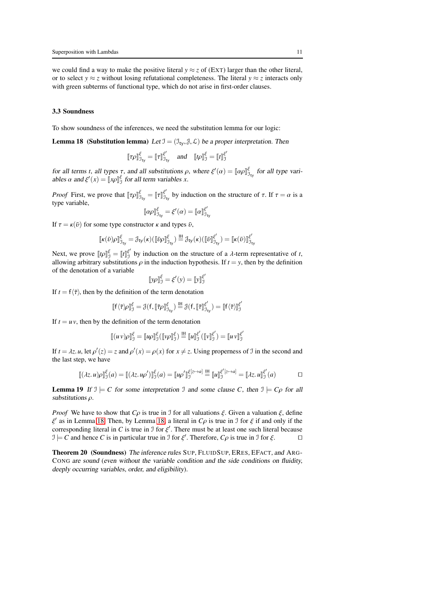we could find a way to make the positive literal  $y \approx z$  of (EXT) larger than the other literal, or to select *y*  $\approx$  *z* without losing refutational completeness. The literal *y*  $\approx$  *z* interacts only with green subterms of functional type, which do not arise in first-order clauses.

#### 3.3 Soundness

To show soundness of the inferences, we need the substitution lemma for our logic:

**Lemma 18** (Substitution lemma) Let  $\mathcal{I} = (\mathcal{I}_{tv}, \mathcal{J}, \mathcal{L})$  be a proper interpretation. Then

<span id="page-10-0"></span>
$$
\llbracket \tau \rho \rrbracket_{\mathfrak{I}_{\mathsf{ty}}}^{\xi} = \llbracket \tau \rrbracket_{\mathfrak{I}_{\mathsf{ty}}}^{\xi'} \quad \text{and} \quad \llbracket t \rho \rrbracket_{\mathfrak{I}}^{\xi} = \llbracket t \rrbracket_{\mathfrak{I}}^{\xi'}
$$

for all terms *t*, all types  $\tau$ , and all substitutions  $\rho$ , where  $\xi'(\alpha) = [\alpha \rho]_{\beta_{\text{ty}}}^{\xi}$  for all type variables  $\alpha$  and  $\xi'(x) = \llbracket x \rho \rrbracket_0^{\xi}$  for all term variables *x*.

*Proof* First, we prove that  $[\![\tau \rho]\!]_{\mathcal{I}_{\text{ty}}}^{\xi'} = [\![\tau]\!]_{\mathcal{I}_{\text{ty}}}^{\xi'}$  by induction on the structure of  $\tau$ . If  $\tau = \alpha$  is a type variable, ′

$$
\llbracket \alpha \rho \rrbracket_{\mathfrak{I}_{\mathsf{ty}}}^{\xi} = \xi'(\alpha) = \llbracket \alpha \rrbracket_{\mathfrak{I}_{\mathsf{ty}}}^{\xi'}
$$

If  $\tau = \kappa(\bar{v})$  for some type constructor  $\kappa$  and types  $\bar{v}$ ,

$$
\llbracket \kappa(\bar{\boldsymbol{\upsilon}})\rho\rrbracket_{\mathfrak{I}_{\mathbf{y}}}^{\xi} = \mathfrak{Z}_{\mathsf{ty}}(\kappa)(\llbracket \bar{\boldsymbol{\upsilon}}\rho\rrbracket_{\mathfrak{I}_{\mathbf{y}}}^{\xi}) \stackrel{\text{IH}}{=} \mathfrak{Z}_{\mathsf{ty}}(\kappa)(\llbracket \bar{\boldsymbol{\upsilon}}\rrbracket_{\mathfrak{I}_{\mathbf{y}}}^{\xi'}) = \llbracket \kappa(\bar{\boldsymbol{\upsilon}})\rrbracket_{\mathfrak{I}_{\mathbf{y}}}^{\xi'}
$$

Next, we prove  $[\![tp]\!]_J^{\xi'} = [\![t]\!]_J^{\xi'}$  by induction on the structure of a *λ*-term representative of *t*, allowing arbitrary substitutions  $\rho$  in the induction hypothesis. If  $t = y$ , then by the definition of the denotation of a variable ′

$$
[\![y\rho]\!]_J^{\xi} = \xi'(y) = [\![y]\!]_J^{\xi'}
$$

If  $t = f(\overline{\tau})$ , then by the definition of the term denotation

$$
[\![f\langle\bar{\tau}\rangle\!\rho]\!]_{{\mathfrak I}}^{\xi}={\mathfrak{J}}(f,[\![\bar{\tau}\rho]\!]_{{\mathfrak I}_{{\mathfrak t}\gamma}}^{\xi})\stackrel{IH}{=}{\mathfrak{J}}(f,[\![\bar{\tau}]\!]_{{\mathfrak I}_{{\mathfrak t}\gamma}}^{\xi'})=[\![f\langle\bar{\tau}\rangle]\!]_{{\mathfrak I}}^{\xi'}
$$

If  $t = uv$ , then by the definition of the term denotation

$$
[\![ (uv)\rho]\!]_J^{\xi} = [\![ u\rho]\!]_J^{\xi} ([\![ v\rho]\!]_J^{\xi}) \stackrel{\text{IH}}{=} [\![ u]\!]_J^{\xi'} ([\![ v]\!]_J^{\xi'}) = [\![ u\, v]\!]_J^{\xi'}
$$

If  $t = \lambda z$ . *u*, let  $\rho'(z) = z$  and  $\rho'(x) = \rho(x)$  for  $x \neq z$ . Using properness of J in the second and the last step, we have

$$
\llbracket (\lambda z. u)\rho \rrbracket_0^{\xi}(a) = \llbracket (\lambda z. u\rho') \rrbracket_0^{\xi}(a) = \llbracket u\rho' \rrbracket_0^{\xi[z \to a]} \stackrel{\text{IH}}{=} \llbracket u \rrbracket_0^{\xi'[z \to a]} = \llbracket \lambda z. u \rrbracket_0^{\xi'}(a) \qquad \qquad \Box
$$

<span id="page-10-1"></span>**Lemma 19** If  $\mathcal{I} \models C$  for some interpretation  $\mathcal{I}$  and some clause  $C$ , then  $\mathcal{I} \models C \rho$  for all substitutions  $\rho$ .

*Proof* We have to show that  $C_{\rho}$  is true in J for all valuations  $\xi$ . Given a valuation  $\xi$ , define  $ξ'$  as in Lemma [18.](#page-10-0) Then, by Lemma [18,](#page-10-0) a literal in  $Cρ$  is true in  $I$  for  $ξ$  if and only if the corresponding literal in *C* is true in  $\mathcal{I}$  for  $\xi'$ . There must be at least one such literal because  $\mathcal{I} \models C$  and hence *C* is in particular true in  $\mathcal{I}$  for  $\xi'$ . Therefore,  $C\rho$  is true in  $\mathcal{I}$  for  $\xi$ .

Theorem 20 (Soundness) The inference rules SUP, FLUIDSUP, ERES, EFACT, and ARG-CONG are sound (even without the variable condition and the side conditions on fluidity, deeply occurring variables, order, and eligibility).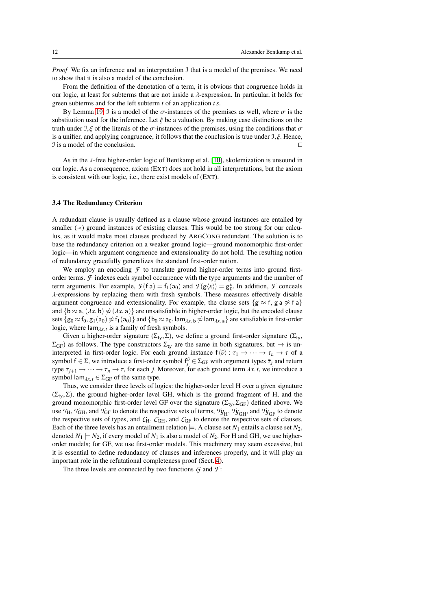*Proof* We fix an inference and an interpretation J that is a model of the premises. We need to show that it is also a model of the conclusion.

From the definition of the denotation of a term, it is obvious that congruence holds in our logic, at least for subterms that are not inside a λ-expression. In particular, it holds for green subterms and for the left subterm *t* of an application *t s*.

By Lemma [19,](#page-10-1) J is a model of the  $\sigma$ -instances of the premises as well, where  $\sigma$  is the substitution used for the inference. Let  $\xi$  be a valuation. By making case distinctions on the truth under  $\mathcal{I}, \xi$  of the literals of the  $\sigma$ -instances of the premises, using the conditions that  $\sigma$ is a unifier, and applying congruence, it follows that the conclusion is true under  $\mathcal{I}, \xi$ . Hence, I is a model of the conclusion. ⊓⊔

As in the  $\lambda$ -free higher-order logic of Bentkamp et al. [\[10\]](#page-42-9), skolemization is unsound in our logic. As a consequence, axiom (EXT) does not hold in all interpretations, but the axiom is consistent with our logic, i.e., there exist models of (EXT).

## <span id="page-11-0"></span>3.4 The Redundancy Criterion

A redundant clause is usually defined as a clause whose ground instances are entailed by smaller  $\left(\prec\right)$  ground instances of existing clauses. This would be too strong for our calculus, as it would make most clauses produced by ARGCONG redundant. The solution is to base the redundancy criterion on a weaker ground logic—ground monomorphic first-order logic—in which argument congruence and extensionality do not hold. The resulting notion of redundancy gracefully generalizes the standard first-order notion.

We employ an encoding  $\mathcal F$  to translate ground higher-order terms into ground firstorder terms. *F* indexes each symbol occurrence with the type arguments and the number of term arguments. For example,  $\mathcal{F}(\mathsf{f} \mathsf{a}) = \mathsf{f}_1(\mathsf{a}_0)$  and  $\mathcal{F}(\mathsf{g}\langle \kappa \rangle) = \mathsf{g}_0^{\kappa}$ . In addition,  $\mathcal{F}$  conceals  $\lambda$ -expressions by replacing them with fresh symbols. These measures effectively disable argument congruence and extensionality. For example, the clause sets  $\{g \approx f, g \equiv g \not\approx f \}$ and  $\{b \approx a, (\lambda x, b) \not\approx (\lambda x, a)\}\$ are unsatisfiable in higher-order logic, but the encoded clause sets  $\{g_0 \approx f_0, g_1(a_0) \not\approx f_1(a_0)\}\$  and  $\{b_0 \approx a_0, \text{lam}_{\lambda x. b} \not\approx \text{lam}_{\lambda x. a}\}\$  are satisfiable in first-order logic, where  $\lim_{\lambda x,t}$  is a family of fresh symbols.

Given a higher-order signature  $(\Sigma_{ty}, \Sigma)$ , we define a ground first-order signature  $(\Sigma_{ty}, \Sigma)$  $\Sigma_{GF}$ ) as follows. The type constructors  $\Sigma_{ty}$  are the same in both signatures, but  $\rightarrow$  is uninterpreted in first-order logic. For each ground instance  $f(\bar{v}) : \tau_1 \to \cdots \to \tau_n \to \tau$  of a symbol  $f \in \Sigma$ , we introduce a first-order symbol  $f_j^{\bar{\nu}} \in \Sigma_{GF}$  with argument types  $\bar{\tau}_j$  and return type  $\tau_{i+1} \to \cdots \to \tau_n \to \tau$ , for each *j*. Moreover, for each ground term  $\lambda x$ . *t*, we introduce a symbol lam<sub> $\lambda x. t$ </sub>  $\in \Sigma$ <sub>GF</sub> of the same type.

Thus, we consider three levels of logics: the higher-order level H over a given signature  $(\Sigma_{\rm tv},\Sigma)$ , the ground higher-order level GH, which is the ground fragment of H, and the ground monomorphic first-order level GF over the signature ( $\Sigma_{\text{ty}}, \Sigma_{\text{GF}}$ ) defined above. We use  $T_H$ ,  $T_{GH}$ , and  $T_{GF}$  to denote the respective sets of terms,  $T_{\mathcal{Y}_H}, T_{\mathcal{Y}_{GH}}$ , and  $T_{\mathcal{Y}_{GF}}$  to denote the respective sets of types, and  $C_H$ ,  $C_{GH}$ , and  $C_{GF}$  to denote the respective sets of clauses. Each of the three levels has an entailment relation  $\models$ . A clause set *N*<sub>1</sub> entails a clause set *N*<sub>2</sub>, denoted  $N_1 \models N_2$ , if every model of  $N_1$  is also a model of  $N_2$ . For H and GH, we use higherorder models; for GF, we use first-order models. This machinery may seem excessive, but it is essential to define redundancy of clauses and inferences properly, and it will play an important role in the refutational completeness proof (Sect. [4\)](#page-16-0).

The three levels are connected by two functions *G* and *F* :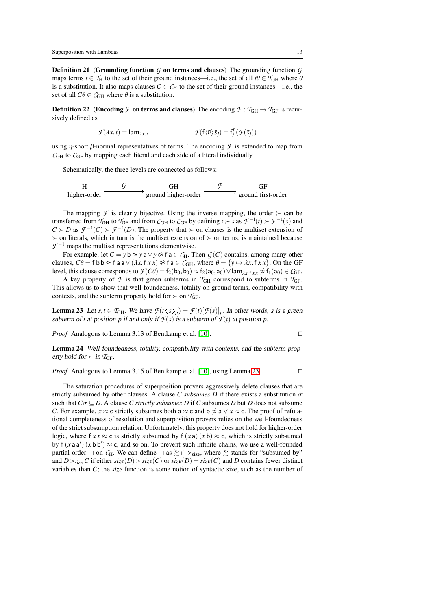**Definition 21** (Grounding function  $G$  on terms and clauses) The grounding function  $G$ maps terms  $t \in T_H$  to the set of their ground instances—i.e., the set of all  $t\theta \in T_{GH}$  where  $\theta$ is a substitution. It also maps clauses  $C \in C_H$  to the set of their ground instances—i.e., the set of all  $C\theta \in \mathcal{C}_{GH}$  where  $\theta$  is a substitution.

**Definition 22** (Encoding *F* on terms and clauses) The encoding  $\mathcal{F} : T_{GH} \to T_{GF}$  is recursively defined as

$$
\mathcal{F}(\lambda x. t) = \text{lam}_{\lambda x. t} \qquad \qquad \mathcal{F}(\mathbf{f}\langle \bar{v} \rangle \bar{s}_j) = \mathbf{f}_j^{\bar{v}}(\mathcal{F}(\bar{s}_j))
$$

using  $\eta$ -short  $\beta$ -normal representatives of terms. The encoding  $\mathcal F$  is extended to map from  $C<sub>GH</sub>$  to  $C<sub>GF</sub>$  by mapping each literal and each side of a literal individually.

Schematically, the three levels are connected as follows:

$$
\text{H} \longrightarrow \text{GH} \longrightarrow \text{GH} \longrightarrow \text{GF} \longrightarrow \text{GF} \longrightarrow \text{GF}
$$
\nhigher-order

The mapping *F* is clearly bijective. Using the inverse mapping, the order  $\succ$  can be transferred from  $\mathcal{T}_{GH}$  to  $\mathcal{T}_{GF}$  and from  $\mathcal{C}_{GH}$  to  $\mathcal{C}_{GF}$  by defining  $t \succ s$  as  $\mathcal{F}^{-1}(t) \succ \mathcal{F}^{-1}(s)$  and  $C \succ D$  as  $\mathcal{F}^{-1}(C) \succ \mathcal{F}^{-1}(D)$ . The property that  $\succ$  on clauses is the multiset extension of ≻ on literals, which in turn is the multiset extension of ≻ on terms, is maintained because  $\mathcal{F}^{-1}$  maps the multiset representations elementwise.

For example, let  $C = y$  b  $\approx y$  a  $\vee y \not\approx f$  a  $\in C_H$ . Then  $G(C)$  contains, among many other clauses,  $C\theta = f b b \approx f a a \vee (\lambda x. f x x) \not\approx f a \in C<sub>GH</sub>$ , where  $\theta = \{y \mapsto \lambda x. f x x\}$ . On the GF level, this clause corresponds to  $\mathcal{F}(C\theta) = f_2(b_0, b_0) \approx f_2(a_0, a_0) \vee \text{lam}_{\lambda x, f x x} \not\approx f_1(a_0) \in C_{GF}$ .

A key property of  $\mathcal{F}$  is that green subterms in  $T_{GH}$  correspond to subterms in  $T_{GF}$ . This allows us to show that well-foundedness, totality on ground terms, compatibility with contexts, and the subterm property hold for  $\succ$  on  $T_{GF}$ .

<span id="page-12-0"></span>**Lemma 23** Let  $s, t \in \mathcal{T}_{GH}$ . We have  $\mathcal{F}(t \langle s \rangle_p) = \mathcal{F}(t)[\mathcal{F}(s)]_p$ . In other words, *s* is a green subterm of *t* at position *p* if and only if  $\mathcal{F}(s)$  is a subterm of  $\mathcal{F}(t)$  at position *p*.

*Proof* Analogous to Lemma 3.13 of Bentkamp et al. [\[10\]](#page-42-9). □

Lemma 24 Well-foundedness, totality, compatibility with contexts, and the subterm property hold for  $\succ$  in  $\mathcal{T}_{\text{GF}}$ .

*Proof* Analogous to Lemma 3.15 of Bentkamp et al. [\[10\]](#page-42-9), using Lemma [23.](#page-12-0)

The saturation procedures of superposition provers aggressively delete clauses that are strictly subsumed by other clauses. A clause *C subsumes D* if there exists a substitution  $\sigma$ such that  $C\sigma \subseteq D$ . A clause *C strictly subsumes D* if *C* subsumes *D* but *D* does not subsume *C*. For example,  $x \approx c$  strictly subsumes both a  $\approx c$  and b  $\approx a \vee x \approx c$ . The proof of refutational completeness of resolution and superposition provers relies on the well-foundedness of the strict subsumption relation. Unfortunately, this property does not hold for higher-order logic, where f  $xx \approx c$  is strictly subsumed by f  $(xa)(xb) \approx c$ , which is strictly subsumed by  $f(xaa')$   $(xbb') \approx c$ , and so on. To prevent such infinite chains, we use a well-founded partial order  $\exists$  on  $C_H$ . We can define  $\exists$  as  $\geq \cap \gt_{size}$ , where  $\geq$  stands for "subsumed by" and  $D >_{size} C$  if either  $size(D) > size(C)$  or  $size(D) = size(C)$  and *D* contains fewer distinct variables than *C*; the *size* function is some notion of syntactic size, such as the number of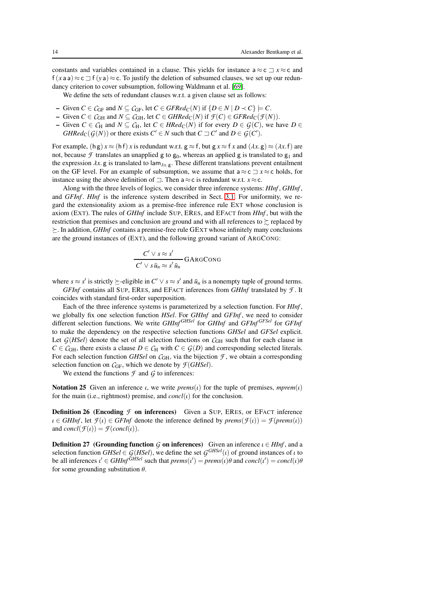constants and variables contained in a clause. This yields for instance  $a \approx c \equiv x \approx c$  and  $f(xaa) \approx c \rceil f(ya) \approx c$ . To justify the deletion of subsumed clauses, we set up our redundancy criterion to cover subsumption, following Waldmann et al. [\[69\]](#page-44-1).

We define the sets of redundant clauses w.r.t. a given clause set as follows:

- Given *C* ∈  $C$ <sub>GF</sub> and *N* ⊆  $C$ <sub>GF</sub>, let *C* ∈ *GFRed*<sub>C</sub>(*N*) if {*D* ∈ *N* | *D* ≺ *C*}  $\models$  *C*.
- Given *C* ∈  $C$ <sub>GH</sub> and *N* ⊆  $C$ <sub>GH</sub>, let *C* ∈ *GHRed*<sub>C</sub>(*N*) if  $\mathcal{F}(C)$  ∈ *GFRed*<sub>C</sub>( $\mathcal{F}(N)$ ).
- Given *C* ∈ *C*H and *N* ⊆ *C*H, let *C* ∈ *HRed*<sub>C</sub>(*N*) if for every *D* ∈ *G*(*C*), we have *D* ∈ *GHRed*<sub>C</sub>( $G(N)$ ) or there exists  $C' \in N$  such that  $C \sqsupseteq C'$  and  $D \in G(C')$ .

For example,  $(h g) x \approx (h f) x$  is redundant w.r.t.  $g \approx f$ , but  $g x \approx f x$  and  $(\lambda x. g) \approx (\lambda x.f)$  are not, because  $\mathcal F$  translates an unapplied g to  $g_0$ , whereas an applied g is translated to  $g_1$  and the expression  $\lambda x$ . g is translated to  $\lambda x$ . g. These different translations prevent entailment on the GF level. For an example of subsumption, we assume that a ≈ c ⊐ *x* ≈ c holds, for instance using the above definition of  $\exists$ . Then a  $\approx$  c is redundant w.r.t. *x*  $\approx$  c.

Along with the three levels of logics, we consider three inference systems: *HInf* , *GHInf* , and *GFInf* . *HInf* is the inference system described in Sect. [3.1.](#page-5-0) For uniformity, we regard the extensionality axiom as a premise-free inference rule EXT whose conclusion is axiom (EXT). The rules of *GHInf* include SUP, ERES, and EFACT from *HInf* , but with the restriction that premises and conclusion are ground and with all references to  $\succeq$  replaced by  $\geq$ . In addition, *GHInf* contains a premise-free rule GEXT whose infinitely many conclusions are the ground instances of (EXT), and the following ground variant of ARGCONG:

$$
\frac{C' \vee s \approx s'}{C' \vee s \bar{u}_n \approx s' \bar{u}_n} \text{GARGCONG}
$$

where  $s \approx s'$  is strictly  $\succeq$ -eligible in  $C' \vee s \approx s'$  and  $\bar{u}_n$  is a nonempty tuple of ground terms.

*GFInf* contains all SUP, ERES, and EFACT inferences from *GHInf* translated by *F* . It coincides with standard first-order superposition.

Each of the three inference systems is parameterized by a selection function. For *HInf* , we globally fix one selection function *HSel*. For *GHInf* and *GFInf* , we need to consider different selection functions. We write *GHInf* <sup>*GHSel*</sup> for *GHInf* and *GFInf GFInf GFInf* to make the dependency on the respective selection functions *GHSel* and *GFSel* explicit. Let  $G(HSel)$  denote the set of all selection functions on  $C<sub>GH</sub>$  such that for each clause in  $C \in \mathcal{C}_{GH}$ , there exists a clause  $D \in \mathcal{C}_H$  with  $C \in \mathcal{G}(D)$  and corresponding selected literals. For each selection function *GHSel* on  $C_{GH}$ , via the bijection  $\mathcal{F}$ , we obtain a corresponding selection function on *C*GF, which we denote by *F*(*GHSel*).

We extend the functions  $\mathcal F$  and  $\mathcal G$  to inferences:

**Notation 25** Given an inference *ι*, we write *prems*(*ι*) for the tuple of premises, *mprem*(*ι*) for the main (i.e., rightmost) premise, and  $concl(\iota)$  for the conclusion.

**Definition 26 (Encoding** *F* on inferences) Given a SUP, ERES, or EFACT inference  $\iota \in \mathit{GHInf}$ , let  $\mathcal{F}(\iota) \in \mathit{GFInf}$  denote the inference defined by *prems* $(\mathcal{F}(\iota)) = \mathcal{F}(prems(\iota))$ and  $concl(\mathcal{F}(\iota)) = \mathcal{F}(concl(\iota)).$ 

**Definition 27** (Grounding function G on inferences) Given an inference  $\iota \in HInf$ , and a selection function *GHSel*  $\in G(HSel)$ , we define the set  $G^{GHSel}(t)$  of ground instances of  $\iota$  to be all inferences  $\iota' \in \mathit{GHInf}^{\mathit{GHSel}}$  such that  $\mathit{prems}(\iota') = \mathit{prems}(\iota)\theta$  and  $\mathit{concl}(\iota') = \mathit{concl}(\iota)\theta$ for some grounding substitution  $\theta$ .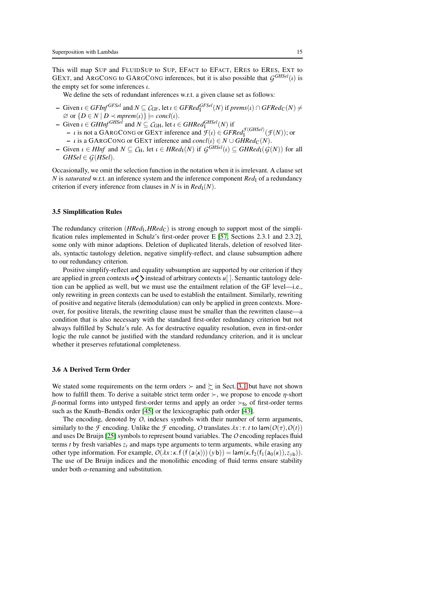This will map SUP and FLUIDSUP to SUP, EFACT to EFACT, ERES to ERES, EXT to GEXT, and ARGCONG to GARGCONG inferences, but it is also possible that  $G^{GHSel}(l)$  is the empty set for some inferences  $\iota$ .

We define the sets of redundant inferences w.r.t. a given clause set as follows:

- $\vdash$  Given *ι* ∈ *GFInf*<sup>*GFSel*</sup> and *N* ⊆ *C*<sub>GF</sub>, let *ι* ∈ *GFRed*<sup>*GFSel</sup>*(*N*) if *prems*(*ι*) ∩ *GFRed*<sub>C</sub>(*N*)  $\neq$ </sup>  $\emptyset$  or  $\{D \in N \mid D \prec mprem(\iota)\}\models \mathit{concl}(\iota).$
- $-$  Given  $\iota \in \mathit{GHInf}^{\mathit{GHSel}}$  and  $N \subseteq \mathcal{C}_{\mathit{GH}}$ , let  $\iota \in \mathit{GHRed}_{\mathit{I}}^{\mathit{GHSel}}(N)$  if
- $\rightarrow$  *i* is not a GARGCONG or GEXT inference and  $\mathcal{F}(i) \in GFRed_{I}^{\mathcal{F}(GHSel)}(\mathcal{F}(N))$ ; or  $−$  *ι* is a GARGCONG or GEXT inference and *concl*(*ι*) ∈ *N* ∪ *GHRed*<sub>C</sub>(*N*).
- $\blacksquare$  Given *ι* ∈ *HInf* and  $N ⊆ C_H$ , let *ι* ∈ *HRed*<sub>I</sub>(*N*) if *G*<sup>GHSel</sup>(*ι*) ⊆ *GHRed*<sub>I</sub>(*G*(*N*)) for all  $GHSel \in G(HSel)$ .

Occasionally, we omit the selection function in the notation when it is irrelevant. A clause set *N* is *saturated* w.r.t. an inference system and the inference component *Red*<sub>I</sub> of a redundancy criterion if every inference from clauses in *N* is in  $Red<sub>I</sub>(N)$ .

## 3.5 Simplification Rules

The redundancy criterion (*HRed*<sub>I</sub>, *HRed*<sub>C</sub>) is strong enough to support most of the simplification rules implemented in Schulz's first-order prover E [\[57,](#page-43-13) Sections 2.3.1 and 2.3.2], some only with minor adaptions. Deletion of duplicated literals, deletion of resolved literals, syntactic tautology deletion, negative simplify-reflect, and clause subsumption adhere to our redundancy criterion.

Positive simplify-reflect and equality subsumption are supported by our criterion if they are applied in green contexts  $u \leq \sum$  instead of arbitrary contexts  $u$ []. Semantic tautology deletion can be applied as well, but we must use the entailment relation of the GF level—i.e., only rewriting in green contexts can be used to establish the entailment. Similarly, rewriting of positive and negative literals (demodulation) can only be applied in green contexts. Moreover, for positive literals, the rewriting clause must be smaller than the rewritten clause—a condition that is also necessary with the standard first-order redundancy criterion but not always fulfilled by Schulz's rule. As for destructive equality resolution, even in first-order logic the rule cannot be justified with the standard redundancy criterion, and it is unclear whether it preserves refutational completeness.

## <span id="page-14-0"></span>3.6 A Derived Term Order

We stated some requirements on the term orders  $\succ$  and  $\succ$  in Sect. [3.1](#page-5-0) but have not shown how to fulfill them. To derive a suitable strict term order  $\succ$ , we propose to encode  $\eta$ -short β-normal forms into untyped first-order terms and apply an order  $\succ_{f_0}$  of first-order terms such as the Knuth–Bendix order [\[45\]](#page-43-14) or the lexicographic path order [\[43\]](#page-43-15).

The encoding, denoted by *O*, indexes symbols with their number of term arguments, similarly to the *F* encoding. Unlike the *F* encoding, *O* translates  $\lambda x : \tau$ . *t* to lam( $O(\tau)$ ,  $O(t)$ ) and uses De Bruijn [\[25\]](#page-42-10) symbols to represent bound variables. The*O* encoding replaces fluid terms *t* by fresh variables  $z_t$  and maps type arguments to term arguments, while erasing any other type information. For example,  $O(\lambda x \cdot \kappa \cdot f(f(a(x))) (yb)) = \text{lam}(\kappa, f_2(f_1(a_0(\kappa)), z_{vb}))$ . The use of De Bruijn indices and the monolithic encoding of fluid terms ensure stability under both  $\alpha$ -renaming and substitution.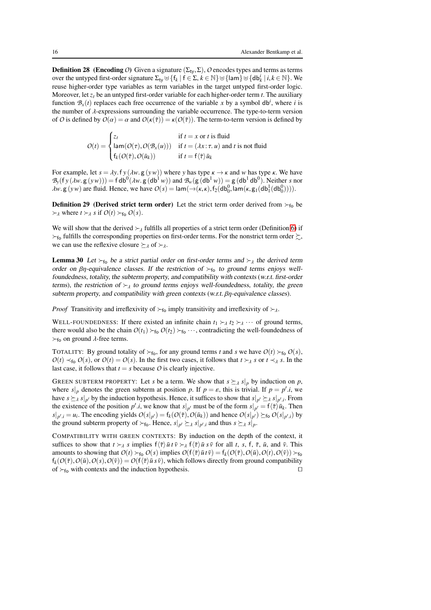**Definition 28** (Encoding O) Given a signature  $(\Sigma_{\text{tv}}, \Sigma)$ , O encodes types and terms as terms over the untyped first-order signature  $\Sigma_{ty} \uplus \{f_k \mid f \in \Sigma, k \in \mathbb{N}\} \uplus \{\text{lam}\} \uplus \{\text{db}_k^i \mid i, k \in \mathbb{N}\}.$  We reuse higher-order type variables as term variables in the target untyped first-order logic. Moreover, let *z<sup>t</sup>* be an untyped first-order variable for each higher-order term *t*. The auxiliary function  $\mathcal{B}_x(t)$  replaces each free occurrence of the variable *x* by a symbol db<sup>*i*</sup>, where *i* is the number of  $\lambda$ -expressions surrounding the variable occurrence. The type-to-term version of *O* is defined by  $O(\alpha) = \alpha$  and  $O(\kappa(\overline{\tau})) = \kappa(O(\overline{\tau}))$ . The term-to-term version is defined by

$$
O(t) = \begin{cases} z_t & \text{if } t = x \text{ or } t \text{ is fluid} \\ \n\text{lam}(O(\tau), O(\mathcal{B}_x(u))) & \text{if } t = (\lambda x : \tau, u) \text{ and } t \text{ is not fluid} \\ \nf_k(O(\bar{\tau}), O(\bar{u}_k)) & \text{if } t = f(\bar{\tau}) \bar{u}_k \n\end{cases}
$$

For example, let  $s = \lambda y$ . f  $y (\lambda w, g (y w))$  where y has type  $\kappa \to \kappa$  and w has type  $\kappa$ . We have  $B_y(fy(\lambda w. g(yw))) = f db^0(\lambda w. g(db^1 w))$  and  $B_w(g(db^1 w)) = g(db^1 db^0)$ . Neither *s* nor  $\lambda w$ . g (*yw*) are fluid. Hence, we have  $O(s) = \text{lam}(\rightarrow(\kappa,\kappa), f_2(\text{db}_0^0, \text{lam}(\kappa, g_1(\text{db}_1^1(\text{db}_0^0))))$ .

**Definition 29** (Derived strict term order) Let the strict term order derived from  $\succ_{f_0}$  be  $\succ$ <sub>λ</sub> where *t* ≻<sub>λ</sub> *s* if *O*(*t*) ≻<sub>fo</sub> *O*(*s*).

We will show that the derived  $\succ_{\lambda}$  fulfills all properties of a strict term order (Definition [6\)](#page-6-0) if  $\succ$ <sub>fo</sub> fulfills the corresponding properties on first-order terms. For the nonstrict term order  $\succsim$ , we can use the reflexive closure  $\succeq_{\lambda}$  of  $\succ_{\lambda}$ .

**Lemma 30** Let  $\succ_{f_0}$  be a strict partial order on first-order terms and  $\succ_{\lambda}$  the derived term order on  $\beta\eta$ -equivalence classes. If the restriction of  $\succ_{f_0}$  to ground terms enjoys wellfoundedness, totality, the subterm property, and compatibility with contexts (w.r.t. first-order terms), the restriction of  $\succ_{\lambda}$  to ground terms enjoys well-foundedness, totality, the green subterm property, and compatibility with green contexts (w.r.t. βη-equivalence classes).

*Proof* Transitivity and irreflexivity of  $\succ$ <sub>fo</sub> imply transitivity and irreflexivity of  $\succ$ <sub>λ</sub>.

WELL-FOUNDEDNESS: If there existed an infinite chain  $t_1 \succ_{\lambda} t_2 \succ_{\lambda} \cdots$  of ground terms, there would also be the chain  $O(t_1) \succ_{f_0} O(t_2) \succ_{f_0} \cdots$ , contradicting the well-foundedness of  $\succ_{\text{fo}}$  on ground  $\lambda$ -free terms.

TOTALITY: By ground totality of  $\succ_{f_0}$ , for any ground terms *t* and *s* we have  $O(t) \succ_{f_0} O(s)$ ,  $O(t) \prec_{\text{fo}} O(s)$ , or  $O(t) = O(s)$ . In the first two cases, it follows that  $t \succ_{\lambda} s$  or  $t \prec_{\lambda} s$ . In the last case, it follows that  $t = s$  because  $O$  is clearly injective.

GREEN SUBTERM PROPERTY: Let *s* be a term. We show that  $s \succeq_{\lambda} s|_p$  by induction on *p*, where  $s|_p$  denotes the green subterm at position p. If  $p = \varepsilon$ , this is trivial. If  $p = p' \cdot i$ , we have  $s \succeq_{\lambda} s|_{p'}$  by the induction hypothesis. Hence, it suffices to show that  $s|_{p'} \succeq_{\lambda} s|_{p'}.$  From the existence of the position *p' i*, we know that  $s|_{p'}$  must be of the form  $s|_{p'} = f\langle \overline{\tau} \rangle \overline{u}_k$ . Then  $s|_{p',i} = u_i$ . The encoding yields  $O(s|_{p'}) = f_k(O(\bar{\tau}), O(\bar{u}_k))$  and hence  $O(s|_{p'}) \succeq_{\text{fo}} O(s|_{p',i})$  by the ground subterm property of  $\succ_{f_o}$ . Hence,  $s|_{p'} \succeq_{\lambda} s|_{p',i}$  and thus  $s \succeq_{\lambda} s|_{p}.$ 

COMPATIBILITY WITH GREEN CONTEXTS: By induction on the depth of the context, it suffices to show that  $t \succ_{\lambda} s$  implies  $f(\overline{\tau}) \overline{u} t \overline{v} \succ_{\lambda} f(\overline{\tau}) \overline{u} s \overline{v}$  for all *t*, *s*, *f*,  $\overline{\tau}$ ,  $\overline{u}$ , and  $\overline{v}$ . This amounts to showing that  $O(t) \succ_{f_{\mathbf{O}}} O(s)$  implies  $O(f(\overline{\tau})\overline{u} t \overline{v}) = f_k(O(\overline{\tau}), O(\overline{u}), O(t), O(\overline{v})) \succ_{f_{\mathbf{O}}}$  $f_k(O(\overline{\tau}), O(\overline{u}), O(s), O(\overline{v})) = O(f(\overline{\tau})\overline{u} s \overline{v})$ , which follows directly from ground compatibility of ≻fo with contexts and the induction hypothesis. ⊓⊔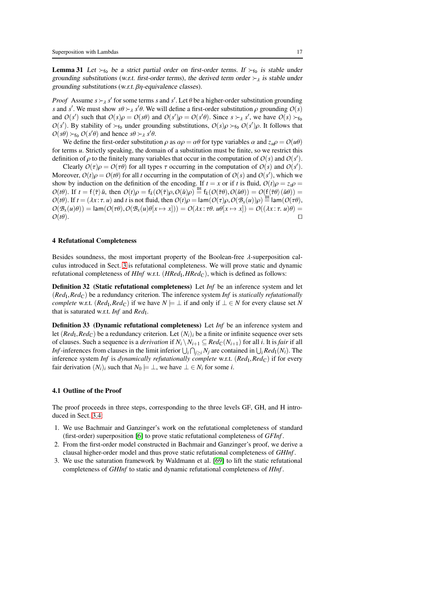**Lemma 31** Let  $\succ_{f_0}$  be a strict partial order on first-order terms. If  $\succ_{f_0}$  is stable under grounding substitutions (w.r.t. first-order terms), the derived term order  $\succ_{\lambda}$  is stable under grounding substitutions (w.r.t. βη-equivalence classes).

*Proof* Assume  $s \succcurlyeq s'$  for some terms *s* and *s'*. Let  $\theta$  be a higher-order substitution grounding *s* and *s*'. We must show  $s\theta \succ_{\lambda} s'\theta$ . We will define a first-order substitution  $\rho$  grounding  $O(s)$ and  $O(s')$  such that  $O(s)\rho = O(s\theta)$  and  $O(s')\rho = O(s'\theta)$ . Since  $s \succ_A s'$ , we have  $O(s) \succ_{f \circ}$  $O(s')$ . By stability of  $\succ_{f_o}$  under grounding substitutions,  $O(s)\rho \succ_{f_o} O(s')\rho$ . It follows that  $O(s\theta) \succ_{\text{fo}} O(s'\theta)$  and hence  $s\theta \succ_{\lambda} s'\theta$ .

We define the first-order substitution  $\rho$  as  $\alpha \rho = \alpha \theta$  for type variables  $\alpha$  and  $z_u \rho = O(u\theta)$ for terms *u*. Strictly speaking, the domain of a substitution must be finite, so we restrict this definition of  $\rho$  to the finitely many variables that occur in the computation of  $O(s)$  and  $O(s')$ .

Clearly  $O(\tau)\rho = O(\tau\theta)$  for all types  $\tau$  occurring in the computation of  $O(s)$  and  $O(s')$ . Moreover,  $O(t)\rho = O(t\theta)$  for all *t* occurring in the computation of  $O(s)$  and  $O(s')$ , which we show by induction on the definition of the encoding. If  $t = x$  or if t is fluid,  $O(t)\rho = z_t\rho$  $O(t\theta)$ . If  $t = f(\overline{\tau})\overline{u}$ , then  $O(t)\rho = f_k(O(\overline{\tau})\rho, O(\overline{u})\rho) \stackrel{\text{IH}}{=} f_k(O(\overline{\tau}\theta), O(\overline{u}\theta)) = O(f(\overline{\tau}\theta)(\overline{u}\theta))$  $O(t\theta)$ . If  $t = (\lambda x : \tau, u)$  and *t* is not fluid, then  $O(t)\rho = \text{lam}(O(\tau)\rho, O(\mathcal{B}_x(u))\rho) \stackrel{\text{IH}}{=} \text{lam}(O(\tau\theta),$  $O(\mathcal{B}_x(u)\theta)$  = lam $(O(\tau\theta), O(\mathcal{B}_x(u)\theta[x \mapsto x])) = O(\lambda x : \tau\theta.$   $u\theta[x \mapsto x]) = O((\lambda x : \tau.$   $u)\theta)$  =  $O(t\theta)$ .  $□$ 

## <span id="page-16-0"></span>4 Refutational Completeness

Besides soundness, the most important property of the Boolean-free  $\lambda$ -superposition calculus introduced in Sect. [3](#page-4-0) is refutational completeness. We will prove static and dynamic refutational completeness of *HInf* w.r.t. (*HRed*<sub>I</sub>, *HRed*<sub>C</sub>), which is defined as follows:

Definition 32 (Static refutational completeness) Let *Inf* be an inference system and let (*Red*<sub>I</sub>, *Red*<sub>C</sub>) be a redundancy criterion. The inference system *Inf* is *statically refutationally complete* w.r.t. (*Red*<sub>I</sub>, *Red*<sub>C</sub>) if we have  $N \models \bot$  if and only if  $\bot \in N$  for every clause set N that is saturated w.r.t. *Inf* and *Red*<sub>I</sub>.

<span id="page-16-1"></span>Definition 33 (Dynamic refutational completeness) Let *Inf* be an inference system and let  $(Red_I, Red_C)$  be a redundancy criterion. Let  $(N_i)_i$  be a finite or infinite sequence over sets of clauses. Such a sequence is a *derivation* if  $N_i \setminus N_{i+1} \subseteq Red_C(N_{i+1})$  for all *i*. It is *fair* if all *Inf*-inferences from clauses in the limit inferior  $\bigcup_i \bigcap_{j \ge i} N_j$  are contained in  $\bigcup_i Red_1(N_i)$ . The inference system *Inf* is *dynamically refutationally complete* w.r.t. (*Red*<sub>I</sub>, *Red*<sub>C</sub>) if for every fair derivation  $(N_i)_i$  such that  $N_0 \models \bot$ , we have  $\bot \in N_i$  for some *i*.

## 4.1 Outline of the Proof

The proof proceeds in three steps, corresponding to the three levels GF, GH, and H introduced in Sect. [3.4:](#page-11-0)

- 1. We use Bachmair and Ganzinger's work on the refutational completeness of standard (first-order) superposition [\[6\]](#page-42-0) to prove static refutational completeness of *GFInf* .
- 2. From the first-order model constructed in Bachmair and Ganzinger's proof, we derive a clausal higher-order model and thus prove static refutational completeness of *GHInf* .
- 3. We use the saturation framework by Waldmann et al. [\[69\]](#page-44-1) to lift the static refutational completeness of *GHInf* to static and dynamic refutational completeness of *HInf* .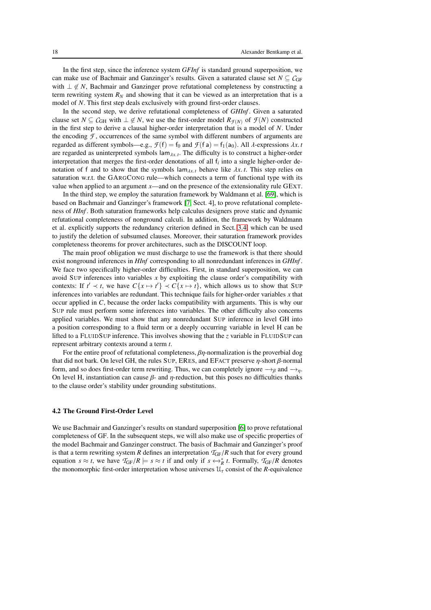In the first step, since the inference system *GFInf* is standard ground superposition, we can make use of Bachmair and Ganzinger's results. Given a saturated clause set  $N \subseteq C$ GF with  $\perp \notin N$ , Bachmair and Ganzinger prove refutational completeness by constructing a term rewriting system  $R_N$  and showing that it can be viewed as an interpretation that is a model of *N*. This first step deals exclusively with ground first-order clauses.

In the second step, we derive refutational completeness of *GHInf* . Given a saturated clause set  $N \subseteq C$ <sub>GH</sub> with  $\perp \notin N$ , we use the first-order model  $R_{\mathcal{F}(N)}$  of  $\mathcal{F}(N)$  constructed in the first step to derive a clausal higher-order interpretation that is a model of *N*. Under the encoding  $\mathcal F$ , occurrences of the same symbol with different numbers of arguments are regarded as different symbols—e.g.,  $\mathcal{F}(f) = f_0$  and  $\mathcal{F}(f a) = f_1(a_0)$ . All  $\lambda$ -expressions  $\lambda x$ . *t* are regarded as uninterpreted symbols  $\lim_{\lambda x,t}$ . The difficulty is to construct a higher-order interpretation that merges the first-order denotations of all f*<sup>i</sup>* into a single higher-order denotation of f and to show that the symbols  $\lim_{\lambda x,t}$  behave like  $\lambda x$ . *t*. This step relies on saturation w.r.t. the GARGCONG rule—which connects a term of functional type with its value when applied to an argument *x*—and on the presence of the extensionality rule GEXT.

In the third step, we employ the saturation framework by Waldmann et al. [\[69\]](#page-44-1), which is based on Bachmair and Ganzinger's framework [\[7,](#page-42-11) Sect. 4], to prove refutational completeness of *HInf* . Both saturation frameworks help calculus designers prove static and dynamic refutational completeness of nonground calculi. In addition, the framework by Waldmann et al. explicitly supports the redundancy criterion defined in Sect. [3.4,](#page-11-0) which can be used to justify the deletion of subsumed clauses. Moreover, their saturation framework provides completeness theorems for prover architectures, such as the DISCOUNT loop.

The main proof obligation we must discharge to use the framework is that there should exist nonground inferences in *HInf* corresponding to all nonredundant inferences in *GHInf* . We face two specifically higher-order difficulties. First, in standard superposition, we can avoid SUP inferences into variables *x* by exploiting the clause order's compatibility with contexts: If  $t' \prec t$ , we have  $C\{x \mapsto t'\} \prec C\{x \mapsto t\}$ , which allows us to show that SUP inferences into variables are redundant. This technique fails for higher-order variables *x* that occur applied in *C*, because the order lacks compatibility with arguments. This is why our SUP rule must perform some inferences into variables. The other difficulty also concerns applied variables. We must show that any nonredundant SUP inference in level GH into a position corresponding to a fluid term or a deeply occurring variable in level H can be lifted to a FLUIDSUP inference. This involves showing that the *z* variable in FLUIDSUP can represent arbitrary contexts around a term *t*.

For the entire proof of refutational completeness,  $\beta \eta$ -normalization is the proverbial dog that did not bark. On level GH, the rules SUP, ERES, and EFACT preserve  $\eta$ -short  $\beta$ -normal form, and so does first-order term rewriting. Thus, we can completely ignore  $\rightarrow$ <sub>β</sub> and  $\rightarrow$ <sub>n</sub>. On level H, instantiation can cause  $\beta$ - and  $\eta$ -reduction, but this poses no difficulties thanks to the clause order's stability under grounding substitutions.

#### 4.2 The Ground First-Order Level

We use Bachmair and Ganzinger's results on standard superposition [\[6\]](#page-42-0) to prove refutational completeness of GF. In the subsequent steps, we will also make use of specific properties of the model Bachmair and Ganzinger construct. The basis of Bachmair and Ganzinger's proof is that a term rewriting system *R* defines an interpretation  $T_{GF}/R$  such that for every ground equation  $s \approx t$ , we have  $T_{GF}/R \models s \approx t$  if and only if  $s \leftrightarrow_R^* t$ . Formally,  $T_{GF}/R$  denotes the monomorphic first-order interpretation whose universes  $\mathcal{U}_{\tau}$  consist of the *R*-equivalence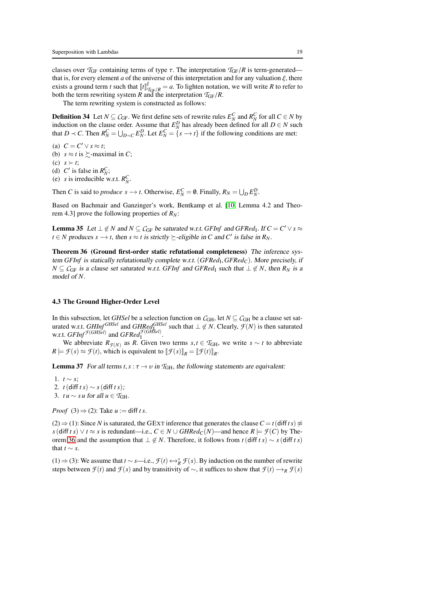classes over  $T_{GF}$  containing terms of type  $\tau$ . The interpretation  $T_{GF}/R$  is term-generated that is, for every element *a* of the universe of this interpretation and for any valuation  $\xi$ , there exists a ground term *t* such that  $\llbracket t \rrbracket_{\mathcal{T}_{GF}/R}^{\xi} = a$ . To lighten notation, we will write *R* to refer to both the term rewriting system *R* and the interpretation  $T_{\text{GF}}/R$ .

The term rewriting system is constructed as follows:

**Definition 34** Let  $N \subseteq C$ GF. We first define sets of rewrite rules  $E_N^C$  and  $R_N^C$  for all  $C \in N$  by induction on the clause order. Assume that  $E_N^D$  has already been defined for all  $D \in N$  such that  $D \prec C$ . Then  $R_N^C = \bigcup_{D \prec C} E_N^D$ . Let  $E_N^C = \{s \rightarrow t\}$  if the following conditions are met:

(a)  $C = C' \vee s \approx t$ ;

(b)  $s \approx t$  is  $\succsim$ -maximal in *C*;

(c) *s* ≻ *t*;

(d)  $C'$  is false in  $R_N^C$ ;

(e) *s* is irreducible w.r.t.  $R_N^C$ .

Then *C* is said to *produce*  $s \to t$ . Otherwise,  $E_N^C = \emptyset$ . Finally,  $R_N = \bigcup_D E_N^D$ .

<span id="page-18-1"></span>Based on Bachmair and Ganzinger's work, Bentkamp et al. [\[10,](#page-42-9) Lemma 4.2 and Theorem 4.3] prove the following properties of *RN*:

**Lemma 35** Let  $\perp \notin N$  and  $N \subseteq C$ <sub>GF</sub> be saturated w.r.t. *GFInf* and *GFRed*<sub>I</sub>. If  $C = C' \vee s \approx C$  $t \in N$  produces  $s \to t$ , then  $s \approx t$  is strictly  $\succeq$ -eligible in *C* and *C'* is false in  $R_N$ .

<span id="page-18-0"></span>Theorem 36 (Ground first-order static refutational completeness) The inference system *GFInf* is statically refutationally complete w.r.t. (*GFRed*<sub>I</sub>, *GFRed*<sub>C</sub>). More precisely, if *N* ⊆  $C$ <sub>GF</sub> is a clause set saturated w.r.t. *GFInf* and *GFRed*<sub>I</sub> such that  $\perp \notin N$ , then  $R_N$  is a model of *N*.

## 4.3 The Ground Higher-Order Level

In this subsection, let *GHSel* be a selection function on  $C_{GH}$ , let  $N \subseteq C_{GH}$  be a clause set saturated w.r.t. *GHInf GHSel* and *GHRed*<sup>*GHSel*</sup> such that  $\perp \notin N$ . Clearly,  $\mathcal{F}(N)$  is then saturated w.r.t.  $GFInf^{\mathcal{F}(GHSel)}}$  and  $GFRed^{\mathcal{F}(GHSel)}_1$ .

<span id="page-18-2"></span>We abbreviate  $R_{\mathcal{F}(N)}$  as *R*. Given two terms  $s, t \in \mathcal{T}_{GH}$ , we write  $s \sim t$  to abbreviate  $R \models \mathcal{F}(s) \approx \mathcal{F}(t)$ , which is equivalent to  $[\![\mathcal{F}(s)]\!]_R = [\![\mathcal{F}(t)]\!]_R$ .

**Lemma 37** For all terms  $t, s : \tau \to v$  in  $\mathcal{T}_{GH}$ , the following statements are equivalent:

1.  $t \sim s$ ;

2.  $t$ (diff  $ts$ ) ∼  $s$  (diff  $ts$ ); 3. *tu* ∼ *su* for all *u* ∈  $T_{GH}$ .

*Proof* (3)  $\Rightarrow$  (2): Take *u* := diff *t s*.

(2)  $\Rightarrow$  (1): Since *N* is saturated, the GEXT inference that generates the clause *C* = *t*(diff*t s*)  $\approx$ *s*(diff *t s*) ∨ *t* ≈ *s* is redundant—i.e., *C* ∈ *N* ∪ *GHRed*<sub>C</sub>(*N*)—and hence *R*  $\models$  *F*(*C*) by The-orem [36](#page-18-0) and the assumption that  $\perp \notin N$ . Therefore, it follows from *t*(diff *t s*) ~ *s*(diff *t s*) that  $t \sim s$ .

(1)  $\Rightarrow$  (3): We assume that *t* ∼ *s*—i.e.,  $\mathcal{F}(t) \leftrightarrow_R^* \mathcal{F}(s)$ . By induction on the number of rewrite steps between  $\mathcal{F}(t)$  and  $\mathcal{F}(s)$  and by transitivity of  $\sim$ , it suffices to show that  $\mathcal{F}(t) \rightarrow_R \mathcal{F}(s)$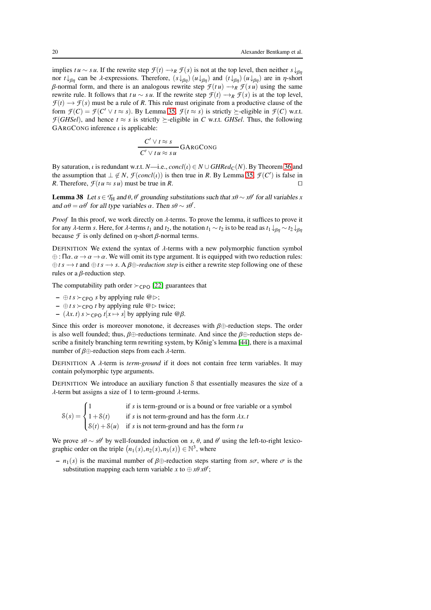implies *tu* ∼ *su*. If the rewrite step  $\mathcal{F}(t) \rightarrow_R \mathcal{F}(s)$  is not at the top level, then neither  $s \downarrow_{\beta\eta}$ nor *t* ↓<sub>βη</sub> can be λ-expressions. Therefore,  $(s \downarrow_{\beta\eta} ) (u \downarrow_{\beta\eta} )$  and  $(t \downarrow_{\beta\eta} ) (u \downarrow_{\beta\eta} )$  are in *η*-short β-normal form, and there is an analogous rewrite step  $\mathcal{F}(t u) \rightarrow_R \mathcal{F}(s u)$  using the same rewrite rule. It follows that  $tu \sim su$ . If the rewrite step  $\mathcal{F}(t) \rightarrow_R \mathcal{F}(s)$  is at the top level,  $\mathcal{F}(t) \rightarrow \mathcal{F}(s)$  must be a rule of *R*. This rule must originate from a productive clause of the form  $\mathcal{F}(C) = \mathcal{F}(C' \lor t \approx s)$ . By Lemma [35,](#page-18-1)  $\mathcal{F}(t \approx s)$  is strictly  $\succeq$ -eligible in  $\mathcal{F}(C)$  w.r.t. *F*(*GHSel*), and hence  $t \approx s$  is strictly  $\succ$ -eligible in *C* w.r.t. *GHSel*. Thus, the following GARGCONG inference  $\iota$  is applicable:

$$
\frac{C' \vee t \approx s}{C' \vee tu \approx su} \text{GARGCONG}
$$

By saturation, *i* is redundant w.r.t. *N*—i.e., *concl*(*t*)  $\in N \cup \text{GHRed}_{\mathcal{C}}(N)$ . By Theorem [36](#page-18-0) and the assumption that  $\perp \notin N$ ,  $\mathcal{F}(concl(\iota))$  is then true in *R*. By Lemma [35,](#page-18-1)  $\mathcal{F}(C')$  is false in *R*. Therefore,  $\mathcal{F}(tu \approx su)$  must be true in *R*. □

<span id="page-19-0"></span>**Lemma 38** Let  $s \in T_H$  and  $\theta$ ,  $\theta'$  grounding substitutions such that  $x\theta \sim x\theta'$  for all variables x and  $\alpha\theta = \alpha\theta'$  for all type variables  $\alpha$ . Then  $s\theta \sim s\theta'$ .

*Proof* In this proof, we work directly on  $\lambda$ -terms. To prove the lemma, it suffices to prove it for any  $\lambda$ -term *s*. Here, for  $\lambda$ -terms  $t_1$  and  $t_2$ , the notation  $t_1 \sim t_2$  is to be read as  $t_1 \downarrow_{\beta n} \sim t_2 \downarrow_{\beta n}$ because  $\mathcal F$  is only defined on  $\eta$ -short  $\beta$ -normal terms.

DEFINITION We extend the syntax of  $\lambda$ -terms with a new polymorphic function symbol  $\oplus$ : Πα.  $\alpha \to \alpha \to \alpha$ . We will omit its type argument. It is equipped with two reduction rules: ⊕*t s* −→ *t* and ⊕*t s* −→ *s*. A β⊕*-reduction step* is either a rewrite step following one of these rules or a  $\beta$ -reduction step.

The computability path order  $\succ_{\text{CPO}}$  [\[22\]](#page-42-2) guarantees that

- $-$  ⊕ *t* s ≻ c P o *s* by applying rule  $@$   $\triangleright$ ;
- ⊕*t s* ≻CPO *t* by applying rule @⊲ twice;
- $-(\lambda x. t) s \succ_{CPO} t[x \mapsto s]$  by applying rule @ $\beta$ .

Since this order is moreover monotone, it decreases with  $\beta \oplus$ -reduction steps. The order is also well founded; thus,  $\beta \oplus$ -reductions terminate. And since the  $\beta \oplus$ -reduction steps describe a finitely branching term rewriting system, by Kőnig's lemma  $[44]$ , there is a maximal number of β⊕-reduction steps from each  $λ$ -term.

DEFINITION A λ-term is *term-ground* if it does not contain free term variables. It may contain polymorphic type arguments.

DEFINITION We introduce an auxiliary function S that essentially measures the size of a  $\lambda$ -term but assigns a size of 1 to term-ground  $\lambda$ -terms.

 $\delta(s) =$  $\sqrt{ }$  $\int$  $\overline{1}$ 1 if *s* is term-ground or is a bound or free variable or a symbol  $1+S(t)$  if *s* is not term-ground and has the form  $\lambda x$ .  $S(t) + S(u)$  if *s* is not term-ground and has the form *tu* 

We prove  $s\theta \sim s\theta'$  by well-founded induction on *s*,  $\theta$ , and  $\theta'$  using the left-to-right lexicographic order on the triple  $(n_1(s), n_2(s), n_3(s)) \in \mathbb{N}^3$ , where

 $- n_1(s)$  is the maximal number of  $\beta \oplus$ -reduction steps starting from *so*, where  $\sigma$  is the substitution mapping each term variable *x* to  $\oplus x \theta x \theta'$ ;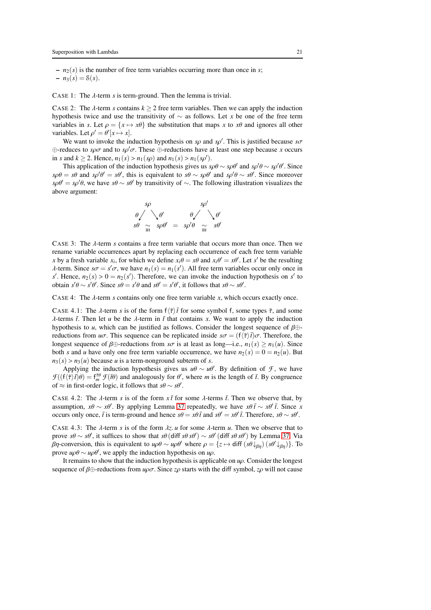$- n_2(s)$  is the number of free term variables occurring more than once in *s*;  $- n_3(s) = \mathcal{S}(s)$ .

CASE 1: The  $\lambda$ -term *s* is term-ground. Then the lemma is trivial.

CASE 2: The  $\lambda$ -term *s* contains  $k \geq 2$  free term variables. Then we can apply the induction hypothesis twice and use the transitivity of ∼ as follows. Let *x* be one of the free term variables in *s*. Let  $\rho = \{x \mapsto x\theta\}$  the substitution that maps *x* to  $x\theta$  and ignores all other variables. Let  $\rho' = \theta'[x \mapsto x]$ .

We want to invoke the induction hypothesis on  $s\rho$  and  $s\rho'$ . This is justified because  $s\sigma$ ⊕-reduces to *s*ρσ and to *s*ρ ′σ. These ⊕-reductions have at least one step because *x* occurs in *s* and  $k \ge 2$ . Hence,  $n_1(s) > n_1(sp)$  and  $n_1(s) > n_1(sp')$ .

This application of the induction hypothesis gives us  $s\rho\theta \sim s\rho\theta'$  and  $s\rho'\theta \sim s\rho'\theta'$ . Since  $s\rho\theta = s\theta$  and  $s\rho'\theta' = s\theta'$ , this is equivalent to  $s\theta \sim s\rho\theta'$  and  $s\rho'\theta \sim s\theta'$ . Since moreover  $s\rho\theta' = s\rho'\theta$ , we have  $s\theta \sim s\theta'$  by transitivity of  $\sim$ . The following illustration visualizes the above argument:

$$
\begin{array}{ccc}\n sp & sp' \\
\theta \searrow \theta & \theta \searrow \theta \\
s\theta \searrow sp\theta' = sp'\theta \searrow sp'\theta \\
m\n\end{array}
$$

CASE 3: The λ-term *s* contains a free term variable that occurs more than once. Then we rename variable occurrences apart by replacing each occurrence of each free term variable *x* by a fresh variable  $x_i$ , for which we define  $x_i \theta = x \theta$  and  $x_i \theta' = x \theta'$ . Let *s'* be the resulting  $\lambda$ -term. Since  $s\sigma = s'\sigma$ , we have  $n_1(s) = n_1(s')$ . All free term variables occur only once in *s*<sup> $\ell$ </sup>. Hence,  $n_2(s) > 0 = n_2(s')$ . Therefore, we can invoke the induction hypothesis on *s*<sup> $\ell$ </sup> to obtain  $s'\theta \sim s'\theta'$ . Since  $s\theta = s'\theta$  and  $s\theta' = s'\theta'$ , it follows that  $s\theta \sim s\theta'$ .

CASE 4: The  $\lambda$ -term *s* contains only one free term variable *x*, which occurs exactly once.

CASE 4.1: The  $\lambda$ -term *s* is of the form  $f(\overline{\tau})\overline{t}$  for some symbol f, some types  $\overline{\tau}$ , and some  $\lambda$ -terms  $\bar{t}$ . Then let *u* be the  $\lambda$ -term in  $\bar{t}$  that contains *x*. We want to apply the induction hypothesis to *u*, which can be justified as follows. Consider the longest sequence of  $\beta \oplus$ reductions from  $u\sigma$ . This sequence can be replicated inside  $s\sigma = (f\langle \bar{\tau} \rangle \bar{t})\sigma$ . Therefore, the longest sequence of  $\beta \oplus$ -reductions from *so* is at least as long—i.e.,  $n_1(s) \ge n_1(u)$ . Since both *s* and *u* have only one free term variable occurrence, we have  $n_2(s) = 0 = n_2(u)$ . But  $n_3(s) > n_3(u)$  because *u* is a term-nonground subterm of *s*.

Applying the induction hypothesis gives us  $u\theta \sim u\theta'$ . By definition of *F*, we have  $\mathcal{F}((f\langle \bar{\tau} \rangle \bar{t})\theta) = f_m^{\bar{\tau}\theta} \mathcal{F}(\bar{t}\theta)$  and analogously for  $\theta'$ , where *m* is the length of  $\bar{t}$ . By congruence of  $\approx$  in first-order logic, it follows that  $s\theta \sim s\theta'$ .

CASE 4.2: The  $\lambda$ -term *s* is of the form  $x\bar{t}$  for some  $\lambda$ -terms  $\bar{t}$ . Then we observe that, by assumption,  $x\theta \sim x\theta'$ . By applying Lemma [37](#page-18-2) repeatedly, we have  $x\theta \bar{t} \sim x\theta' \bar{t}$ . Since *x* occurs only once,  $\bar{t}$  is term-ground and hence  $s\theta = x\theta \bar{t}$  and  $s\theta' = x\theta' \bar{t}$ . Therefore,  $s\theta \sim s\theta'$ .

CASE 4.3: The  $\lambda$ -term *s* is of the form  $\lambda z$ . *u* for some  $\lambda$ -term *u*. Then we observe that to prove  $s\theta \sim s\theta'$ , it suffices to show that  $s\theta$  (diff  $s\theta s\theta'$ )  $\sim s\theta'$  (diff  $s\theta s\theta'$ ) by Lemma [37.](#page-18-2) Via *βη*-conversion, this is equivalent to *uρθ* ∼ *uρθ'* where  $ρ = {z \mapsto diff (sθ \downarrow_{βη}) (sθ' \downarrow_{βη})}$ . To prove  $u \rho \theta \sim u \rho \theta'$ , we apply the induction hypothesis on  $u \rho$ .

It remains to show that the induction hypothesis is applicable on *u*ρ. Consider the longest sequence of  $\beta \oplus$ -reductions from  $\mu \rho \sigma$ . Since  $z \rho$  starts with the diff symbol,  $z \rho$  will not cause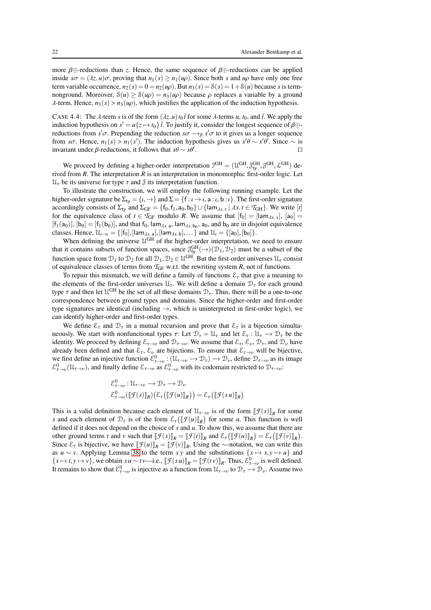more  $\beta \oplus$ -reductions than *z*. Hence, the same sequence of  $\beta \oplus$ -reductions can be applied inside  $s\sigma = (\lambda z, u)\sigma$ , proving that  $n_1(s) \geq n_1(u\rho)$ . Since both *s* and  $u\rho$  have only one free term variable occurrence,  $n_2(s) = 0 = n_2(\mu \rho)$ . But  $n_3(s) = S(s) = 1 + S(\mu)$  because *s* is termnonground. Moreover,  $S(u) \ge S(u\rho) = n_3(u\rho)$  because  $\rho$  replaces a variable by a ground  $\lambda$ -term. Hence,  $n_3(s) > n_3(\mu \rho)$ , which justifies the application of the induction hypothesis.

CASE 4.4: The  $\lambda$ -term *s* is of the form  $(\lambda z. u) t_0 \bar{t}$  for some  $\lambda$ -terms  $u, t_0$ , and  $\bar{t}$ . We apply the induction hypothesis on  $s' = u\{z \mapsto t_0\}$   $\bar{t}$ . To justify it, consider the longest sequence of  $\beta \oplus$ reductions from  $s' \sigma$ . Prepending the reduction  $s \sigma \rightarrow_{\beta} s' \sigma$  to it gives us a longer sequence from *so*. Hence,  $n_1(s) > n_1(s')$ . The induction hypothesis gives us  $s'\theta \sim s'\theta'$ . Since  $\sim$  is invariant under  $\beta$ -reductions, it follows that  $s\theta \sim s\theta'$ . ⊓⊔

We proceed by defining a higher-order interpretation  $J^{GH} = (\mathcal{U}^{GH}, \mathcal{J}^{GH}_{ty}, \mathcal{J}^{GH}, \mathcal{L}^{GH})$  derived from *R*. The interpretation *R* is an interpretation in monomorphic first-order logic. Let  $\mathcal{U}_{\tau}$  be its universe for type  $\tau$  and  $\mathcal{J}$  its interpretation function.

To illustrate the construction, we will employ the following running example. Let the higher-order signature be  $\Sigma_{\text{ty}} = \{t, \rightarrow\}$  and  $\Sigma = \{f : t \rightarrow t, a : t, b : t\}$ . The first-order signature accordingly consists of  $\Sigma_{\text{ty}}$  and  $\Sigma_{\text{GF}} = \{f_0, f_1, a_0, b_0\} \cup \{\text{lam}_{\lambda x. t} \mid \lambda x. t \in \mathcal{T}_{\text{GH}}\}$ . We write [t] for the equivalence class of  $t \in \mathcal{T}_{GF}$  modulo *R*. We assume that  $[f_0] = [\text{lam}_{\lambda x.x}]$ ,  $[a_0] =$  $[f_1(a_0)], [b_0] = [f_1(b_0)],$  and that  $f_0$ ,  $\lambda x_a$ ,  $\lambda b_0$ ,  $a_0$ , and  $b_0$  are in disjoint equivalence classes. Hence,  $\mathcal{U}_{\iota \to \iota} = \{ [f_0], [ \mathsf{lam}_{\lambda x. \mathsf{a}}], [ \mathsf{lam}_{\lambda x. \mathsf{b}}], \dots \}$  and  $\mathcal{U}_{\iota} = \{ [a_0], [b_0] \}.$ 

When defining the universe  $\mathcal{U}^{GH}$  of the higher-order interpretation, we need to ensure that it contains subsets of function spaces, since  $\partial_{ty}^{GH}(\rightarrow)(\mathcal{D}_1, \mathcal{D}_2)$  must be a subset of the function space from  $\mathcal{D}_1$  to  $\mathcal{D}_2$  for all  $\mathcal{D}_1, \mathcal{D}_2 \in \mathcal{U}^{GH}$ . But the first-order universes  $\mathcal{U}_\tau$  consist of equivalence classes of terms from  $T_{GF}$  w.r.t. the rewriting system  $R$ , not of functions.

To repair this mismatch, we will define a family of functions  $\mathcal{E}_{\tau}$  that give a meaning to the elements of the first-order universes  $\mathcal{U}_{\tau}$ . We will define a domain  $\mathcal{D}_{\tau}$  for each ground type  $\tau$  and then let  $\mathcal{U}^{GH}$  be the set of all these domains  $\mathcal{D}_{\tau}$ . Thus, there will be a one-to-one correspondence between ground types and domains. Since the higher-order and first-order type signatures are identical (including  $\rightarrow$ , which is uninterpreted in first-order logic), we can identify higher-order and first-order types.

We define  $\mathcal{E}_{\tau}$  and  $\mathcal{D}_{\tau}$  in a mutual recursion and prove that  $\mathcal{E}_{\tau}$  is a bijection simultaneously. We start with nonfunctional types  $\tau$ : Let  $\mathcal{D}_{\tau} = \mathcal{U}_{\tau}$  and let  $\mathcal{E}_{\tau} : \mathcal{U}_{\tau} \to \mathcal{D}_{\tau}$  be the identity. We proceed by defining  $\mathcal{E}_{\tau\to\nu}$  and  $\mathcal{D}_{\tau\to\nu}$ . We assume that  $\mathcal{E}_{\tau}$ ,  $\mathcal{E}_{\nu}$ ,  $\mathcal{D}_{\tau}$ , and  $\mathcal{D}_{\nu}$  have already been defined and that  $\mathcal{E}_{\tau}$ ,  $\mathcal{E}_{\nu}$  are bijections. To ensure that  $\mathcal{E}_{\tau\to\nu}$  will be bijective, we first define an injective function  $\mathcal{E}^0_{\tau\to\nu}$ :  $(\mathcal{U}_{\tau\to\nu}\to\mathcal{D}_{\tau})\to\mathcal{D}_{\nu}$ , define  $\mathcal{D}_{\tau\to\nu}$  as its image  $\mathcal{E}^0_{\tau\to\nu}(\mathfrak{U}_{\tau\to\nu})$ , and finally define  $\mathcal{E}_{\tau\to\nu}$  as  $\mathcal{E}^0_{\tau\to\nu}$  with its codomain restricted to  $\mathcal{D}_{\tau\to\nu}$ .

$$
\mathcal{E}_{\tau \to \nu}^0: \mathfrak{U}_{\tau \to \nu} \to \mathfrak{D}_{\tau} \to \mathfrak{D}_{\nu}
$$

$$
\mathcal{E}_{\tau \to \nu}^0([\![\mathcal{F}(s)]\!]_R)(\mathcal{E}_{\tau}([\![\mathcal{F}(u)]\!]_R)) = \mathcal{E}_{\nu}([\![\mathcal{F}(s u)]\!]_R)
$$

This is a valid definition because each element of  $\mathcal{U}_{\tau\to\nu}$  is of the form  $[\![\mathcal{F}(s)]\!]_R$  for some *s* and each element of  $\mathcal{D}_{\tau}$  is of the form  $\mathcal{E}_{\tau}([\![\mathcal{F}(u)]\!]_R)$  for some *u*. This function is well defined if it does not depend on the choice of *s* and *u*. To show this, we assume that there are other ground terms *t* and *v* such that  $[\![\mathcal{F}(s)]\!]_R = [\![\mathcal{F}(t)]\!]_R$  and  $\mathcal{E}_{\tau}([\![\mathcal{F}(u)]\!]_R) = \mathcal{E}_{\tau}([\![\mathcal{F}(v)]\!]_R)$ . Since  $\mathcal{E}_{\tau}$  is bijective, we have  $[\![\mathcal{F}(u)]\!]_R = [\![\mathcal{F}(v)]\!]_R$ . Using the ∼-notation, we can write this as *u* ∼ *v*. Applying Lemma [38](#page-19-0) to the term *xy* and the substitutions  $\{x \mapsto s, y \mapsto u\}$  and  ${x \mapsto t, y \mapsto v}$ , we obtain  $s u \sim tv$ —i.e.,  $[\![\mathcal{F}(s u)]\!]_R = [\![\mathcal{F}(t v)]\!]_R$ . Thus,  $\mathcal{E}^0_{\tau \to v}$  is well defined. It remains to show that  $\mathcal{E}^0_{\tau\to\nu}$  is injective as a function from  $\mathcal{U}_{\tau\to\nu}$  to  $\mathcal{D}_\tau\to\mathcal{D}_\nu$ . Assume two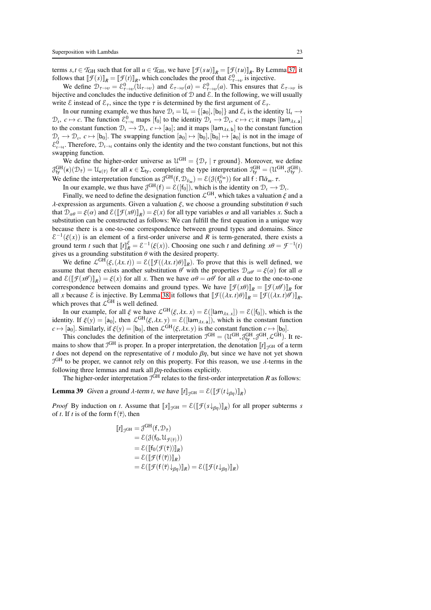terms *s*,*t*  $\in$  *T*<sub>GH</sub> such that for all *u*  $\in$  *T*<sub>GH</sub>, we have  $[\![\mathcal{F}(su)]\!]_R = [\![\mathcal{F}(tu)]\!]_R$ . By Lemma [37,](#page-18-2) it follows that  $[\![\mathcal{F}(s)]\!]_R = [\![\mathcal{F}(t)]\!]_R$ , which concludes the proof that  $\mathcal{E}^0_{\tau\to v}$  is injective.

We define  $\mathcal{D}_{\tau\to\nu} = \mathcal{E}_{\tau\to\nu}^0(\mathcal{U}_{\tau\to\nu})$  and  $\mathcal{E}_{\tau\to\nu}(a) = \mathcal{E}_{\tau\to\nu}^0(a)$ . This ensures that  $\mathcal{E}_{\tau\to\nu}$  is bijective and concludes the inductive definition of  $D$  and  $E$ . In the following, we will usually write  $\mathcal E$  instead of  $\mathcal E_{\tau}$ , since the type  $\tau$  is determined by the first argument of  $\mathcal E_{\tau}$ .

In our running example, we thus have  $\mathcal{D}_t = \mathcal{U}_t = \{[\mathsf{a}_0], [\mathsf{b}_0]\}$  and  $\mathcal{E}_t$  is the identity  $\mathcal{U}_t \to$  $\mathcal{D}_t$ ,  $c \mapsto c$ . The function  $\mathcal{E}_{t \to t}^0$  maps [f<sub>0</sub>] to the identity  $\mathcal{D}_t \to \mathcal{D}_t$ ,  $c \mapsto c$ ; it maps [lam<sub> $\lambda x$ </sub> a] to the constant function  $\mathcal{D}_t \to \mathcal{D}_t$ ,  $c \mapsto [a_0]$ ; and it maps  $[lam_{\lambda x, b}]$  to the constant function  $\mathcal{D}_\iota \to \mathcal{D}_\iota$ ,  $c \mapsto [b_0]$ . The swapping function  $[a_0] \mapsto [b_0], [b_0] \mapsto [a_0]$  is not in the image of  $\mathcal{E}^0_{\iota\to\iota}$ . Therefore,  $\mathcal{D}_{\iota\to\iota}$  contains only the identity and the two constant functions, but not this swapping function.

We define the higher-order universe as  $\mathcal{U}^{GH} = \{ \mathcal{D}_{\tau} \mid \tau \text{ ground} \}.$  Moreover, we define  $\mathcal{J}_{ty}^{GH}(\kappa)(\mathcal{D}_{\bar{\tau}}) = \mathcal{U}_{\kappa(\bar{\tau})}$  for all  $\kappa \in \Sigma_{ty}$ , completing the type interpretation  $\mathcal{I}_{ty}^{GH} = (\mathcal{U}^{GH}, \mathcal{J}_{ty}^{GH})$ . We define the interpretation function as  $\mathcal{J}^{GH}(f, \mathcal{D}_{\bar{\nu}_m}) = \mathcal{E}(\mathcal{J}(f_0^{\bar{\nu}_m}))$  for all  $f : \Pi \bar{\alpha}_m$ .  $\tau$ .

In our example, we thus have  $\mathcal{J}^{GH}(f) = \mathcal{E}([f_0])$ , which is the identity on  $\mathcal{D}_t \to \mathcal{D}_t$ .

Finally, we need to define the designation function  $\mathcal{L}^{GH}$ , which takes a valuation  $\xi$  and a λ-expression as arguments. Given a valuation  $ξ$ , we choose a grounding substitution  $θ$  such that  $\mathcal{D}_{\alpha\theta} = \xi(\alpha)$  and  $\mathcal{E}(\llbracket \mathcal{F}(x\theta) \rrbracket_R) = \xi(x)$  for all type variables  $\alpha$  and all variables  $x$ . Such a substitution can be constructed as follows: We can fulfill the first equation in a unique way because there is a one-to-one correspondence between ground types and domains. Since  $\mathcal{E}^{-1}(\xi(x))$  is an element of a first-order universe and *R* is term-generated, there exists a ground term *t* such that  $[[t]]_R^{\xi} = \mathcal{E}^{-1}(\xi(x))$ . Choosing one such *t* and defining  $x\theta = \mathcal{F}^{-1}(t)$ gives us a grounding substitution  $\theta$  with the desired property.

We define  $\mathcal{L}^{GH}(\xi,(\lambda x,t)) = \mathcal{E}(\llbracket \mathcal{F}((\lambda x,t)\theta)\rrbracket_R)$ . To prove that this is well defined, we assume that there exists another substitution  $\theta'$  with the properties  $\mathcal{D}_{\alpha\theta'} = \xi(\alpha)$  for all  $\alpha$ and  $\mathcal{E}([\![\mathcal{F}(x\theta')]\!]_R) = \xi(x)$  for all *x*. Then we have  $\alpha\theta = \alpha\theta'$  for all  $\alpha$  due to the one-to-one correspondence between domains and ground types. We have  $[\![\mathcal{F}(x\theta)]\!]_R = [\![\mathcal{F}(x\theta')] \!]_R$  for all *x* because  $\mathcal{E}$  is injective. By Lemma [38](#page-19-0) it follows that  $[\![\mathcal{F}((\lambda x. t)\theta)]\!]_R = [\![\mathcal{F}((\lambda x. t)\theta')] \!]_R$ , which proves that  $\mathcal{L}^{\tilde{G}H}$  is well defined.

In our example, for all  $\xi$  we have  $\mathcal{L}^{GH}(\xi, \lambda x, x) = \mathcal{E}([\text{lam}_{\lambda x, x}]) = \mathcal{E}([\text{f}_0]),$  which is the identity. If  $\xi(y) = [a_0]$ , then  $\mathcal{L}^{GH}(\xi, \lambda x, y) = \mathcal{E}([a m_{\lambda x, a}])$ , which is the constant function  $c \mapsto [a_0]$ . Similarly, if  $\xi(y) = [b_0]$ , then  $\mathcal{L}^{GH}(\xi, \lambda x, y)$  is the constant function  $c \mapsto [b_0]$ .

This concludes the definition of the interpretation  $J^{GH} = (\mathcal{U}^{GH}, \mathcal{J}^{GH}_{ty}, \mathcal{J}^{GH}, \mathcal{L}^{GH})$ . It remains to show that  $J<sup>GH</sup>$  is proper. In a proper interpretation, the denotation  $\llbracket t \rrbracket_{JGH}$  of a term *t* does not depend on the representative of *t* modulo  $\beta\eta$ , but since we have not yet shown  $J<sup>GH</sup>$  to be proper, we cannot rely on this property. For this reason, we use  $\lambda$ -terms in the following three lemmas and mark all  $\beta\eta$ -reductions explicitly.

The higher-order interpretation  $J<sup>GH</sup>$  relates to the first-order interpretation *R* as follows:

**Lemma 39** Given a ground  $\lambda$ -term *t*, we have  $[\![t]\!]_{\text{JGH}} = \mathcal{E}([\![\mathcal{F}(t\downarrow_{\beta\eta})]\!]_R)$ 

*Proof* By induction on *t*. Assume that  $[\![s]\!]_{\mathcal{J}GH} = \mathcal{E}([\![\mathcal{F}(s \downarrow_{\beta\eta})]\!]_R)$  for all proper subterms *s* of *t*. If *t* is of the form  $f\langle \bar{\tau} \rangle$ , then

<span id="page-22-0"></span>
$$
\begin{aligned} [\![t]\!]_{\mathcal{I}^{GH}} &= \mathcal{J}^{GH}(\mathbf{f}, \mathcal{D}_{\bar{\tau}}) \\ &= \mathcal{E}(\mathcal{J}(\mathbf{f}_0, \mathcal{U}_{\mathcal{F}(\bar{\tau})})) \\ &= \mathcal{E}([\![\mathbf{f}_0(\mathcal{F}(\bar{\tau}))]\!]_R) \\ &= \mathcal{E}([\![\mathcal{F}(\mathbf{f}(\bar{\tau}))]\!]_R) \\ &= \mathcal{E}([\![\mathcal{F}(\mathbf{f}(\bar{\tau})\downarrow_{\beta\eta})]\!]_R) = \mathcal{E}([\![\mathcal{F}(t\downarrow_{\beta\eta})]\!]_R) \end{aligned}
$$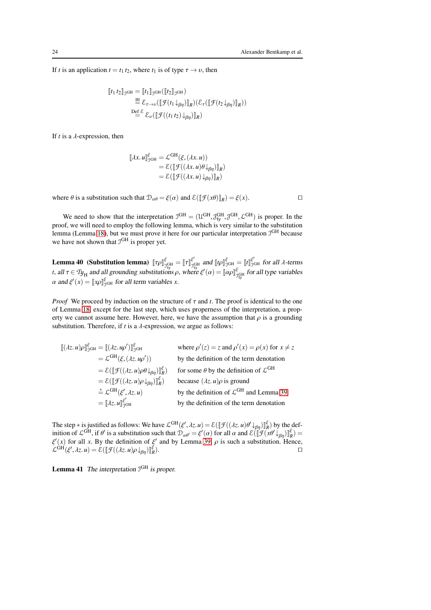If *t* is an application  $t = t_1 t_2$ , where  $t_1$  is of type  $\tau \rightarrow \nu$ , then

$$
\begin{aligned} [\![t_1 \, t_2]\!]_{\mathcal{I}^{\text{GH}}} &= [\![t_1]\!]_{\mathcal{I}^{\text{GH}}}([\![t_2]\!]_{\mathcal{I}^{\text{GH}}}) \\ &\stackrel{\text{IH}}{=} \mathcal{E}_{\tau \to \nu}([\![\mathcal{F}(t_1 \downarrow_{\beta\eta})]\!]_R) (\mathcal{E}_{\tau}([\![\mathcal{F}(t_2 \downarrow_{\beta\eta})]\!]_R)) \\ &\stackrel{\text{Def}}{=} \mathcal{E}_{\nu}([\![\mathcal{F}((t_1 \, t_2) \downarrow_{\beta\eta})]\!]_R) \end{aligned}
$$

If  $t$  is a  $\lambda$ -expression, then

$$
\llbracket \lambda x. u \rrbracket_{\mathfrak{I} \text{GH}}^{\xi} = \mathcal{L}^{\text{GH}}(\xi, (\lambda x. u))
$$
  
=  $\mathcal{E}(\llbracket \mathcal{F}((\lambda x. u) \theta \downarrow_{\beta \eta}) \rrbracket_R)$   
=  $\mathcal{E}(\llbracket \mathcal{F}((\lambda x. u) \downarrow_{\beta \eta}) \rrbracket_R)$ 

where  $\theta$  is a substitution such that  $\mathcal{D}_{\alpha\theta} = \xi(\alpha)$  and  $\mathcal{E}([\![\mathcal{F}(x\theta)]\!]_R) = \xi(x)$ .

We need to show that the interpretation  $J^{GH} = (\mathcal{U}^{GH}, \mathcal{J}^{GH}_{t}, \mathcal{J}^{GH}, \mathcal{L}^{GH})$  is proper. In the proof, we will need to employ the following lemma, which is very similar to the substitution lemma (Lemma [18\)](#page-10-0), but we must prove it here for our particular interpretation  $\mathcal{I}^{GH}$  because we have not shown that  $J<sup>GH</sup>$  is proper yet.

<span id="page-23-0"></span>**Lemma 40** (Substitution lemma)  $[\![\tau\rho]\!]_{\mathcal{I}_{\mathbb{U}}^{\mathbb{G}}}^{\mathbb{F}} = [\![\tau]\!]_{\mathcal{I}_{\mathbb{U}}^{\mathbb{G}}}^{\mathbb{F}^{\mathbb{G}}}}$  $\int_{\text{Cyl}}^{\xi'}$  and  $[\![t\rho]\!]_{\text{JGH}}^{\xi'} = [\![t]\!]_{\text{JGH}}^{\xi'}$  for all  $\lambda$ -terms *t*, all  $\tau \in T y_H$  and all grounding substitutions  $\rho$ , where  $\xi'(\alpha) = [\alpha \rho]_{y_{\text{ty}}^{\xi}}^{\xi}$  for all type variables  $\alpha$  and  $\xi'(x) = [x \rho]_{\text{JGH}}^{\xi}$  for all term variables *x*.

*Proof* We proceed by induction on the structure of  $\tau$  and t. The proof is identical to the one of Lemma [18,](#page-10-0) except for the last step, which uses properness of the interpretation, a property we cannot assume here. However, here, we have the assumption that  $\rho$  is a grounding substitution. Therefore, if  $t$  is a  $\lambda$ -expression, we argue as follows:

 $[(\lambda z. u)\rho]_{\mathcal{J}^{GH}}^{\xi} = [(\lambda z. u\rho')]_{\mathcal{J}}^{\xi}$  $\int_{\text{JGH}}^{\xi}$  where  $\rho'(z) = z$  and  $\rho'(x) = \rho(x)$  for  $x \neq z$  $=\mathcal{L}^{\mathrm{GH}}(\xi,(\lambda z.\iota\varphi')$ )) by the definition of the term denotation  $= \mathcal{E}([\![\mathcal{F}((\lambda z. u)\rho \theta \downarrow_{\beta \eta})\!]_R^{\xi}$ ) for some  $\theta$  by the definition of  $\mathcal{L}^{GH}$  $= \mathcal{E}([\![\mathcal{F}((\lambda z. u)\rho \downarrow_{\beta\eta})\!]_R^{\xi}$ because  $(\lambda z. u)\rho$  is ground  $\stackrel{*}{=}\mathcal{L}^{\mathrm{GH}}(\xi^{\prime}% \xi^{\prime})=0$  $h, \lambda z. u$  by the definition of  $\mathcal{L}^{GH}$  and Lemma [39](#page-22-0)  $=[\![\lambda z.\,u]\!]^{\xi'}_{\tau^0}$ by the definition of the term denotation

The step  $*$  is justified as follows: We have  $\mathcal{L}^{GH}(\xi', \lambda z. u) = \mathcal{E}(\llbracket \mathcal{F}((\lambda z. u)\theta' \downarrow_{\beta\eta}) \rrbracket_R^{\xi})$  by the definition of  $\mathcal{L}^{GH}$ , if  $\theta'$  is a substitution such that  $\mathcal{D}_{\alpha\theta'} = \xi'(\alpha)$  for all  $\alpha$  and  $\mathcal{E}(\llbracket \mathcal{F}(\mathbf{x}\theta' \downarrow_{\beta\eta}) \rrbracket_R^{\xi}) =$  $\xi'(x)$  for all *x*. By the definition of  $\xi'$  and by Lemma [39,](#page-22-0)  $\rho$  is such a substitution. Hence,  $\mathcal{L}^{\text{GH}}(\xi', \lambda z. u) = \mathcal{E}(\llbracket \mathcal{F}((\lambda z. u) \rho \downarrow_{\beta \eta}) \rrbracket_R^{\xi}).$ 

**Lemma 41** The interpretation  $J<sup>GH</sup>$  is proper.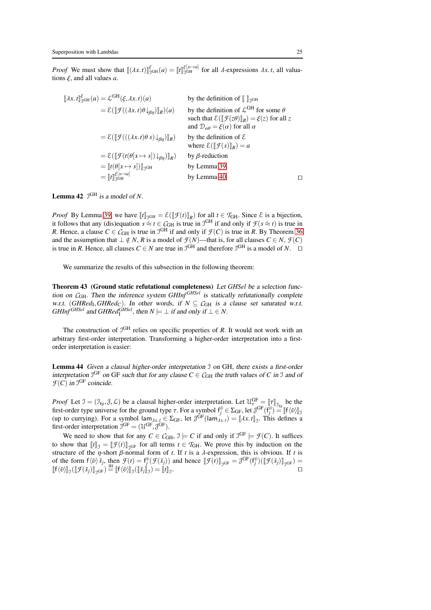*Proof* We must show that  $[(\lambda x. t)]_{\text{9GH}}^{\xi}$  (*a*) =  $[t]_{\text{9GH}}^{\xi[x\to a]}$  for all  $\lambda$ -expressions  $\lambda x. t$ , all valuations ξ, and all values *a*.

$$
\llbracket \lambda x. t \rrbracket_{\mathfrak{I}^{\mathfrak{G}_{\mathbf{H}}}}^{\varepsilon}(a) = \mathcal{L}^{\mathbf{G}\mathbf{H}}(\xi, \lambda x. t)(a) \qquad \text{by the definition of } \llbracket \rrbracket_{\mathfrak{I}^{\mathbf{G}\mathbf{H}}} \text{ for some } \theta
$$
\n
$$
= \mathcal{E}(\llbracket \mathcal{F}((\lambda x. t)\theta \downarrow_{\beta\eta}) \rrbracket_R)(a) \qquad \text{by the definition of } \mathcal{L}^{\mathbf{G}\mathbf{H}} \text{ for some } \theta
$$
\n
$$
\text{such that } \mathcal{E}(\llbracket \mathcal{F}(z\theta) \rrbracket_R) = \xi(z) \text{ for all } z
$$
\n
$$
= \mathcal{E}(\llbracket \mathcal{F}(((\lambda x. t)\theta s) \downarrow_{\beta\eta}) \rrbracket_R) \qquad \text{by the definition of } \mathcal{E}
$$
\n
$$
= \mathcal{E}(\llbracket \mathcal{F}((\theta[x \mapsto s]) \downarrow_{\beta\eta}) \rrbracket_R) \qquad \text{by } \beta\text{-reduction}
$$
\n
$$
= \llbracket t(\theta[x \mapsto s]) \rrbracket_{\mathfrak{I}^{\mathbf{G}\mathbf{H}}} \qquad \text{by Lemma 39}
$$
\n
$$
= \llbracket t \rrbracket_{\mathfrak{I}^{\mathbf{G}\mathbf{H} \to a}}^{\mathbf{G}[x \mapsto a]} \qquad \text{by Lemma 40} \qquad \square
$$

## **Lemma 42**  $\mathcal{I}^{\text{GH}}$  is a model of N.

*Proof* By Lemma [39,](#page-22-0) we have  $[\![t]\!]_{\mathcal{I}^{\text{GH}}} = \mathcal{E}([\![\mathcal{F}(t)]\!]_R)$  for all  $t \in \mathcal{T}_{\text{GH}}$ . Since  $\mathcal{E}$  is a bijection, it follows that any (dis)equation  $s \approx t \in C<sub>GH</sub>$  is true in J<sup>GH</sup> if and only if  $\mathcal{F}(s \approx t)$  is true in *R*. Hence, a clause  $C \in \mathcal{C}_{GH}$  is true in  $\mathcal{I}^{GH}$  if and only if  $\mathcal{F}(C)$  is true in *R*. By Theorem [36](#page-18-0) and the assumption that  $\perp \notin N$ , *R* is a model of  $\mathcal{F}(N)$ —that is, for all clauses  $C \in N$ ,  $\mathcal{F}(C)$ is true in *R*. Hence, all clauses  $C \in N$  are true in  $\mathcal{I}^{GH}$  and therefore  $\mathcal{I}^{GH}$  is a model of *N*. □

<span id="page-24-1"></span>We summarize the results of this subsection in the following theorem:

Theorem 43 (Ground static refutational completeness) Let *GHSel* be <sup>a</sup> selection function on  $C_{GH}$ . Then the inference system  $GHInf^{GHSel}$  is statically refutationally complete w.r.t. (*GHRed*<sub>I</sub>, *GHRed*<sub>C</sub>). In other words, if  $N \subseteq C<sub>GH</sub>$  is a clause set saturated w.r.t.  $GHInf^{GHSel}$  and  $GHRed^{GHSel}_{\mathbf{I}}$ , then  $N \models \bot$  if and only if  $\bot \in N$ .

<span id="page-24-0"></span>The construction of  $J<sup>GH</sup>$  relies on specific properties of *R*. It would not work with an arbitrary first-order interpretation. Transforming a higher-order interpretation into a firstorder interpretation is easier:

Lemma 44 Given <sup>a</sup> clausal higher-order interpretation I on GH, there exists <sup>a</sup> first-order interpretation  $J^{GF}$  on GF such that for any clause  $C \in C_{GH}$  the truth values of *C* in J and of  $\mathcal{F}(C)$  in  $\mathcal{I}^{\text{GF}}$  coincide.

*Proof* Let  $\mathcal{I} = (\mathcal{I}_{\text{ty}}, \mathcal{J}, \mathcal{L})$  be a clausal higher-order interpretation. Let  $\mathcal{U}_{\tau}^{\text{GF}} = [\![\tau]\!]_{\mathcal{I}_{\text{ty}}}$  be the first-order type universe for the ground type  $\tau$ . For a symbol  $f_j^{\bar{\nu}} \in \Sigma_{GF}$ , let  $\mathcal{J}^{GF}(f_j^{\bar{\nu}}) = [[\{\bar{\nu}\}]_g$  (up to currying). For a symbol lam $_{\lambda x.t} \in \Sigma_{GF}$ , let  $\mathcal{J}^{GF}(\text{lam}_{\lambda x.t}) = [\lambda x.t]_g$ . This defines a first-order interpretation  $\mathcal{I}^{GF} = (\mathcal{U}^{GF}, \mathcal{J}^{GF})$ .

We need to show that for any  $C \in \mathcal{C}_{GH}$ ,  $\mathcal{I} \models C$  if and only if  $\mathcal{I}^{GF} \models \mathcal{F}(C)$ . It suffices to show that  $[[t]]_{\mathcal{J}} = [[\mathcal{F}(t)]]_{\mathcal{J}^{GF}}$  for all terms  $t \in \mathcal{T}_{GH}$ . We prove this by induction on the structure of the  $\eta$ -short  $\beta$ -normal form of *t*. If *t* is a  $\lambda$ -expression, this is obvious. If *t* is of the form  $f(\bar{v})\bar{s}_j$ , then  $\mathcal{F}(t) = f_j^{\bar{v}}(\mathcal{F}(\bar{s}_j))$  and hence  $[\![\mathcal{F}(t)]\!]_{\mathcal{J}^{GF}} = \mathcal{J}^{GF}(f_j^{\bar{v}})([\![\mathcal{F}(\bar{s}_j)]\!]_{\mathcal{J}^{GF}}) =$  $\llbracket f(\bar{v}) \rrbracket_{\mathcal{J}} (\llbracket \mathcal{F}(\bar{s}_j) \rrbracket_{\mathcal{J}^{\text{GF}}}) \stackrel{\text{IH}}{=} \llbracket f(\bar{v}) \rrbracket_{\mathcal{J}} (\llbracket \bar{s}_j \rrbracket_{\mathcal{J}}) = \llbracket \bar{t} \rrbracket_{\mathcal{J}}.$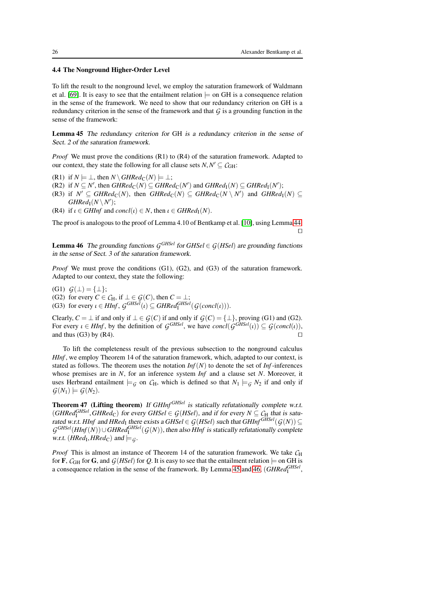## 4.4 The Nonground Higher-Order Level

To lift the result to the nonground level, we employ the saturation framework of Waldmann et al. [\[69\]](#page-44-1). It is easy to see that the entailment relation  $\models$  on GH is a consequence relation in the sense of the framework. We need to show that our redundancy criterion on GH is a redundancy criterion in the sense of the framework and that *G* is a grounding function in the sense of the framework:

<span id="page-25-0"></span>Lemma 45 The redundancy criterion for GH is <sup>a</sup> redundancy criterion in the sense of Sect. <sup>2</sup> of the saturation framework.

*Proof* We must prove the conditions (R1) to (R4) of the saturation framework. Adapted to our context, they state the following for all clause sets  $N, N' \subseteq \mathcal{C}_{GH}$ :

- (R1) if  $N \models \bot$ , then  $N \setminus \text{GHRed}_{\mathbb{C}}(N) \models \bot$ ;
- $(R2)$  if  $N \subseteq N'$ , then  $GHRed_{\mathbb{C}}(N) \subseteq GHRed_{\mathbb{C}}(N')$  and  $GHRed_{\mathbb{I}}(N) \subseteq GHRed_{\mathbb{I}}(N')$ ;
- $(K3)$  if  $N' \subseteq GHRed_{\mathbb{C}}(N)$ , then  $GHRed_{\mathbb{C}}(N) \subseteq GHRed_{\mathbb{C}}(N \setminus N')$  and  $GHRed_{\mathbb{I}}(N) \subseteq$  $GHRed<sub>I</sub>(N \setminus N')$ ;
- (R4) if  $\iota \in \mathcal{GHInf}$  and  $\mathcal{concl}(\iota) \in N$ , then  $\iota \in \mathcal{GHRed}_{\mathcal{I}}(N)$ .

The proof is analogous to the proof of Lemma 4.10 of Bentkamp et al. [\[10\]](#page-42-9), using Lemma [44.](#page-24-0) ⊓⊔

<span id="page-25-1"></span>**Lemma 46** The grounding functions  $G^{GHSel}$  for  $GHSel \in G(HSel)$  are grounding functions in the sense of Sect. <sup>3</sup> of the saturation framework.

*Proof* We must prove the conditions (G1), (G2), and (G3) of the saturation framework. Adapted to our context, they state the following:

(G1)  $G(⊥) = {⊥}$ ; (G2) for every  $C \in C_H$ , if  $\bot \in G(C)$ , then  $C = \bot$ ; (G3) for every  $\iota \in HInf$ ,  $G^{GHSel}(\iota) \subseteq GHRed^{GHSel}_{\mathbf{I}}(G(concl(\iota)))$ .

Clearly, *C* = ⊥ if and only if  $\bot \in \mathcal{G}(C)$  if and only if  $\mathcal{G}(C) = {\bot}$ , proving (G1) and (G2). For every  $\iota \in HInf$ , by the definition of  $G^{GHSel}$ , we have  $concl(G^{GHSel}(\iota)) \subseteq G(concl(\iota))$ , and thus (G3) by (R4). □

To lift the completeness result of the previous subsection to the nonground calculus *HInf*, we employ Theorem 14 of the saturation framework, which, adapted to our context, is stated as follows. The theorem uses the notation  $Inf(N)$  to denote the set of  $Inf$ -inferences whose premises are in *N*, for an inference system *Inf* and a clause set *N*. Moreover, it uses Herbrand entailment  $\models$  *G* on *C*<sub>H</sub>, which is defined so that  $N_1 \models$  *G*  $N_2$  if and only if  $G(N_1) \models G(N_2)$ .

<span id="page-25-2"></span>Theorem 47 (Lifting theorem) If *GHInf<sup>GHSel</sup>* is statically refutationally complete w.r.t.  $(GHRed<sub>I</sub>*GHSel*, *GHRed*<sub>C</sub>)$  for every  $GHSel \in \mathcal{G}(HSel)$ , and if for every  $N \subseteq \mathcal{G}_{H}$  that is saturated w.r.t. *HInf* and *HRed*<sub>I</sub> there exists a *GHSel*  $\in$  *G*(*HSel*) such that *GHInf*  $^{GHSel}(G(N))$   $\subseteq$  $G^{GHSel}(HInf(N)) \cup GHRed^{GHSel}(G(N))$ , then also *HInf* is statically refutationally complete w.r.t. (*HRed*<sub>I</sub>, *HRed*<sub>C</sub>) and  $\models$   $\epsilon$ .

*Proof* This is almost an instance of Theorem 14 of the saturation framework. We take  $C_H$ for **F**,  $C_{GH}$  for **G**, and  $G(HSel)$  for *Q*. It is easy to see that the entailment relation  $\models$  on GH is a consequence relation in the sense of the framework. By Lemma [45](#page-25-0) and [46,](#page-25-1) (*GHRed*<sup>*GHSel*</sup>,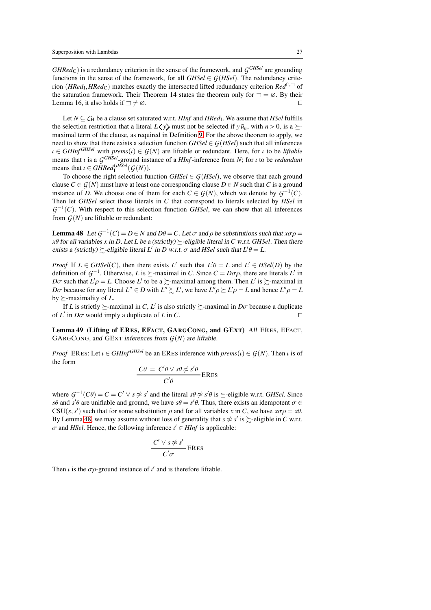*GHRed*C) is a redundancy criterion in the sense of the framework, and *G GHSel* are grounding functions in the sense of the framework, for all  $GHSel \in G(HSel)$ . The redundancy criterion (*HRed*<sub>I</sub>, *HRed*<sub>C</sub>) matches exactly the intersected lifted redundancy criterion *Red*<sup>∩,⊐</sup> of the saturation framework. Their Theorem 14 states the theorem only for  $\Box = \emptyset$ . By their Lemma 16, it also holds if  $\exists \neq \emptyset$ . □

Let  $N \subseteq C_H$  be a clause set saturated w.r.t. *HInf* and *HRed*<sub>I</sub>. We assume that *HSel* fulfills the selection restriction that a literal  $L(y)$  must not be selected if  $y \bar{u}_n$ , with  $n > 0$ , is a  $\succeq$ maximal term of the clause, as required in Definition [9.](#page-6-1) For the above theorem to apply, we need to show that there exists a selection function  $GHSel \in G(HSel)$  such that all inferences  $\iota \in \mathit{GHInf}^{\mathit{GHSel}}$  with  $\mathit{prems}(\iota) \in \mathcal{G}(N)$  are liftable or redundant. Here, for  $\iota$  to be *liftable* means that ι is a *G GHSel*-ground instance of a *HInf*-inference from *N*; for ι to be *redundant* means that  $\iota \in GHRed_{\mathrm{I}}^{GHSel}(\mathcal{G}(N)).$ 

To choose the right selection function  $GHSel \in G(HSel)$ , we observe that each ground clause  $C \in \mathcal{G}(N)$  must have at least one corresponding clause  $D \in N$  such that C is a ground instance of *D*. We choose one of them for each  $C \in \mathcal{G}(N)$ , which we denote by  $\mathcal{G}^{-1}(C)$ . Then let *GHSel* select those literals in *C* that correspond to literals selected by *HSel* in  $G^{-1}(C)$ . With respect to this selection function *GHSel*, we can show that all inferences from  $G(N)$  are liftable or redundant:

<span id="page-26-0"></span>Lemma 48 Let  $G^{-1}(C) = D \in N$  and  $D\theta = C$ . Let  $\sigma$  and  $\rho$  be substitutions such that  $x\sigma\rho =$ *x*θ for all variables *x* in *D*. Let *L* be a (strictly)  $\succeq$ -eligible literal in *C* w.r.t. *GHSel*. Then there exists a (strictly)  $\succsim$ -eligible literal *L'* in *D* w.r.t.  $\sigma$  and *HSel* such that  $L'\theta = L$ .

*Proof* If  $L \in GHSel(C)$ , then there exists  $L'$  such that  $L'\theta = L$  and  $L' \in HSel(D)$  by the definition of  $\mathcal{G}^{-1}$ . Otherwise, *L* is  $\succeq$ -maximal in *C*. Since  $C = D\sigma\rho$ , there are literals *L'* in *D* $\sigma$  such that  $L' \rho = L$ . Choose *L'* to be a  $\succsim$ -maximal among them. Then *L'* is  $\succsim$ -maximal in *D* $\sigma$  because for any literal  $L'' \in D$  with  $L'' \succeq L'$ , we have  $L'' \rho \succeq L' \rho = L$  and hence  $L'' \rho = L$ by  $\succeq$ -maximality of *L*.

If *L* is strictly  $\succeq$ -maximal in *C*, *L'* is also strictly  $\succeq$ -maximal in *D* $\sigma$  because a duplicate of *L'* in *D* $\sigma$  would imply a duplicate of *L* in *C*. □

<span id="page-26-1"></span>Lemma 49 (Lifting of ERES, EFACT, GARGCONG, and GEXT) All ERES, EFACT, GARGCONG, and GEXT inferences from *G*(*N*) are liftable.

*Proof* ERES: Let  $\iota \in \mathcal{GHInf}^{\mathcal{GHSel}}$  be an ERES inference with  $\mathit{prems}(\iota) \in \mathcal{G}(N)$ . Then  $\iota$  is of the form

$$
\frac{C\theta = C'\theta \vee s\theta \not\approx s'\theta}{C'\theta}
$$
ERes

where  $G^{-1}(C\theta) = C = C' \vee s \not\approx s'$  and the literal  $s\theta \not\approx s'\theta$  is  $\succeq$ -eligible w.r.t. *GHSel*. Since *s*θ and  $\vec{s}$ <sup>'</sup>θ are unifiable and ground, we have  $s\theta = s'\theta$ . Thus, there exists an idempotent  $\sigma \in$  $CSU(s, s')$  such that for some substitution  $\rho$  and for all variables *x* in *C*, we have  $x\sigma\rho = x\theta$ . By Lemma [48,](#page-26-0) we may assume without loss of generality that  $s \not\approx s'$  is  $\succsim$ -eligible in *C* w.r.t.  $\sigma$  and *HSel*. Hence, the following inference  $\iota' \in HInf$  is applicable:

$$
\frac{C' \vee s \not\approx s'}{C'\sigma}
$$
ERES

Then  $\iota$  is the  $\sigma \rho$ -ground instance of  $\iota'$  and is therefore liftable.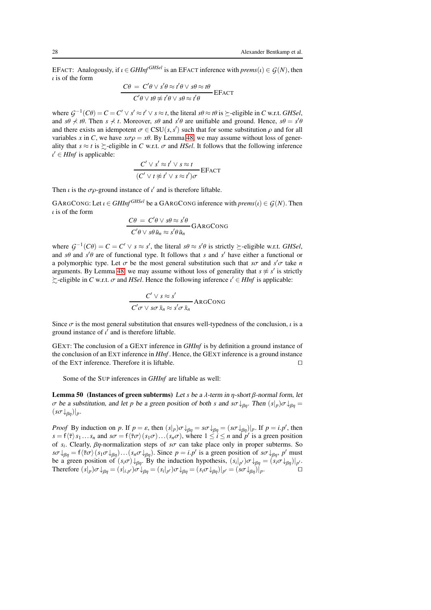EFACT: Analogously, if  $\iota \in \mathcal{GHInf}^{\mathcal{GHSel}}$  is an EFACT inference with  $\text{prems}(\iota) \in \mathcal{G}(N)$ , then  $\iota$  is of the form

$$
\frac{C\theta = C'\theta \vee s'\theta \approx t'\theta \vee s\theta \approx t\theta}{C'\theta \vee t\theta \not\approx t'\theta \vee s\theta \approx t'\theta} \text{EFACT}
$$

where  $G^{-1}(C\theta) = C = C' \vee s' \approx t' \vee s \approx t$ , the literal  $s\theta \approx t\theta$  is  $\succeq$ -eligible in *C* w.r.t. *GHSel*, and  $s\theta \nless t\theta$ . Then  $s \nless t$ . Moreover,  $s\theta$  and  $s'\theta$  are unifiable and ground. Hence,  $s\theta = s'\theta$ and there exists an idempotent  $\sigma \in CSU(s, s')$  such that for some substitution  $\rho$  and for all variables *x* in *C*, we have  $x\sigma\rho = x\theta$ . By Lemma [48,](#page-26-0) we may assume without loss of generality that  $s \approx t$  is  $\succeq$ -eligible in *C* w.r.t.  $\sigma$  and *HSel*. It follows that the following inference  $u' \in HInf$  is applicable:

$$
\frac{C' \lor s' \approx t' \lor s \approx t}{(C' \lor t \not\approx t' \lor s \approx t')\sigma} \text{EFACT}
$$

Then  $\iota$  is the  $\sigma \rho$ -ground instance of  $\iota'$  and is therefore liftable.

GARGCONG: Let  $\iota \in \mathit{GHInf}^{\mathit{GHSel}}$  be a GARGCONG inference with  $\mathit{prems}(\iota) \in \mathcal{G}(N)$ . Then  $\iota$  is of the form

$$
\frac{C\theta = C'\theta \vee s\theta \approx s'\theta}{C'\theta \vee s\theta \bar{u}_n \approx s'\theta \bar{u}_n} \text{GARGCONG}
$$

where  $G^{-1}(C\theta) = C = C' \vee s \approx s'$ , the literal  $s\theta \approx s'\theta$  is strictly  $\succeq$ -eligible w.r.t. *GHSel*, and  $s\theta$  and  $s'\theta$  are of functional type. It follows that *s* and  $s'$  have either a functional or a polymorphic type. Let  $\sigma$  be the most general substitution such that  $s\sigma$  and  $s'\sigma$  take *n* arguments. By Lemma [48,](#page-26-0) we may assume without loss of generality that  $s \not\approx s'$  is strictly  $\succsim$ -eligible in *C* w.r.t.  $\sigma$  and *HSel*. Hence the following inference  $\iota' \in HInf$  is applicable:

$$
\frac{C' \vee s \approx s'}{C'\sigma \vee s\sigma \bar{x}_n \approx s'\sigma \bar{x}_n} \text{ARGCONG}
$$

Since  $\sigma$  is the most general substitution that ensures well-typedness of the conclusion,  $\iota$  is a ground instance of  $\iota'$  and is therefore liftable.

GEXT: The conclusion of a GEXT inference in *GHInf* is by definition a ground instance of the conclusion of an EXT inference in *HInf* . Hence, the GEXT inference is a ground instance of the EXT inference. Therefore it is liftable. ⊓⊔

<span id="page-27-0"></span>Some of the SUP inferences in *GHInf* are liftable as well:

Lemma 50 (Instances of green subterms) Let *s* be a λ-term in η-short β-normal form, let σ be <sup>a</sup> substitution, and let *p* be <sup>a</sup> green position of both *s* and *s*σ↓βη. Then (*s*|*p*)σ↓βη =  $(s\sigma\downarrow_{\beta n})|_p$ .

<span id="page-27-1"></span>*Proof* By induction on *p*. If  $p = \varepsilon$ , then  $(s|_p)\sigma \downarrow_{\beta\eta} = s\sigma \downarrow_{\beta\eta} = (s\sigma \downarrow_{\beta\eta})|_p$ . If  $p = i.p'$ , then  $s = f(\overline{\tau}) s_1 ... s_n$  and  $s\sigma = f(\overline{\tau}\sigma) (s_1\sigma) ... (s_n\sigma)$ , where  $1 \le i \le n$  and  $p'$  is a green position of *s<sup>i</sup>* . Clearly, βη-normalization steps of *s*σ can take place only in proper subterms. So  $s\sigma\downarrow_{\beta\eta} = f\langle\bar{\tau}\sigma\rangle(s_1\sigma\downarrow_{\beta\eta})\dots(s_n\sigma\downarrow_{\beta\eta})$ . Since  $p = i.p'$  is a green position of  $s\sigma\downarrow_{\beta\eta}, p'$  must be a green position of  $(s_i \sigma) \downarrow_{\beta\eta}$ . By the induction hypothesis,  $(s_i|_{p'}) \sigma \downarrow_{\beta\eta} = (s_i \sigma \downarrow_{\beta\eta})|_{p'}.$ Therefore  $(s|_p)\sigma\downarrow_{\beta\eta} = (s|_{i,p'})\sigma\downarrow_{\beta\eta} = (s_i|_{p'})\sigma\downarrow_{\beta\eta} = (s_i\sigma\downarrow_{\beta\eta})|_{p'} = (s\sigma\downarrow_{\beta\eta})|_p.$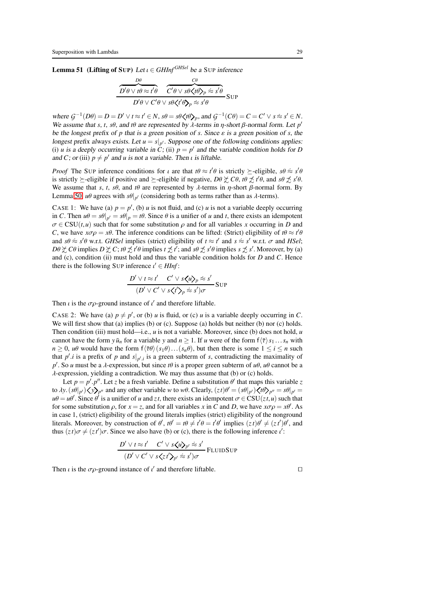**Lemma 51** (Lifting of SUP) Let  $\iota \in \text{GHInf}^{\text{GHSel}}$  be a SUP inference

$$
\frac{\overbrace{D'\theta \lor t\theta \approx t'\theta}^{D\theta} \quad \overbrace{C'\theta \lor s\theta \mathbf{\langle} t\theta \mathbf{\rangle}_p \approx s'\theta}^{C\theta}}{D'\theta \lor C'\theta \lor s\theta \mathbf{\langle} t'\theta \mathbf{\rangle}_p \approx s'\theta} \text{SUP}
$$

where  $G^{-1}(D\theta) = D = D' \vee t \approx t' \in N$ ,  $s\theta = s\theta \langle t\theta \rangle_p$ , and  $G^{-1}(C\theta) = C = C' \vee s \approx s' \in N$ . We assume that *s*, *t*, *s* $\theta$ , and *t* $\theta$  are represented by  $\lambda$ -terms in  $\eta$ -short  $\beta$ -normal form. Let  $p'$ be the longest prefix of *p* that is a green position of *s*. Since  $\varepsilon$  is a green position of *s*, the longest prefix always exists. Let  $u = s|_{p'}$ . Suppose one of the following conditions applies: (i) *u* is a deeply occurring variable in  $\dot{C}$ ; (ii)  $p = p'$  and the variable condition holds for *D* and *C*; or (iii)  $p \neq p'$  and *u* is not a variable. Then *u* is liftable.

*Proof* The SUP inference conditions for *ι* are that  $t\theta \approx t'\theta$  is strictly  $\succeq$ -eligible,  $s\theta \approx s'\theta$ is strictly  $\succeq$ -eligible if positive and  $\succeq$ -eligible if negative, *D*θ  $\succeq$  *Cθ*, *tθ*  $\preceq$  *t'θ*, and *sθ*  $\preceq$  *s'θ*. We assume that *s*, *t*, *s*θ, and *t*θ are represented by  $\lambda$ -terms in  $\eta$ -short  $\beta$ -normal form. By Lemma [50,](#page-27-0)  $u\theta$  agrees with  $s\theta|_{p'}$  (considering both as terms rather than as  $\lambda$ -terms).

CASE 1: We have (a)  $p = p'$ , (b) *u* is not fluid, and (c) *u* is not a variable deeply occurring in *C*. Then  $u\theta = s\theta|_{p'} = s\theta|_p = t\theta$ . Since  $\theta$  is a unifier of *u* and *t*, there exists an idempotent  $\sigma \in \text{CSU}(t, u)$  such that for some substitution  $\rho$  and for all variables *x* occurring in *D* and *C*, we have  $x\sigma\rho = x\theta$ . The inference conditions can be lifted: (Strict) eligibility of  $t\theta \approx t'\theta$ and  $s\theta \approx s'\theta$  w.r.t. *GHSel* implies (strict) eligibility of  $t \approx t'$  and  $s \approx s'$  w.r.t.  $\sigma$  and *HSel*;  $D\theta \not\subset C\theta$  implies  $D \not\subset C$ ;  $t\theta \not\subset t'\theta$  implies  $t \not\subset t'$ ; and  $s\theta \not\subset s'\theta$  implies  $s \not\subset s'$ . Moreover, by (a) and (c), condition (ii) must hold and thus the variable condition holds for *D* and *C*. Hence there is the following SUP inference  $\iota' \in HInf$ :

$$
\frac{D' \vee t \approx t' \quad C' \vee s \langle u \rangle_p \approx s'}{(D' \vee C' \vee s \langle t' \rangle_p \approx s')\sigma} \text{Sup}
$$

Then  $\iota$  is the  $\sigma \rho$ -ground instance of  $\iota'$  and therefore liftable.

CASE 2: We have (a)  $p \neq p'$ , or (b) *u* is fluid, or (c) *u* is a variable deeply occurring in *C*. We will first show that (a) implies (b) or (c). Suppose (a) holds but neither (b) nor (c) holds. Then condition (iii) must hold—i.e., *u* is not a variable. Moreover, since (b) does not hold, *u* cannot have the form  $y \bar{u}_n$  for a variable *y* and  $n \ge 1$ . If *u* were of the form  $f(\bar{\tau}) s_1 ... s_n$  with  $n \geq 0$ , *u*θ would have the form  $f(\overline{\tau}\theta)(s_1\theta)...(s_n\theta)$ , but then there is some  $1 \leq i \leq n$  such that  $p'$  *i* is a prefix of p and  $s|_{p'j}$  is a green subterm of *s*, contradicting the maximality of *p*<sup>'</sup>. So *u* must be a λ-expression, but since *t*θ is a proper green subterm of *uθ*, *uθ* cannot be a λ-expression, yielding a contradiction. We may thus assume that (b) or (c) holds.

Let  $p = p'.p''$ . Let *z* be a fresh variable. Define a substitution  $\theta'$  that maps this variable *z* to  $\lambda y. (s\theta|_{p'}) \langle y \rangle_{p''}$  and any other variable *w* to *w* $\theta$ . Clearly,  $(zt)\theta' = (s\theta|_{p'}) \langle t\theta \rangle_{p''} = s\theta|_{p'} =$  $u\theta = u\theta'$ . Since  $\theta'$  is a unifier of *u* and *zt*, there exists an idempotent  $\sigma \in CSU(zt, u)$  such that for some substitution  $\rho$ , for  $x = z$ , and for all variables x in C and D, we have  $x\sigma\rho = x\theta'$ . As in case 1, (strict) eligibility of the ground literals implies (strict) eligibility of the nonground literals. Moreover, by construction of  $\theta'$ ,  $t\theta' = t\theta \neq t'\theta = t'\theta'$  implies  $(zt)\theta' \neq (zt')\theta'$ , and thus  $(zt)\sigma \neq (zt')\sigma$ . Since we also have (b) or (c), there is the following inference  $t'$ :

$$
\frac{D' \vee t \approx t' \quad C' \vee s \langle u \rangle_{p'} \approx s'}{(D' \vee C' \vee s \langle z \rangle_{p'} \approx s')\sigma} \text{FLUIDSup}
$$

Then *i* is the  $\sigma \rho$ -ground instance of *i'* and therefore liftable.  $□$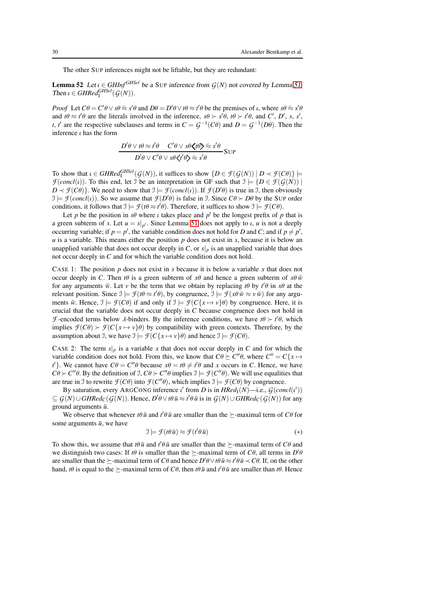<span id="page-29-1"></span>The other SUP inferences might not be liftable, but they are redundant:

**Lemma 52** Let  $\iota \in \mathcal{GHInf}^{\mathcal{GHSel}}$  be a SUP inference from  $G(N)$  not covered by Lemma [51.](#page-27-1) Then  $\iota \in GHRed_{\mathrm{I}}^{GHSel}(\mathcal{G}(N)).$ 

*Proof* Let  $C\theta = C'\theta \vee s\theta \approx s'\theta$  and  $D\theta = D'\theta \vee t\theta \approx t'\theta$  be the premises of *ι*, where  $s\theta \approx s'\theta$ and  $t\theta \approx t'\theta$  are the literals involved in the inference,  $s\theta > s'\theta$ ,  $t\theta > t'\theta$ , and *C'*, *D'*, *s*, *s'*, *t*, *t'* are the respective subclauses and terms in  $C = G^{-1}(C\theta)$  and  $D = G^{-1}(D\theta)$ . Then the inference  $\iota$  has the form

$$
\frac{D'\theta \vee t\theta \approx t'\theta \quad C'\theta \vee s\theta \langle t\theta \rangle \approx s'\theta}{D'\theta \vee C'\theta \vee s\theta \langle t'\theta \rangle \approx s'\theta} \text{SUP}
$$

To show that  $\iota \in \mathit{GHRed}_{\mathrm{I}}^{\mathit{GHSel}}(\mathcal{G}(N))$ , it suffices to show  $\{D \in \mathcal{F}(\mathcal{G}(N)) \mid D \prec \mathcal{F}(C\theta)\} \models$ *F*(*concl*(*ι*)). To this end, let J be an interpretation in GF such that  $\mathcal{I} \models \{D \in \mathcal{F}(\mathcal{G}(N)) \mid \mathcal{F}(\mathcal{G}(N))\}$  $D \prec \mathcal{F}(C\theta)$ . We need to show that  $\mathcal{I} \models \mathcal{F}(concl(\iota))$ . If  $\mathcal{F}(D'\theta)$  is true in  $\mathcal{I}$ , then obviously  $\mathcal{I} \models \mathcal{F}(concl(\iota))$ . So we assume that  $\mathcal{F}(D'\theta)$  is false in *J*. Since  $C\theta \succ D\theta$  by the SUP order conditions, it follows that  $\mathcal{I} \models \mathcal{F}(t\theta \approx t'\theta)$ . Therefore, it suffices to show  $\mathcal{I} \models \mathcal{F}(C\theta)$ .

Let *p* be the position in  $s\theta$  where *i* takes place and  $p'$  be the longest prefix of *p* that is a green subterm of *s*. Let  $u = s|_{p'}$ . Since Lemma [51](#page-27-1) does not apply to *i*, *u* is not a deeply occurring variable; if  $p = p'$ , the variable condition does not hold for *D* and *C*; and if  $p \neq p'$ , *u* is a variable. This means either the position *p* does not exist in *s*, because it is below an unapplied variable that does not occur deeply in *C*, or  $s|_p$  is an unapplied variable that does not occur deeply in *C* and for which the variable condition does not hold.

CASE 1: The position *p* does not exist in *s* because it is below a variable *x* that does not occur deeply in *C*. Then *t* $\theta$  is a green subterm of  $x\theta$  and hence a green subterm of  $x\theta \bar{w}$ for any arguments  $\bar{w}$ . Let *v* be the term that we obtain by replacing *t*θ by  $t'$ θ in  $x$ θ at the relevant position. Since  $\mathcal{I} \models \mathcal{F}(t\theta \approx t'\theta)$ , by congruence,  $\mathcal{I} \models \mathcal{F}(x\theta \bar{w} \approx v\bar{w})$  for any arguments  $\bar{w}$ . Hence,  $\mathcal{I} \models \mathcal{F}(C\theta)$  if and only if  $\mathcal{I} \models \mathcal{F}(C\{x \mapsto v\}\theta)$  by congruence. Here, it is crucial that the variable does not occur deeply in *C* because congruence does not hold in *F*-encoded terms below  $\lambda$ -binders. By the inference conditions, we have  $t\theta \succ t'\theta$ , which implies  $\mathcal{F}(C\theta) \succ \mathcal{F}(C\{x \mapsto v\}\theta)$  by compatibility with green contexts. Therefore, by the assumption about J, we have  $\mathcal{I} \models \mathcal{F}(C\{x \mapsto v\} \theta)$  and hence  $\mathcal{I} \models \mathcal{F}(C\theta)$ .

CASE 2: The term  $s|_p$  is a variable x that does not occur deeply in C and for which the variable condition does not hold. From this, we know that  $C\theta \succeq C''\theta$ , where  $C'' = C\{x \mapsto$ *t*<sup> $\prime$ </sup>}. We cannot have  $C\theta = C''\theta$  because  $x\theta = t\theta \neq t'\theta$  and *x* occurs in *C*. Hence, we have  $C\theta \succ C''\theta$ . By the definition of  $\theta$ ,  $C\theta \succ C''\theta$  implies  $\theta \models \mathcal{F}(C''\theta)$ . We will use equalities that are true in J to rewrite  $\mathcal{F}(C\theta)$  into  $\mathcal{F}(C''\theta)$ , which implies  $\mathcal{I} \models \mathcal{F}(C\theta)$  by congruence.

By saturation, every ARGCONG inference  $\iota'$  from *D* is in *HRed*<sub>I</sub>(*N*)—i.e.,  $G(concl(\iota'))$  $\subseteq$   $G(N) \cup$  *GHRed*<sub>C</sub>( $G(N)$ ). Hence,  $D' \theta \vee \theta \overline{u} \approx t' \theta \overline{u}$  is in  $G(N) \cup$  *GHRed*<sub>C</sub>( $G(N)$ ) for any ground arguments  $\bar{u}$ .

We observe that whenever  $t\theta \bar{u}$  and  $t'\theta \bar{u}$  are smaller than the  $\succeq$ -maximal term of  $C\theta$  for some arguments  $\bar{u}$ , we have

<span id="page-29-0"></span>
$$
\mathcal{I} \models \mathcal{F}(t\theta \bar{u}) \approx \mathcal{F}(t'\theta \bar{u}) \tag{*}
$$

To show this, we assume that  $t\theta \bar{u}$  and  $t'\theta \bar{u}$  are smaller than the  $\succeq$ -maximal term of *C* $\theta$  and we distinguish two cases: If  $t\theta$  is smaller than the  $\succeq$ -maximal term of  $C\theta$ , all terms in  $D'\theta$ are smaller than the  $\succeq$ -maximal term of *C* $\theta$  and hence  $D'\theta \vee t\theta \bar{u} \approx t'\theta \bar{u} \prec C\theta$ . If, on the other hand, *t* $\theta$  is equal to the  $\succeq$ -maximal term of *C* $\theta$ , then *t* $\theta$ *u*̃ and *t*<sup> $\theta$ </sup>*u*̃ are smaller than *t* $\theta$ . Hence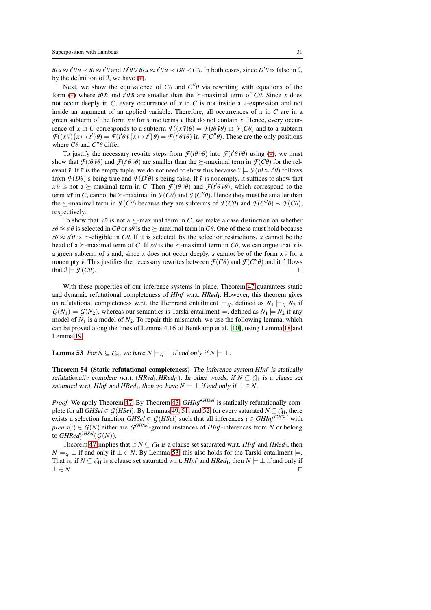$t\theta \bar{u} \approx t'\theta \bar{u} \prec t\theta \approx t'\theta$  and  $D'\theta \vee t\theta \bar{u} \approx t'\theta \bar{u} \prec D\theta \prec C\theta$ . In both cases, since  $D'\theta$  is false in  $\mathcal{I}$ , by the definition of  $\mathcal{I}$ , we have  $(*)$ .

Next, we show the equivalence of  $C\theta$  and  $C''\theta$  via rewriting with equations of the form (\*) where  $t\theta \bar{u}$  and  $t'\theta \bar{u}$  are smaller than the  $\succeq$ -maximal term of *C* $\theta$ . Since *x* does not occur deeply in *C*, every occurrence of *x* in *C* is not inside a  $\lambda$ -expression and not inside an argument of an applied variable. Therefore, all occurrences of *x* in *C* are in a green subterm of the form  $x \bar{v}$  for some terms  $\bar{v}$  that do not contain x. Hence, every occurrence of *x* in *C* corresponds to a subterm  $\mathcal{F}((x\bar{v})\theta) = \mathcal{F}(t\theta\bar{v}\theta)$  in  $\mathcal{F}(C\theta)$  and to a subterm  $\mathcal{F}((x\bar{v})\{x \mapsto t'\}\theta) = \mathcal{F}(t'\theta\bar{v}\{x \mapsto t'\}\theta) = \mathcal{F}(t'\theta\bar{v}\theta)$  in  $\mathcal{F}(C''\theta)$ . These are the only positions where  $C\theta$  and  $C''\theta$  differ.

To justify the necessary rewrite steps from  $\mathcal{F}(t\theta \bar{v}\theta)$  into  $\mathcal{F}(t'\theta \bar{v}\theta)$  using (\*), we must show that  $\mathcal{F}(t\theta \bar{v}\theta)$  and  $\mathcal{F}(t'\theta \bar{v}\theta)$  are smaller than the  $\succeq$ -maximal term in  $\mathcal{F}(C\theta)$  for the relevant  $\bar{v}$ . If  $\bar{v}$  is the empty tuple, we do not need to show this because  $\mathcal{I} \models \mathcal{F}(t\theta \approx t'\theta)$  follows from  $\mathcal{F}(D\theta)$ 's being true and  $\mathcal{F}(D'\theta)$ 's being false. If  $\bar{v}$  is nonempty, it suffices to show that *x*  $\bar{v}$  is not a  $\succeq$ -maximal term in *C*. Then  $\mathcal{F}(t\theta \bar{v}\theta)$  and  $\mathcal{F}(t'\theta \bar{v}\theta)$ , which correspond to the term  $x\bar{v}$  in *C*, cannot be  $\succeq$ -maximal in  $\mathcal{F}(C\theta)$  and  $\mathcal{F}(C''\theta)$ . Hence they must be smaller than the  $\succeq$ -maximal term in  $\mathcal{F}(C\theta)$  because they are subterms of  $\mathcal{F}(C\theta)$  and  $\mathcal{F}(C''\theta) \prec \mathcal{F}(C\theta)$ , respectively.

To show that  $x \overline{v}$  is not a  $\succeq$ -maximal term in *C*, we make a case distinction on whether  $s\theta \approx s'\theta$  is selected in *C* $\theta$  or *s* $\theta$  is the  $\succeq$ -maximal term in *C* $\theta$ . One of these must hold because  $s\theta \approx s'\theta$  is  $\succeq$ -eligible in *C*θ. If it is selected, by the selection restrictions, *x* cannot be the head of a  $\succeq$ -maximal term of *C*. If *s* $\theta$  is the  $\succeq$ -maximal term in *C* $\theta$ , we can argue that *x* is a green subterm of *s* and, since *x* does not occur deeply, *s* cannot be of the form  $x\bar{y}$  for a nonempty  $\bar{v}$ . This justifies the necessary rewrites between  $\mathcal{F}(C\theta)$  and  $\mathcal{F}(C''\theta)$  and it follows that  $\mathcal{I} \models \mathcal{F}(C\theta)$ . □

With these properties of our inference systems in place, Theorem [47](#page-25-2) guarantees static and dynamic refutational completeness of *HInf* w.r.t. *HRed*<sub>I</sub>. However, this theorem gives us refutational completeness w.r.t. the Herbrand entailment  $\models_G$ , defined as  $N_1 \models_G N_2$  if  $G(N_1) \models G(N_2)$ , whereas our semantics is Tarski entailment  $\models$ , defined as  $N_1 \models N_2$  if any model of *N*<sup>1</sup> is a model of *N*2. To repair this mismatch, we use the following lemma, which can be proved along the lines of Lemma 4.16 of Bentkamp et al. [\[10\]](#page-42-9), using Lemma [18](#page-10-0) and Lemma [19.](#page-10-1)

<span id="page-30-0"></span>**Lemma 53** For  $N \subseteq C_H$ , we have  $N \models G \bot$  if and only if  $N \models \bot$ .

<span id="page-30-1"></span>Theorem 54 (Static refutational completeness) The inference system *HInf* is statically refutationally complete w.r.t.  $(HRed_l, HRed_C)$ . In other words, if  $N \subseteq C_H$  is a clause set saturated w.r.t. *HInf* and *HRed*<sub>I</sub>, then we have  $N \models \bot$  if and only if  $\bot \in N$ .

*Proof* We apply Theorem [47.](#page-25-2) By Theorem [43,](#page-24-1) *GHInf GHSel* is statically refutationally complete for all *GHSel*  $\in G(HSel)$ . By Lemmas [49,](#page-26-1) [51,](#page-27-1) and [52,](#page-29-1) for every saturated  $N \subseteq C_H$ , there exists a selection function *GHSel*  $\in G(HSel)$  such that all inferences  $\iota \in GHInf^{GHSel}$  with *prems*( $\iota$ )  $\in$  *G*(*N*) either are *G*<sup>*GHSel*</sup>-ground instances of *HInf*-inferences from *N* or belong to  $GHRed_{\mathrm{I}}^{GHSel}(\mathcal{G}(N)).$ 

Theorem [47](#page-25-2) implies that if  $N \subseteq C_H$  is a clause set saturated w.r.t. *HInf* and *HRed*<sub>I</sub>, then *N*  $\models$  *G* ⊥ if and only if ⊥ ∈ *N*. By Lemma [53,](#page-30-0) this also holds for the Tarski entailment  $\models$ . That is, if  $N \subseteq C_H$  is a clause set saturated w.r.t. *HInf* and *HRed*<sub>I</sub>, then  $N \models \bot$  if and only if  $\bot \in N$ . □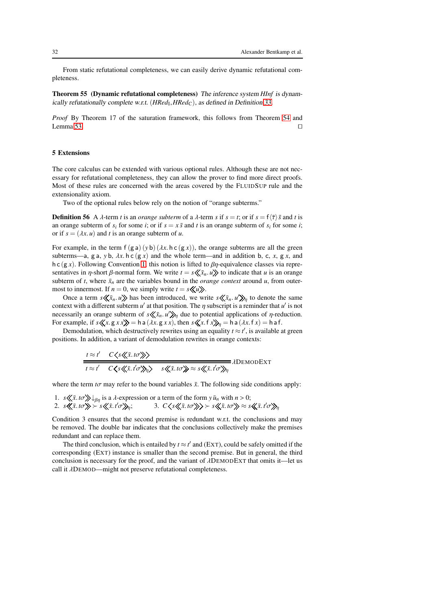From static refutational completeness, we can easily derive dynamic refutational completeness.

Theorem 55 (Dynamic refutational completeness) The inference system *HInf* is dynam-ically refutationally complete w.r.t. (HRed<sub>I</sub>, HRed<sub>C</sub>), as defined in Definition [33.](#page-16-1)

*Proof* By Theorem 17 of the saturation framework, this follows from Theorem [54](#page-30-1) and Lemma [53.](#page-30-0)  $□$ 

#### <span id="page-31-0"></span>5 Extensions

The core calculus can be extended with various optional rules. Although these are not necessary for refutational completeness, they can allow the prover to find more direct proofs. Most of these rules are concerned with the areas covered by the FLUIDSUP rule and the extensionality axiom.

Two of the optional rules below rely on the notion of "orange subterms."

**Definition 56** A  $\lambda$ -term *t* is an *orange subterm* of a  $\lambda$ -term *s* if  $s = t$ ; or if  $s = f\langle \overline{\tau} \rangle \overline{s}$  and *t* is an orange subterm of  $s_i$  for some *i*; or if  $s = x\bar{s}$  and *t* is an orange subterm of  $s_i$  for some *i*; or if  $s = (\lambda x. u)$  and *t* is an orange subterm of *u*.

For example, in the term  $f(g a) (y b) (\lambda x h c (g x))$ , the orange subterms are all the green subterms—a, g a, y b,  $\lambda x$ . h c (g x) and the whole term—and in addition b, c, x, g x, and h c (g *x*). Following Convention [1,](#page-3-0) this notion is lifted to  $\beta$ η-equivalence classes via representatives in  $\eta$ -short  $\beta$ -normal form. We write  $t = s \langle \langle \bar{x}_n, u \rangle \rangle$  to indicate that *u* is an orange subterm of *t*, where  $\bar{x}_n$  are the variables bound in the *orange context* around *u*, from outermost to innermost. If  $n = 0$ , we simply write  $t = s \langle u \rangle$ .

Once a term  $s \ll \bar{x}_n$ . *u* $\gg$  has been introduced, we write  $s \ll \bar{x}_n$ . *u*' $\gg_{\eta}$  to denote the same context with a different subterm  $u'$  at that position. The  $\eta$  subscript is a reminder that  $u'$  is not necessarily an orange subterm of  $s \ll \bar{x}_n$ . *u*' $\gg_\eta$  due to potential applications of *η*-reduction. For example, if  $s \ll x$ .  $g x x \gg \gg 1$  h a  $(\lambda x. g x x)$ , then  $s \ll x. f x \gg \gg 1$  h a  $(\lambda x. f x) = h a f$ .

Demodulation, which destructively rewrites using an equality  $t \approx t'$ , is available at green positions. In addition, a variant of demodulation rewrites in orange contexts:

$$
\frac{t \approx t' \quad C \langle s \langle \bar{x}, t \sigma \rangle \rangle}{t \approx t' \quad C \langle s \langle \bar{x}, t' \sigma \rangle \rangle_{\eta} \rangle \quad s \langle \langle \bar{x}, t \sigma \rangle \rangle \approx s \langle \langle \bar{x}, t' \sigma \rangle \rangle_{\eta}} \text{ADemODEXT}
$$

where the term  $t\sigma$  may refer to the bound variables  $\bar{x}$ . The following side conditions apply:

1. *s*  $\langle \langle \bar{x}, t\sigma \rangle \rangle \psi_{\beta\eta}$  is a *λ*-expression or a term of the form  $y \bar{u}_n$  with  $n > 0$ ; 2.  $s \ll \bar{x} \cdot t \sigma \gg s \ll \bar{x} \cdot t' \sigma \gg u;$  $\langle \sigma \rangle$ <sub>η</sub>; 3. *C*  $\langle s \langle \langle \bar{x} \rangle t \sigma \rangle$  >  $s \langle \langle \bar{x} \rangle t \sigma \rangle$   $\approx$   $s \langle \langle \bar{x} \rangle t \sigma \rangle$ 

Condition 3 ensures that the second premise is redundant w.r.t. the conclusions and may be removed. The double bar indicates that the conclusions collectively make the premises redundant and can replace them.

The third conclusion, which is entailed by  $t \approx t'$  and (EXT), could be safely omitted if the corresponding (EXT) instance is smaller than the second premise. But in general, the third conclusion is necessary for the proof, and the variant of λDEMODEXT that omits it—let us call it λDEMOD—might not preserve refutational completeness.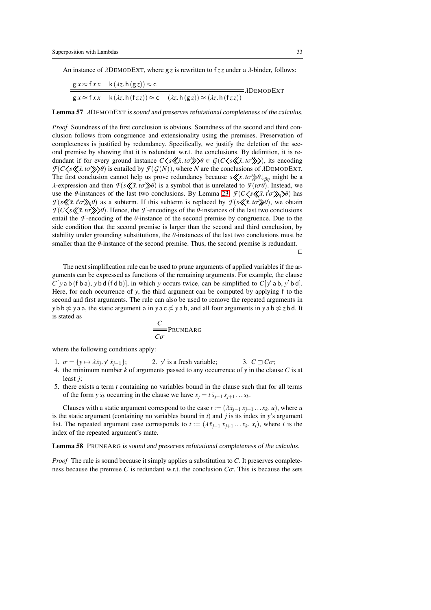An instance of λDEMODEXT, where g *z* is rewritten to f *z z* under a λ-binder, follows:

$$
\frac{g x \approx f x x \quad k(\lambda z. h(gz)) \approx c}{g x \approx f x x \quad k(\lambda z. h(fz z)) \approx c \quad (\lambda z. h(gz)) \approx (\lambda z. h(fz z))}
$$
 *ab*abobext

Lemma 57 λDEMODEXT is sound and preserves refutational completeness of the calculus.

*Proof* Soundness of the first conclusion is obvious. Soundness of the second and third conclusion follows from congruence and extensionality using the premises. Preservation of completeness is justified by redundancy. Specifically, we justify the deletion of the second premise by showing that it is redundant w.r.t. the conclusions. By definition, it is redundant if for every ground instance  $C \langle s \langle \langle \bar{x}, t \sigma \rangle \rangle \rangle \theta \in \mathcal{G}(C \langle s \langle \langle \bar{x}, t \sigma \rangle \rangle)$ , its encoding  $\mathcal{F}(C\langle s\langle \langle \bar{x}, t\sigma \rangle \rangle)$  is entailed by  $\mathcal{F}(G(N))$ , where *N* are the conclusions of *λ*DEMODEXT. The first conclusion cannot help us prove redundancy because  $s \ll \bar{x}$ . *to*  $\gg \theta \downarrow_{\beta\eta}$  might be a λ-expression and then  $\mathcal{F}(s\mathcal{L}\bar{x}.\iota\sigma\mathcal{D}\theta)$  is a symbol that is unrelated to  $\mathcal{F}(t\sigma\theta)$ . Instead, we use the  $\theta$ -instances of the last two conclusions. By Lemma [23,](#page-12-0)  $\mathcal{F}(C \leq \mathcal{K} \bar{x}, t' \sigma)$  has *F*( $s \ll \bar{x}$ . *t* $\sigma \gg \eta$  $\theta$ ) as a subterm. If this subterm is replaced by *F*( $s \ll \bar{x}$ . *to* $\gg \theta$ ), we obtain  $F(C \leq s \leq \bar{x} \cdot t \sigma)$ . Hence, the *F*-encodings of the *θ*-instances of the last two conclusions entail the *F*-encoding of the  $\theta$ -instance of the second premise by congruence. Due to the side condition that the second premise is larger than the second and third conclusion, by stability under grounding substitutions, the  $\theta$ -instances of the last two conclusions must be smaller than the  $\theta$ -instance of the second premise. Thus, the second premise is redundant.

⊓⊔

The next simplification rule can be used to prune arguments of applied variables if the arguments can be expressed as functions of the remaining arguments. For example, the clause  $C[yab(fba), ybd(fdb)],$  in which *y* occurs twice, can be simplified to  $C[y'ab, y'bd].$ Here, for each occurrence of *y*, the third argument can be computed by applying f to the second and first arguments. The rule can also be used to remove the repeated arguments in *y* b b  $\approx$  *y* a a, the static argument a in *y* a c  $\approx$  *y* a b, and all four arguments in *y* a b  $\approx$  *z* b d. It is stated as

$$
\frac{C}{C\sigma} \text{PRUNEARG}
$$

where the following conditions apply:

1.  $\sigma = \{y \mapsto \lambda \bar{x}_j, y' \bar{x}_{j-1}\};$  2. *y*  $\prime$  is a fresh variable; 3.  $C \sqsupset C\sigma$ ;

- 4. the minimum number  $k$  of arguments passed to any occurrence of  $y$  in the clause  $C$  is at least *j*;
- 5. there exists a term *t* containing no variables bound in the clause such that for all terms of the form *y*  $\bar{s}_k$  occurring in the clause we have  $s_j = t \bar{s}_{j-1} s_{j+1} \dots s_k$ .

Clauses with a static argument correspond to the case  $t := (\lambda \bar{x}_{j-1} x_{j+1} \dots x_k u)$ , where *u* is the static argument (containing no variables bound in *t*) and *j* is its index in *y*'s argument list. The repeated argument case corresponds to  $t := (\lambda \bar{x}_{i-1} x_{i+1} \dots x_k, x_i)$ , where *i* is the index of the repeated argument's mate.

Lemma 58 PRUNEARG is sound and preserves refutational completeness of the calculus.

*Proof* The rule is sound because it simply applies a substitution to *C*. It preserves completeness because the premise *C* is redundant w.r.t. the conclusion  $C\sigma$ . This is because the sets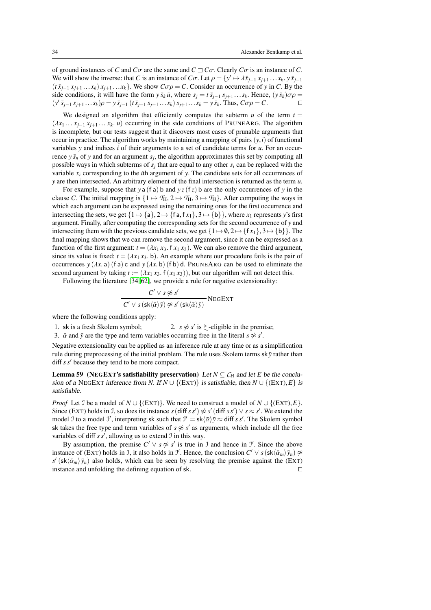of ground instances of *C* and  $C\sigma$  are the same and  $C\sqsupseteq C\sigma$ . Clearly  $C\sigma$  is an instance of *C*. We will show the inverse: that *C* is an instance of *C* $\sigma$ . Let  $\rho = \{y' \mapsto \lambda \bar{x}_{j-1} x_{j+1} \dots x_k, y \bar{x}_{j-1}\}$  $(t \bar{x}_{j-1} x_{j+1} \ldots x_k) x_{j+1} \ldots x_k$ . We show  $C \sigma \rho = C$ . Consider an occurrence of *y* in *C*. By the side conditions, it will have the form  $y \bar{s}_k \bar{u}$ , where  $s_j = t \bar{s}_{j-1} s_{j+1} \dots s_k$ . Hence,  $(y \bar{s}_k) \sigma \rho =$  $(y' \bar{s}_{j-1} s_{j+1} ... s_k) \rho = y \bar{s}_{j-1} (t \bar{s}_{j-1} s_{j+1} ... s_k) s_{j+1} ... s_k = y \bar{s}_k$ . Thus,  $C \sigma \rho = C$ .

We designed an algorithm that efficiently computes the subterm  $u$  of the term  $t =$  $(\lambda x_1 \ldots x_{i-1} x_{i+1} \ldots x_k \ldots u)$  occurring in the side conditions of PRUNEARG. The algorithm is incomplete, but our tests suggest that it discovers most cases of prunable arguments that occur in practice. The algorithm works by maintaining a mapping of pairs  $(y, i)$  of functional variables *y* and indices *i* of their arguments to a set of candidate terms for *u*. For an occurrence  $y \bar{s}_n$  of  $y$  and for an argument  $s_j$ , the algorithm approximates this set by computing all possible ways in which subterms of  $s_j$  that are equal to any other  $s_i$  can be replaced with the variable *x<sup>i</sup>* corresponding to the *i*th argument of *y*. The candidate sets for all occurrences of *y* are then intersected. An arbitrary element of the final intersection is returned as the term *u*.

For example, suppose that *y* a (f a) b and  $yz(fz)$  b are the only occurrences of *y* in the clause *C*. The initial mapping is  $\{1 \mapsto T_H, 2 \mapsto T_H, 3 \mapsto T_H\}$ . After computing the ways in which each argument can be expressed using the remaining ones for the first occurrence and intersecting the sets, we get  $\{1 \mapsto \{a\}, 2 \mapsto \{fa, fx_1\}, 3 \mapsto \{b\}\}\)$ , where  $x_1$  represents *y*'s first argument. Finally, after computing the corresponding sets for the second occurrence of *y* and intersecting them with the previous candidate sets, we get  $\{1 \mapsto \emptyset, 2 \mapsto \{f x_1\}, 3 \mapsto \{b\}\}\.$  The final mapping shows that we can remove the second argument, since it can be expressed as a function of the first argument:  $t = (\lambda x_1 x_3, f x_1 x_3)$ . We can also remove the third argument, since its value is fixed:  $t = (\lambda x_1 x_3)$ . An example where our procedure fails is the pair of occurrences  $y(\lambda x. a)$  (f a) c and  $y(\lambda x. b)$  (f b) d. PRUNEARG can be used to eliminate the second argument by taking  $t := (\lambda x_1 x_3)$ ,  $f(x_1 x_3)$ , but our algorithm will not detect this.

Following the literature [\[34,](#page-43-4) [62\]](#page-44-7), we provide a rule for negative extensionality:

$$
\frac{C' \vee s \not\approx s'}{C' \vee s \left(\text{sk}\langle \bar{\alpha} \rangle \bar{y}\right) \not\approx s' \left(\text{sk}\langle \bar{\alpha} \rangle \bar{y}\right)} \text{NEGEXT}
$$

where the following conditions apply:

1. sk is a fresh Skolem symbol; ' is  $\succeq$ -eligible in the premise;

3.  $\bar{\alpha}$  and  $\bar{y}$  are the type and term variables occurring free in the literal  $s \not\approx s'$ .

Negative extensionality can be applied as an inference rule at any time or as a simplification rule during preprocessing of the initial problem. The rule uses Skolem terms  $sk\bar{v}$  rather than diff *s s*′ because they tend to be more compact.

**Lemma 59** (NEGEXT's satisfiability preservation) Let  $N \subseteq C_H$  and let *E* be the conclusion of a NEGEXT inference from *N*. If  $N \cup \{(\text{EXT})\}$  is satisfiable, then  $N \cup \{(\text{EXT}), E\}$  is satisfiable.

*Proof* Let J be a model of  $N \cup \{ (EXT) \}$ . We need to construct a model of  $N \cup \{ (EXT), E \}$ . Since (EXT) holds in J, so does its instance  $s$  (diff  $s s'$ )  $\approx s'$  (diff  $s s'$ )  $\vee s \approx s'$ . We extend the model J to a model J', interpreting sk such that  $J' \models sk \langle \bar{\alpha} \rangle \bar{y} \approx diff \ s \ s'$ . The Skolem symbol sk takes the free type and term variables of  $s \not\approx s'$  as arguments, which include all the free variables of diff  $s s'$ , allowing us to extend  $\mathcal I$  in this way.

By assumption, the premise  $C' \vee s \not\approx s'$  is true in J and hence in J'. Since the above instance of (EXT) holds in J, it also holds in J'. Hence, the conclusion  $C' \vee s(\mathsf{sk}\langle \bar{\alpha}_m \rangle \bar{y}_n) \not\approx$  $s'$  (sk $\langle \bar{\alpha}_m \rangle \bar{y}_n$ ) also holds, which can be seen by resolving the premise against the (EXT) instance and unfolding the defining equation of sk. ⊓⊔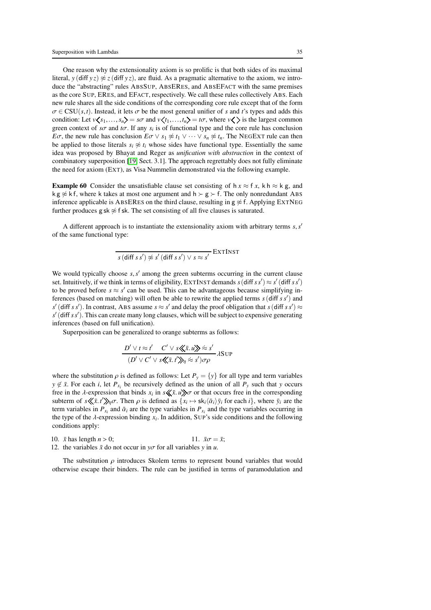One reason why the extensionality axiom is so prolific is that both sides of its maximal literal, *y* (diff *yz*)  $\frac{\partial z}{\partial x}$  *z*(diff *yz*), are fluid. As a pragmatic alternative to the axiom, we introduce the "abstracting" rules ABSSUP, ABSERES, and ABSEFACT with the same premises as the core SUP, ERES, and EFACT, respectively. We call these rules collectively ABS. Each new rule shares all the side conditions of the corresponding core rule except that of the form  $\sigma \in CSU(s,t)$ . Instead, it lets  $\sigma$  be the most general unifier of *s* and *t*'s types and adds this condition: Let  $v \langle s_1,...,s_n \rangle = s\sigma$  and  $v \langle t_1,...,t_n \rangle = t\sigma$ , where  $v \langle \rangle$  is the largest common green context of  $s\sigma$  and  $t\sigma$ . If any  $s_i$  is of functional type and the core rule has conclusion *E*σ, the new rule has conclusion  $E\sigma \vee s_1 \not\approx t_1 \vee \cdots \vee s_n \not\approx t_n$ . The NEGEXT rule can then be applied to those literals  $s_i \not\approx t_i$  whose sides have functional type. Essentially the same idea was proposed by Bhayat and Reger as *unification with abstraction* in the context of combinatory superposition [\[19,](#page-42-12) Sect. 3.1]. The approach regrettably does not fully eliminate the need for axiom (EXT), as Visa Nummelin demonstrated via the following example.

**Example 60** Consider the unsatisfiable clause set consisting of  $h x \approx f x$ , k  $h \approx k g$ , and k g  $\frac{4}{5}$  k f, where k takes at most one argument and h  $\succ$  g  $\succ$  f. The only nonredundant ABS inference applicable is ABSERES on the third clause, resulting in  $g \approx f$ . Applying EXTNEG further produces g sk  $\approx$  f sk. The set consisting of all five clauses is saturated.

A different approach is to instantiate the extensionality axiom with arbitrary terms *s*,*s* ′ of the same functional type:

$$
s\left(\text{diff } s\,s'\right) \not\approx s'\left(\text{diff } s\,s'\right) \vee s \approx s'\, \text{EXTI}\text{NST}
$$

We would typically choose  $s$ ,  $s'$  among the green subterms occurring in the current clause set. Intuitively, if we think in terms of eligibility, EXTINST demands  $s$  (diff  $ss'$ )  $\approx s'$  (diff  $ss'$ ) to be proved before  $s \approx s'$  can be used. This can be advantageous because simplifying inferences (based on matching) will often be able to rewrite the applied terms *s*(diff *s s*′ ) and  $s'$  (diff *s s'*). In contrast, ABS assume  $s \approx s'$  and delay the proof obligation that  $s$  (diff *s s'*)  $\approx$ *s* ′ (diff *s s*′ ). This can create many long clauses, which will be subject to expensive generating inferences (based on full unification).

Superposition can be generalized to orange subterms as follows:

$$
\frac{D' \lor t \approx t'}{(D' \lor C' \lor s \ll \bar{x}.u) \approx s'} \land \text{SUP}
$$
  

$$
\frac{(D' \lor C' \lor s \ll \bar{x}.t') \land \gamma \approx s'}{\land \gamma \lor \gamma \ll s' \land \gamma \lor \gamma}
$$

where the substitution  $\rho$  is defined as follows: Let  $P_y = \{y\}$  for all type and term variables  $y \notin \bar{x}$ . For each *i*, let  $P_{x_i}$  be recursively defined as the union of all  $P_y$  such that *y* occurs free in the  $\lambda$ -expression that binds  $x_i$  in  $s \ll \bar{x}$ .  $u \gg \sigma$  or that occurs free in the corresponding subterm of  $s \langle \langle \bar{x}, t' \rangle \rangle_{\eta} \sigma$ . Then  $\rho$  is defined as  $\{x_i \mapsto sk_i \langle \bar{\alpha}_i \rangle \bar{y}_i$  for each  $i\}$ , where  $\bar{y}_i$  are the term variables in  $P_{x_i}$  and  $\bar{\alpha}_i$  are the type variables in  $P_{x_i}$  and the type variables occurring in the type of the  $\lambda$ -expression binding  $x_i$ . In addition, SUP's side conditions and the following conditions apply:

10. 
$$
\bar{x}
$$
 has length  $n > 0$ ; 11.  $\bar{x}\sigma = \bar{x}$ ; 12, the variable  $\bar{x}$  is not equal to  $\bar{x}$ .

12. the variables  $\bar{x}$  do not occur in *yo* for all variables *y* in *u*.

The substitution  $\rho$  introduces Skolem terms to represent bound variables that would otherwise escape their binders. The rule can be justified in terms of paramodulation and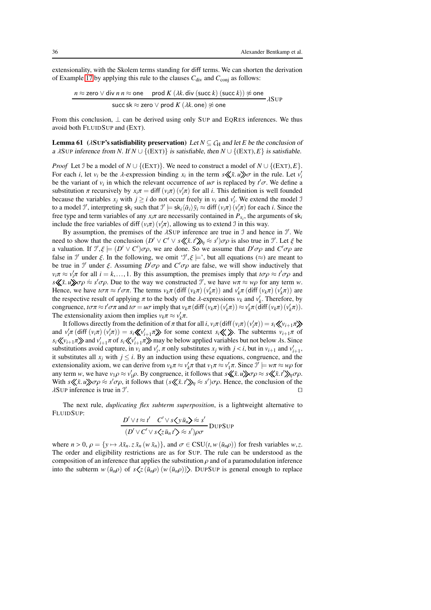extensionality, with the Skolem terms standing for diff terms. We can shorten the derivation of Example [17](#page-8-0) by applying this rule to the clauses  $C_{div}$  and  $C_{conj}$  as follows:

$$
n \approx \text{zero} \lor \text{div } n \, n \approx \text{one} \quad \text{prod } K \ ( \lambda k \text{. div } (\text{succ } k) \ (\text{succ } k)) \not\approx \text{one}
$$
\n
$$
\text{succ sk} \approx \text{zero} \lor \text{prod } K \ ( \lambda k \text{. one} ) \not\approx \text{one}
$$
\n
$$
\lambda \text{SUP}
$$

From this conclusion,  $\perp$  can be derived using only SUP and EQRES inferences. We thus avoid both FLUIDSUP and (EXT).

**Lemma 61** ( $\lambda$ SUP's satisfiability preservation) Let  $N \subseteq C_H$  and let *E* be the conclusion of a  $\lambda$ SUP inference from *N*. If  $N \cup \{ (EXT) \}$  is satisfiable, then  $N \cup \{ (EXT), E \}$  is satisfiable.

*Proof* Let J be a model of  $N \cup \{ (EXT) \}$ . We need to construct a model of  $N \cup \{ (EXT)$ ,  $E \}$ . For each *i*, let  $v_i$  be the  $\lambda$ -expression binding  $x_i$  in the term  $s \ll \bar{x}$ .  $u \gg \sigma$  in the rule. Let  $v_i'$ be the variant of  $v_i$  in which the relevant occurrence of  $u\sigma$  is replaced by  $t'\sigma$ . We define a substitution  $\pi$  recursively by  $x_i\pi = \text{diff}(v_i\pi)(v'_i\pi)$  for all *i*. This definition is well founded because the variables  $x_j$  with  $j \ge i$  do not occur freely in  $v_i$  and  $v'_i$ . We extend the model J to a model  $\mathcal{I}'$ , interpreting  $sk_i$  such that  $\mathcal{I}' \models sk_i \langle \bar{\alpha}_i \rangle \bar{y}_i \approx \text{diff}(v_i \pi)(v'_i \pi)$  for each *i*. Since the free type and term variables of any  $x_i \pi$  are necessarily contained in  $P_{x_i}$ , the arguments of  $sk_i$ include the free variables of diff  $(v_i \pi)(v'_i \pi)$ , allowing us to extend J in this way.

By assumption, the premises of the  $\lambda$ SUP inference are true in J and hence in  $\mathcal{I}$ . We need to show that the conclusion  $(D' \vee C' \vee s \langle \langle \bar{x}, t' \rangle \rangle_{\eta} \approx s') \sigma \rho$  is also true in J'. Let  $\xi$  be a valuation. If  $\mathcal{I}'$ ,  $\xi \models (D' \lor C')\sigma\rho$ , we are done. So we assume that  $D'\sigma\rho$  and  $C'\sigma\rho$  are false in  $\mathcal{I}'$  under  $\xi$ . In the following, we omit  $\mathcal{I}', \xi \models'$ , but all equations  $(\approx)$  are meant to be true in  $\mathcal{I}'$  under  $\xi$ . Assuming  $D' \sigma \rho$  and  $C' \sigma \rho$  are false, we will show inductively that  $v_i \pi \approx v'_i \pi$  for all  $i = k, ..., 1$ . By this assumption, the premises imply that  $t \sigma \rho \approx t' \sigma \rho$  and  $s \ll \bar{x}$ . *u*)  $\sigma \rho \approx s' \sigma \rho$ . Due to the way we constructed *J'*, we have  $w\pi \approx w\rho$  for any term *w*. Hence, we have  $t\sigma\pi \approx t'\sigma\pi$ . The terms  $v_k\pi$  (diff  $(v_k\pi)(v'_k\pi)$ ) and  $v'_k\pi$  (diff  $(v_k\pi)(v'_k\pi)$ ) are the respective result of applying  $\pi$  to the body of the  $\lambda$ -expressions  $v_k$  and  $v'_k$ . Therefore, by  $\text{congruence, } t \sigma \pi \approx t' \sigma \pi \text{ and } t \sigma = u \sigma \text{ imply that } v_k \pi (\text{diff}(v_k \pi)(v'_k \pi)) \approx v'_k \pi (\text{diff}(v_k \pi)(v'_k \pi)).$ The extensionality axiom then implies  $v_k \pi \approx v'_k \pi$ .

It follows directly from the definition of  $\pi$  that for all *i*,  $v_i\pi$  (diff $(v_i\pi)(v'_i\pi) = s_i \langle v_{i+1}\pi$ and  $v'_i\pi$  (diff  $(v_i\pi)(v'_i\pi) = s_i \langle v'_i\rangle + \pi \rangle$  for some context  $s_i \langle v \rangle$ . The subterms  $v_{i+1}\pi$  of  $s_i \langle \!\langle v_{i+1} | \pi \rangle \!\rangle$  and  $v'_{i+1} \pi$  of  $s_i \langle \!\langle v'_{i+1} | \pi \rangle \!\rangle$  may be below applied variables but not below  $\lambda$ s. Since substitutions avoid capture, in  $v_i$  and  $v'_i$ ,  $\pi$  only substitutes  $x_j$  with  $j < i$ , but in  $v_{i+1}$  and  $v'_{i+1}$ , it substitutes all  $x_j$  with  $j \leq i$ . By an induction using these equations, congruence, and the extensionality axiom, we can derive from  $v_k \pi \approx v'_k \pi$  that  $v_1 \pi \approx v'_1 \pi$ . Since  $\mathcal{I}' \models w \pi \approx w \rho$  for any term *w*, we have  $v_1 \rho \approx v_1' \rho$ . By congruence, it follows that  $s \ll \bar{x}$ .  $u \gg \sigma \rho \approx s \ll \bar{x}$ .  $t' \gg \rho \sigma \rho$ . With  $s \ll \bar{x}$ . *u*) $\sigma \rho \approx s' \sigma \rho$ , it follows that  $(s \ll \bar{x} \cdot t') \sim \rho$ . Hence, the conclusion of the  $\lambda$ SUP inference is true in  $\mathcal{I}'$ . ⊓⊔

The next rule, *duplicating flex subterm superposition*, is a lightweight alternative to FLUIDSUP:  $\overline{a}$  $\mathcal{L} = \mathcal{L}$ 

$$
\frac{D' \vee t \approx t' \quad C' \vee s \langle y \bar{u}_n \rangle \approx s'}{(D' \vee C' \vee s \langle z \bar{u}_n t' \rangle \approx s')\rho\sigma}
$$
DupSUP

where  $n > 0$ ,  $\rho = \{y \mapsto \lambda \bar{x}_n \cdot z \bar{x}_n (w \bar{x}_n)\}$ , and  $\sigma \in \text{CSU}(t, w(\bar{u}_n \rho))$  for fresh variables *w*, *z*. The order and eligibility restrictions are as for SUP. The rule can be understood as the composition of an inference that applies the substitution  $\rho$  and of a paramodulation inference into the subterm  $w(\bar{u}_n \rho)$  of  $s \langle z(\bar{u}_n \rho) (w(\bar{u}_n \rho)) \rangle$ . DUPSUP is general enough to replace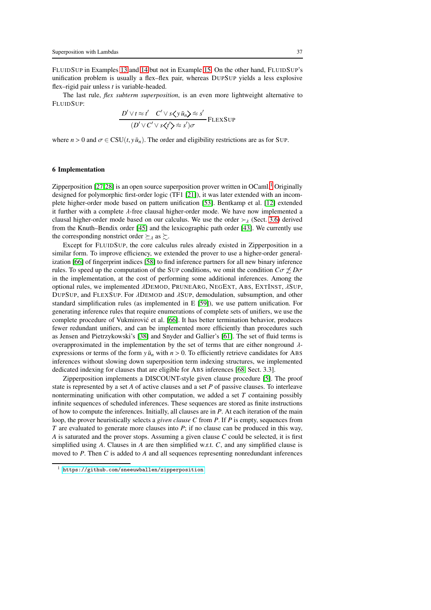FLUIDSUP in Examples [13](#page-8-1) and [14](#page-8-2) but not in Example [15.](#page-8-3) On the other hand, FLUIDSUP's unification problem is usually a flex–flex pair, whereas DUPSUP yields a less explosive flex–rigid pair unless *t* is variable-headed.

The last rule, *flex subterm superposition*, is an even more lightweight alternative to FLUIDSUP:

$$
\frac{D' \vee t \approx t' \quad C' \vee s \langle y \bar{u}_n \rangle \approx s'}{(D' \vee C' \vee s \langle t' \rangle \approx s')\sigma} \text{FLEXSup}
$$

where  $n > 0$  and  $\sigma \in \text{CSU}(t, y\bar{u}_n)$ . The order and eligibility restrictions are as for SUP.

## <span id="page-36-0"></span>6 Implementation

Zipperposition  $[27,28]$  $[27,28]$  is an open source superposition prover written in OCaml.<sup>[1](#page-36-1)</sup> Originally designed for polymorphic first-order logic (TF1 [\[21\]](#page-42-13)), it was later extended with an incomplete higher-order mode based on pattern unification [\[53\]](#page-43-18). Bentkamp et al. [\[12\]](#page-42-1) extended it further with a complete  $\lambda$ -free clausal higher-order mode. We have now implemented a clausal higher-order mode based on our calculus. We use the order  $\succ_{\lambda}$  (Sect. [3.6\)](#page-14-0) derived from the Knuth–Bendix order [\[45\]](#page-43-14) and the lexicographic path order [\[43\]](#page-43-15). We currently use the corresponding nonstrict order  $\succeq_{\lambda}$  as  $\succeq$ .

Except for FLUIDSUP, the core calculus rules already existed in Zipperposition in a similar form. To improve efficiency, we extended the prover to use a higher-order generalization [\[66\]](#page-44-6) of fingerprint indices [\[58\]](#page-44-8) to find inference partners for all new binary inference rules. To speed up the computation of the SUP conditions, we omit the condition  $C\sigma \not\preceq D\sigma$ in the implementation, at the cost of performing some additional inferences. Among the optional rules, we implemented  $\lambda$ DEMOD, PRUNEARG, NEGEXT, ABS, EXTINST,  $\lambda$ SUP, DUPSUP, and FLEXSUP. For λDEMOD and λSUP, demodulation, subsumption, and other standard simplification rules (as implemented in E [\[59\]](#page-44-0)), we use pattern unification. For generating inference rules that require enumerations of complete sets of unifiers, we use the complete procedure of Vukmirović et al. [\[66\]](#page-44-6). It has better termination behavior, produces fewer redundant unifiers, and can be implemented more efficiently than procedures such as Jensen and Pietrzykowski's [\[38\]](#page-43-12) and Snyder and Gallier's [\[61\]](#page-44-5). The set of fluid terms is overapproximated in the implementation by the set of terms that are either nonground  $\lambda$ expressions or terms of the form  $y\bar{u}_n$  with  $n > 0$ . To efficiently retrieve candidates for ABS inferences without slowing down superposition term indexing structures, we implemented dedicated indexing for clauses that are eligible for ABS inferences [\[68,](#page-44-4) Sect. 3.3].

Zipperposition implements a DISCOUNT-style given clause procedure [\[5\]](#page-42-14). The proof state is represented by a set *A* of active clauses and a set *P* of passive clauses. To interleave nonterminating unification with other computation, we added a set *T* containing possibly infinite sequences of scheduled inferences. These sequences are stored as finite instructions of how to compute the inferences. Initially, all clauses are in *P*. At each iteration of the main loop, the prover heuristically selects a *given clause C* from *P*. If *P* is empty, sequences from *T* are evaluated to generate more clauses into *P*; if no clause can be produced in this way, *A* is saturated and the prover stops. Assuming a given clause *C* could be selected, it is first simplified using *A*. Clauses in *A* are then simplified w.r.t. *C*, and any simplified clause is moved to *P*. Then *C* is added to *A* and all sequences representing nonredundant inferences

<span id="page-36-1"></span><https://github.com/sneeuwballen/zipperposition>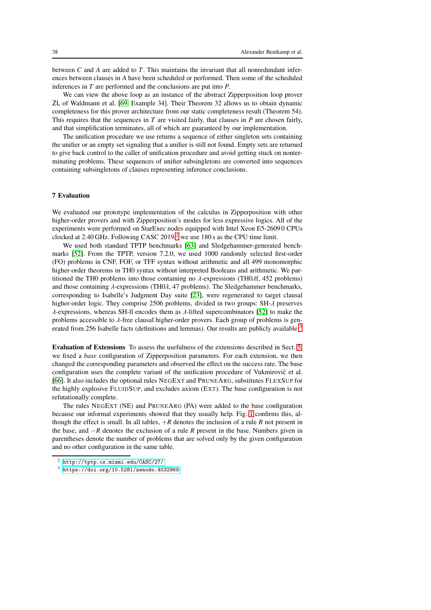between *C* and *A* are added to *T*. This maintains the invariant that all nonredundant inferences between clauses in *A* have been scheduled or performed. Then some of the scheduled inferences in *T* are performed and the conclusions are put into *P*.

We can view the above loop as an instance of the abstract Zipperposition loop prover ZL of Waldmann et al. [\[69,](#page-44-1) Example 34]. Their Theorem 32 allows us to obtain dynamic completeness for this prover architecture from our static completeness result (Theorem 54). This requires that the sequences in *T* are visited fairly, that clauses in *P* are chosen fairly, and that simplification terminates, all of which are guaranteed by our implementation.

The unification procedure we use returns a sequence of either singleton sets containing the unifier or an empty set signaling that a unifier is still not found. Empty sets are returned to give back control to the caller of unification procedure and avoid getting stuck on nonterminating problems. These sequences of unifier subsingletons are converted into sequences containing subsingletons of clauses representing inference conclusions.

## <span id="page-37-0"></span>7 Evaluation

We evaluated our prototype implementation of the calculus in Zipperposition with other higher-order provers and with Zipperposition's modes for less expressive logics. All of the experiments were performed on StarExec nodes equipped with Intel Xeon E5-2609 0 CPUs clocked at [2](#page-37-1).40 GHz. Following CASC 2019,<sup>2</sup> we use 180 s as the CPU time limit.

We used both standard TPTP benchmarks [\[63\]](#page-44-2) and Sledgehammer-generated benchmarks [\[52\]](#page-43-3). From the TPTP, version 7.2.0, we used 1000 randomly selected first-order (FO) problems in CNF, FOF, or TFF syntax without arithmetic and all 499 monomorphic higher-order theorems in TH0 syntax without interpreted Booleans and arithmetic. We partitioned the TH0 problems into those containing no  $\lambda$ -expressions (TH0 $\lambda$ f, 452 problems) and those containing  $\lambda$ -expressions (TH0 $\lambda$ , 47 problems). The Sledgehammer benchmarks, corresponding to Isabelle's Judgment Day suite [\[23\]](#page-42-4), were regenerated to target clausal higher-order logic. They comprise 2506 problems, divided in two groups:  $SH-\lambda$  preserves λ-expressions, whereas SH-ll encodes them as λ-lifted supercombinators [\[52\]](#page-43-3) to make the problems accessible to  $\lambda$ -free clausal higher-order provers. Each group of problems is gen-erated from 256 Isabelle facts (definitions and lemmas). Our results are publicly available.<sup>[3](#page-37-2)</sup>

Evaluation of Extensions To assess the usefulness of the extensions described in Sect. [5,](#page-31-0) we fixed a *base* configuration of Zipperposition parameters. For each extension, we then changed the corresponding parameters and observed the effect on the success rate. The base configuration uses the complete variant of the unification procedure of Vukmirovic et al. ´ [\[66\]](#page-44-6). It also includes the optional rules NEGEXT and PRUNEARG, substitutes FLEXSUP for the highly explosive FLUIDSUP, and excludes axiom (EXT). The base configuration is not refutationally complete.

The rules NEGEXT (NE) and PRUNEARG (PA) were added to the base configuration because our informal experiments showed that they usually help. Fig. [1](#page-38-0) confirms this, although the effect is small. In all tables,  $+R$  denotes the inclusion of a rule  $R$  not present in the base, and −*R* denotes the exclusion of a rule *R* present in the base. Numbers given in parentheses denote the number of problems that are solved only by the given configuration and no other configuration in the same table.

<sup>2</sup> <http://tptp.cs.miami.edu/CASC/27/>

<span id="page-37-2"></span><span id="page-37-1"></span> $3$  <https://doi.org/10.5281/zenodo.4032969>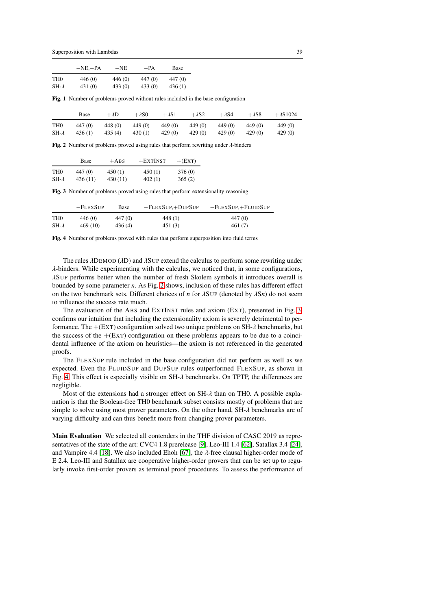Superposition with Lambdas 39

|                 | $-NE. - PA$ | $-NE$  | -PA     | Base    |
|-----------------|-------------|--------|---------|---------|
| TH <sub>0</sub> | 446 (0)     | 446(0) | 447 (0) | 447 (0) |
| $SH-\lambda$    | 431 (0)     | 433(0) | 433(0)  | 436(1)  |

<span id="page-38-0"></span>Fig. 1 Number of problems proved without rules included in the base configuration

|                 | Base    | $+\lambda D$ | $+\lambda$ SO | $+\lambda$ S1 | $+\lambda$ S2 | $+\lambda$ S4 | $+\lambda$ S8 | $+\lambda$ S1024 |
|-----------------|---------|--------------|---------------|---------------|---------------|---------------|---------------|------------------|
| TH <sub>0</sub> | 447 (0) | 448 (0)      | 449 (0)       | 449 (0)       | 449 (0)       | 449 (0)       | 449 (0)       | 449 (0)          |
| $SH-\lambda$    | 436(1)  | 435(4)       | 430(1)        | 429 (0)       | 429 (0)       | 429 (0)       | 429(0)        | 429(0)           |

<span id="page-38-1"></span>Fig. 2 Number of problems proved using rules that perform rewriting under  $\lambda$ -binders

|                 | Base     | $+$ ABS  | $+$ EXTINST | $+(EXT)$           |
|-----------------|----------|----------|-------------|--------------------|
| TH <sub>0</sub> | 447 (0)  | 450(1)   | 450(1)      | 376 <sub>(0)</sub> |
| $SH-\lambda$    | 436 (11) | 430 (11) | 402(1)      | 365(2)             |

<span id="page-38-2"></span>Fig. 3 Number of problems proved using rules that perform extensionality reasoning

|                 | $-$ FLEXSUP | Base    | $-FLEXSUP.+DUPSUP$ | $-FLEXSUP, +FLUIDSUP$ |
|-----------------|-------------|---------|--------------------|-----------------------|
| TH <sub>0</sub> | 446 (0)     | 447 (0) | 448(1)             | 447 (0)               |
| $SH-\lambda$    | 469 (10)    | 436(4)  | 451(3)             | 461(7)                |

<span id="page-38-3"></span>Fig. 4 Number of problems proved with rules that perform superposition into fluid terms

The rules  $\lambda$ DEMOD ( $\lambda$ D) and  $\lambda$ SUP extend the calculus to perform some rewriting under  $\lambda$ -binders. While experimenting with the calculus, we noticed that, in some configurations, λSUP performs better when the number of fresh Skolem symbols it introduces overall is bounded by some parameter *n*. As Fig. [2](#page-38-1) shows, inclusion of these rules has different effect on the two benchmark sets. Different choices of *n* for λSUP (denoted by λS*n*) do not seem to influence the success rate much.

The evaluation of the ABS and EXTINST rules and axiom (EXT), presented in Fig. [3,](#page-38-2) confirms our intuition that including the extensionality axiom is severely detrimental to performance. The  $+(EXT)$  configuration solved two unique problems on SH- $\lambda$  benchmarks, but the success of the  $+(EXT)$  configuration on these problems appears to be due to a coincidental influence of the axiom on heuristics—the axiom is not referenced in the generated proofs.

The FLEXSUP rule included in the base configuration did not perform as well as we expected. Even the FLUIDSUP and DUPSUP rules outperformed FLEXSUP, as shown in Fig. [4.](#page-38-3) This effect is especially visible on  $SH-\lambda$  benchmarks. On TPTP, the differences are negligible.

Most of the extensions had a stronger effect on  $SH-\lambda$  than on TH0. A possible explanation is that the Boolean-free TH0 benchmark subset consists mostly of problems that are simple to solve using most prover parameters. On the other hand,  $SH-\lambda$  benchmarks are of varying difficulty and can thus benefit more from changing prover parameters.

Main Evaluation We selected all contenders in the THF division of CASC 2019 as representatives of the state of the art: CVC4 1.8 prerelease [\[9\]](#page-42-15), Leo-III 1.4 [\[62\]](#page-44-7), Satallax 3.4 [\[24\]](#page-42-16), and Vampire 4.4 [\[18\]](#page-42-17). We also included Ehoh [\[67\]](#page-44-9), the  $\lambda$ -free clausal higher-order mode of E 2.4. Leo-III and Satallax are cooperative higher-order provers that can be set up to regularly invoke first-order provers as terminal proof procedures. To assess the performance of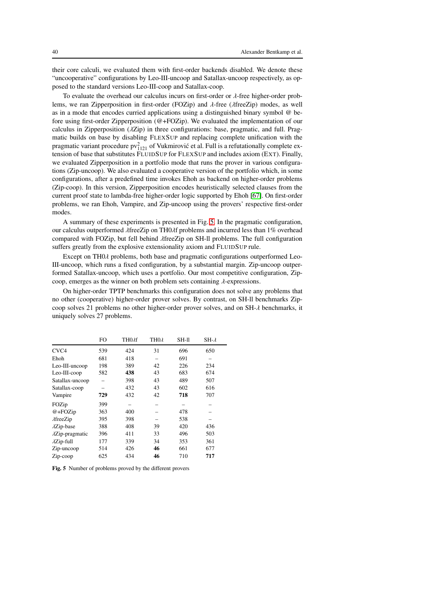their core calculi, we evaluated them with first-order backends disabled. We denote these "uncooperative" configurations by Leo-III-uncoop and Satallax-uncoop respectively, as opposed to the standard versions Leo-III-coop and Satallax-coop.

To evaluate the overhead our calculus incurs on first-order or  $\lambda$ -free higher-order problems, we ran Zipperposition in first-order (FOZip) and  $\lambda$ -free ( $\lambda$ freeZip) modes, as well as in a mode that encodes curried applications using a distinguished binary symbol @ before using first-order Zipperposition (@+FOZip). We evaluated the implementation of our calculus in Zipperposition (λZip) in three configurations: base, pragmatic, and full. Pragmatic builds on base by disabling FLEXSUP and replacing complete unification with the pragmatic variant procedure  $pv_{1121}^2$  of Vukmirović et al. Full is a refutationally complete extension of base that substitutes FLUIDSUP for FLEXSUP and includes axiom (EXT). Finally, we evaluated Zipperposition in a portfolio mode that runs the prover in various configurations (Zip-uncoop). We also evaluated a cooperative version of the portfolio which, in some configurations, after a predefined time invokes Ehoh as backend on higher-order problems (Zip-coop). In this version, Zipperposition encodes heuristically selected clauses from the current proof state to lambda-free higher-order logic supported by Ehoh [\[67\]](#page-44-9). On first-order problems, we ran Ehoh, Vampire, and Zip-uncoop using the provers' respective first-order modes.

A summary of these experiments is presented in Fig. [5.](#page-39-0) In the pragmatic configuration, our calculus outperformed λfreeZip on TH0λf problems and incurred less than 1% overhead compared with FOZip, but fell behind λfreeZip on SH-ll problems. The full configuration suffers greatly from the explosive extensionality axiom and FLUIDSUP rule.

Except on TH0 $\lambda$  problems, both base and pragmatic configurations outperformed Leo-III-uncoop, which runs a fixed configuration, by a substantial margin. Zip-uncoop outperformed Satallax-uncoop, which uses a portfolio. Our most competitive configuration, Zipcoop, emerges as the winner on both problem sets containing  $\lambda$ -expressions.

On higher-order TPTP benchmarks this configuration does not solve any problems that no other (cooperative) higher-order prover solves. By contrast, on SH-ll benchmarks Zipcoop solves 21 problems no other higher-order prover solves, and on SH-λ benchmarks, it uniquely solves 27 problems.

|                         | FO  | TH <sub>0</sub> xf | TH <sub>0</sub> | $SH-II$ | $SH-\lambda$ |
|-------------------------|-----|--------------------|-----------------|---------|--------------|
| CVC <sub>4</sub>        | 539 | 424                | 31              | 696     | 650          |
| Ehoh                    | 681 | 418                |                 | 691     |              |
| Leo-III-uncoop          | 198 | 389                | 42              | 226     | 234          |
| Leo-III-coop            | 582 | 438                | 43              | 683     | 674          |
| Satallax-uncoop         |     | 398                | 43              | 489     | 507          |
| Satallax-coop           |     | 432                | 43              | 602     | 616          |
| Vampire                 | 729 | 432                | 42              | 718     | 707          |
| FOZip                   | 399 |                    |                 |         |              |
| $@+FOZip$               | 363 | 400                |                 | 478     |              |
| $\lambda$ freeZip       | 395 | 398                |                 | 538     |              |
| $\lambda$ Zip-base      | 388 | 408                | 39              | 420     | 436          |
| $\lambda$ Zip-pragmatic | 396 | 411                | 33              | 496     | 503          |
| $\lambda$ Zip-full      | 177 | 339                | 34              | 353     | 361          |
| Zip-uncoop              | 514 | 426                | 46              | 661     | 677          |
| Zip-coop                | 625 | 434                | 46              | 710     | 717          |

<span id="page-39-0"></span>Fig. 5 Number of problems proved by the different provers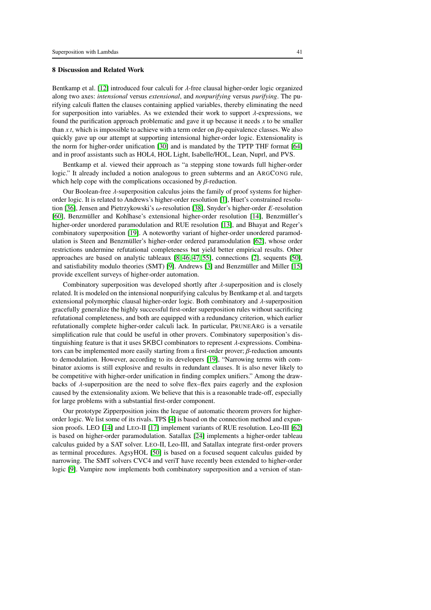## <span id="page-40-0"></span>8 Discussion and Related Work

Bentkamp et al. [\[12\]](#page-42-1) introduced four calculi for  $\lambda$ -free clausal higher-order logic organized along two axes: *intensional* versus *extensional*, and *nonpurifying* versus *purifying*. The purifying calculi flatten the clauses containing applied variables, thereby eliminating the need for superposition into variables. As we extended their work to support  $\lambda$ -expressions, we found the purification approach problematic and gave it up because it needs *x* to be smaller than *x t*, which is impossible to achieve with a term order on  $\beta$ *η*-equivalence classes. We also quickly gave up our attempt at supporting intensional higher-order logic. Extensionality is the norm for higher-order unification [\[30\]](#page-43-19) and is mandated by the TPTP THF format [\[64\]](#page-44-3) and in proof assistants such as HOL4, HOL Light, Isabelle/HOL, Lean, Nuprl, and PVS.

Bentkamp et al. viewed their approach as "a stepping stone towards full higher-order logic." It already included a notion analogous to green subterms and an ARGCONG rule, which help cope with the complications occasioned by  $\beta$ -reduction.

Our Boolean-free  $\lambda$ -superposition calculus joins the family of proof systems for higherorder logic. It is related to Andrews's higher-order resolution [\[1\]](#page-42-18), Huet's constrained resolution [\[36\]](#page-43-20), Jensen and Pietrzykowski's ω-resolution [\[38\]](#page-43-12), Snyder's higher-order *E*-resolution [\[60\]](#page-44-10), Benzmüller and Kohlhase's extensional higher-order resolution [\[14\]](#page-42-3), Benzmüller's higher-order unordered paramodulation and RUE resolution [\[13\]](#page-42-19), and Bhayat and Reger's combinatory superposition [\[19\]](#page-42-12). A noteworthy variant of higher-order unordered paramodulation is Steen and Benzmüller's higher-order ordered paramodulation [\[62\]](#page-44-7), whose order restrictions undermine refutational completeness but yield better empirical results. Other approaches are based on analytic tableaux [\[8,](#page-42-20) [46,](#page-43-21) [47,](#page-43-22) [55\]](#page-43-23), connections [\[2\]](#page-42-21), sequents [\[50\]](#page-43-24), and satisfiability modulo theories (SMT) [\[9\]](#page-42-15). Andrews [\[3\]](#page-42-22) and Benzmüller and Miller [\[15\]](#page-42-7) provide excellent surveys of higher-order automation.

Combinatory superposition was developed shortly after  $\lambda$ -superposition and is closely related. It is modeled on the intensional nonpurifying calculus by Bentkamp et al. and targets extensional polymorphic clausal higher-order logic. Both combinatory and  $\lambda$ -superposition gracefully generalize the highly successful first-order superposition rules without sacrificing refutational completeness, and both are equipped with a redundancy criterion, which earlier refutationally complete higher-order calculi lack. In particular, PRUNEARG is a versatile simplification rule that could be useful in other provers. Combinatory superposition's distinguishing feature is that it uses SKBCI combinators to represent  $\lambda$ -expressions. Combinators can be implemented more easily starting from a first-order prover;  $\beta$ -reduction amounts to demodulation. However, according to its developers [\[19\]](#page-42-12), "Narrowing terms with combinator axioms is still explosive and results in redundant clauses. It is also never likely to be competitive with higher-order unification in finding complex unifiers." Among the drawbacks of  $\lambda$ -superposition are the need to solve flex–flex pairs eagerly and the explosion caused by the extensionality axiom. We believe that this is a reasonable trade-off, especially for large problems with a substantial first-order component.

Our prototype Zipperposition joins the league of automatic theorem provers for higherorder logic. We list some of its rivals. TPS [\[4\]](#page-42-23) is based on the connection method and expansion proofs. LEO [\[14\]](#page-42-3) and LEO-II [\[17\]](#page-42-24) implement variants of RUE resolution. Leo-III [\[62\]](#page-44-7) is based on higher-order paramodulation. Satallax [\[24\]](#page-42-16) implements a higher-order tableau calculus guided by a SAT solver. LEO-II, Leo-III, and Satallax integrate first-order provers as terminal procedures. AgsyHOL [\[50\]](#page-43-24) is based on a focused sequent calculus guided by narrowing. The SMT solvers CVC4 and veriT have recently been extended to higher-order logic [\[9\]](#page-42-15). Vampire now implements both combinatory superposition and a version of stan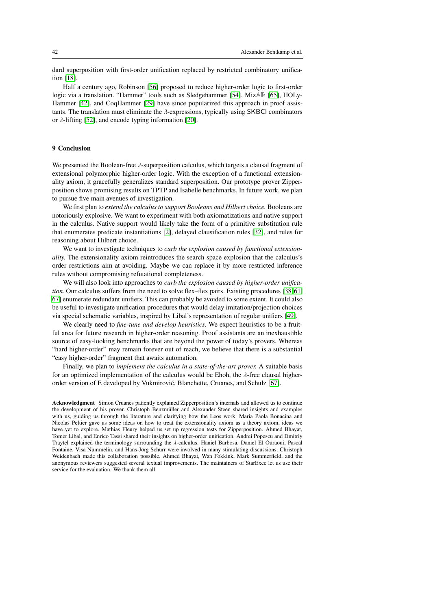dard superposition with first-order unification replaced by restricted combinatory unification [\[18\]](#page-42-17).

Half a century ago, Robinson [\[56\]](#page-43-25) proposed to reduce higher-order logic to first-order logic via a translation. "Hammer" tools such as Sledgehammer [\[54\]](#page-43-26), MizAR [\[65\]](#page-44-11), HOLy-Hammer [\[42\]](#page-43-27), and CoqHammer [\[29\]](#page-43-28) have since popularized this approach in proof assistants. The translation must eliminate the  $\lambda$ -expressions, typically using SKBCI combinators or  $\lambda$ -lifting [\[52\]](#page-43-3), and encode typing information [\[20\]](#page-42-25).

## 9 Conclusion

We presented the Boolean-free λ-superposition calculus, which targets a clausal fragment of extensional polymorphic higher-order logic. With the exception of a functional extensionality axiom, it gracefully generalizes standard superposition. Our prototype prover Zipperposition shows promising results on TPTP and Isabelle benchmarks. In future work, we plan to pursue five main avenues of investigation.

We first plan to *extend the calculus to support Booleans and Hilbert choice.* Booleans are notoriously explosive. We want to experiment with both axiomatizations and native support in the calculus. Native support would likely take the form of a primitive substitution rule that enumerates predicate instantiations [\[2\]](#page-42-21), delayed clausification rules [\[32\]](#page-43-29), and rules for reasoning about Hilbert choice.

We want to investigate techniques to *curb the explosion caused by functional extensionality.* The extensionality axiom reintroduces the search space explosion that the calculus's order restrictions aim at avoiding. Maybe we can replace it by more restricted inference rules without compromising refutational completeness.

We will also look into approaches to *curb the explosion caused by higher-order unification.* Our calculus suffers from the need to solve flex–flex pairs. Existing procedures [\[38,](#page-43-12)[61,](#page-44-5) [67\]](#page-44-9) enumerate redundant unifiers. This can probably be avoided to some extent. It could also be useful to investigate unification procedures that would delay imitation/projection choices via special schematic variables, inspired by Libal's representation of regular unifiers [\[49\]](#page-43-30).

We clearly need to *fine-tune and develop heuristics.* We expect heuristics to be a fruitful area for future research in higher-order reasoning. Proof assistants are an inexhaustible source of easy-looking benchmarks that are beyond the power of today's provers. Whereas "hard higher-order" may remain forever out of reach, we believe that there is a substantial "easy higher-order" fragment that awaits automation.

Finally, we plan to *implement the calculus in a state-of-the-art prover.* A suitable basis for an optimized implementation of the calculus would be Ehoh, the  $\lambda$ -free clausal higherorder version of E developed by Vukmirovic, Blanchette, Cruanes, and Schulz [\[67\]](#page-44-9). ´

Acknowledgment Simon Cruanes patiently explained Zipperposition's internals and allowed us to continue the development of his prover. Christoph Benzmüller and Alexander Steen shared insights and examples with us, guiding us through the literature and clarifying how the Leos work. Maria Paola Bonacina and Nicolas Peltier gave us some ideas on how to treat the extensionality axiom as a theory axiom, ideas we have yet to explore. Mathias Fleury helped us set up regression tests for Zipperposition. Ahmed Bhayat, Tomer Libal, and Enrico Tassi shared their insights on higher-order unification. Andrei Popescu and Dmitriy Traytel explained the terminology surrounding the λ-calculus. Haniel Barbosa, Daniel El Ouraoui, Pascal Fontaine, Visa Nummelin, and Hans-Jörg Schurr were involved in many stimulating discussions. Christoph Weidenbach made this collaboration possible. Ahmed Bhayat, Wan Fokkink, Mark Summerfield, and the anonymous reviewers suggested several textual improvements. The maintainers of StarExec let us use their service for the evaluation. We thank them all.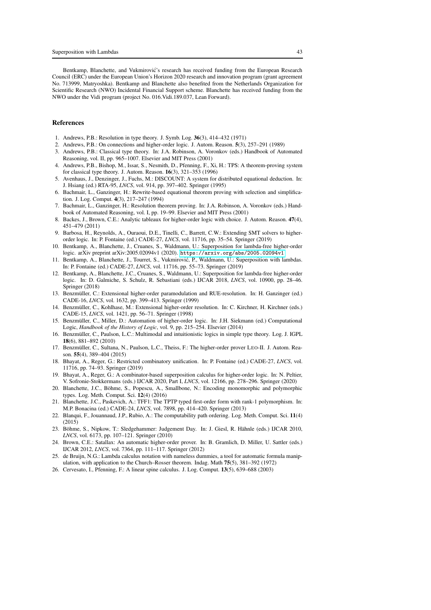Bentkamp, Blanchette, and Vukmirović's research has received funding from the European Research Council (ERC) under the European Union's Horizon 2020 research and innovation program (grant agreement No. 713999, Matryoshka). Bentkamp and Blanchette also benefited from the Netherlands Organization for Scientific Research (NWO) Incidental Financial Support scheme. Blanchette has received funding from the NWO under the Vidi program (project No. 016.Vidi.189.037, Lean Forward).

## References

- <span id="page-42-21"></span><span id="page-42-18"></span>1. Andrews, P.B.: Resolution in type theory. J. Symb. Log. 36(3), 414–432 (1971)
- <span id="page-42-22"></span>2. Andrews, P.B.: On connections and higher-order logic. J. Autom. Reason. 5(3), 257–291 (1989)
- 3. Andrews, P.B.: Classical type theory. In: J.A. Robinson, A. Voronkov (eds.) Handbook of Automated Reasoning, vol. II, pp. 965–1007. Elsevier and MIT Press (2001)
- <span id="page-42-23"></span>4. Andrews, P.B., Bishop, M., Issar, S., Nesmith, D., Pfenning, F., Xi, H.: TPS: A theorem-proving system for classical type theory. J. Autom. Reason. 16(3), 321–353 (1996)
- <span id="page-42-14"></span>5. Avenhaus, J., Denzinger, J., Fuchs, M.: DISCOUNT: A system for distributed equational deduction. In: J. Hsiang (ed.) RTA-95, *LNCS*, vol. 914, pp. 397–402. Springer (1995)
- <span id="page-42-0"></span>6. Bachmair, L., Ganzinger, H.: Rewrite-based equational theorem proving with selection and simplification. J. Log. Comput. 4(3), 217–247 (1994)
- <span id="page-42-11"></span>7. Bachmair, L., Ganzinger, H.: Resolution theorem proving. In: J.A. Robinson, A. Voronkov (eds.) Handbook of Automated Reasoning, vol. I, pp. 19–99. Elsevier and MIT Press (2001)
- <span id="page-42-20"></span>8. Backes, J., Brown, C.E.: Analytic tableaux for higher-order logic with choice. J. Autom. Reason. 47(4), 451–479 (2011)
- <span id="page-42-15"></span>9. Barbosa, H., Reynolds, A., Ouraoui, D.E., Tinelli, C., Barrett, C.W.: Extending SMT solvers to higherorder logic. In: P. Fontaine (ed.) CADE-27, *LNCS*, vol. 11716, pp. 35–54. Springer (2019)
- <span id="page-42-9"></span>10. Bentkamp, A., Blanchette, J., Cruanes, S., Waldmann, U.: Superposition for lambda-free higher-order logic. arXiv preprint arXiv:2005.02094v1 (2020). <https://arxiv.org/abs/2005.02094v1>
- <span id="page-42-5"></span>11. Bentkamp, A., Blanchette, J., Tourret, S., Vukmirovic, P., Waldmann, U.: Superposition with lambdas. ´ In: P. Fontaine (ed.) CADE-27, *LNCS*, vol. 11716, pp. 55–73. Springer (2019)
- <span id="page-42-1"></span>12. Bentkamp, A., Blanchette, J.C., Cruanes, S., Waldmann, U.: Superposition for lambda-free higher-order logic. In: D. Galmiche, S. Schulz, R. Sebastiani (eds.) IJCAR 2018, *LNCS*, vol. 10900, pp. 28–46. Springer (2018)
- <span id="page-42-19"></span>13. Benzmüller, C.: Extensional higher-order paramodulation and RUE-resolution. In: H. Ganzinger (ed.) CADE-16, *LNCS*, vol. 1632, pp. 399–413. Springer (1999)
- <span id="page-42-3"></span>14. Benzmüller, C., Kohlhase, M.: Extensional higher-order resolution. In: C. Kirchner, H. Kirchner (eds.) CADE-15, *LNCS*, vol. 1421, pp. 56–71. Springer (1998)
- <span id="page-42-7"></span>15. Benzmüller, C., Miller, D.: Automation of higher-order logic. In: J.H. Siekmann (ed.) Computational Logic, *Handbook of the History of Logic*, vol. 9, pp. 215–254. Elsevier (2014)
- <span id="page-42-6"></span>16. Benzmüller, C., Paulson, L.C.: Multimodal and intuitionistic logics in simple type theory. Log. J. IGPL 18(6), 881–892 (2010)
- <span id="page-42-24"></span>17. Benzmüller, C., Sultana, N., Paulson, L.C., Theiss, F.: The higher-order prover LEO-II. J. Autom. Reason. 55(4), 389–404 (2015)
- <span id="page-42-17"></span>18. Bhayat, A., Reger, G.: Restricted combinatory unification. In: P. Fontaine (ed.) CADE-27, *LNCS*, vol. 11716, pp. 74–93. Springer (2019)
- <span id="page-42-12"></span>19. Bhayat, A., Reger, G.: A combinator-based superposition calculus for higher-order logic. In: N. Peltier, V. Sofronie-Stokkermans (eds.) IJCAR 2020, Part I, *LNCS*, vol. 12166, pp. 278–296. Springer (2020)
- <span id="page-42-25"></span>20. Blanchette, J.C., Böhme, S., Popescu, A., Smallbone, N.: Encoding monomorphic and polymorphic types. Log. Meth. Comput. Sci. 12(4) (2016)
- <span id="page-42-13"></span>21. Blanchette, J.C., Paskevich, A.: TFF1: The TPTP typed first-order form with rank-1 polymorphism. In: M.P. Bonacina (ed.) CADE-24, *LNCS*, vol. 7898, pp. 414–420. Springer (2013)
- <span id="page-42-2"></span>22. Blanqui, F., Jouannaud, J.P., Rubio, A.: The computability path ordering. Log. Meth. Comput. Sci. 11(4) (2015)
- <span id="page-42-4"></span>23. Böhme, S., Nipkow, T.: Sledgehammer: Judgement Day. In: J. Giesl, R. Hähnle (eds.) IJCAR 2010, *LNCS*, vol. 6173, pp. 107–121. Springer (2010)
- <span id="page-42-16"></span>24. Brown, C.E.: Satallax: An automatic higher-order prover. In: B. Gramlich, D. Miller, U. Sattler (eds.) IJCAR 2012, *LNCS*, vol. 7364, pp. 111–117. Springer (2012)
- <span id="page-42-10"></span>25. de Bruijn, N.G.: Lambda calculus notation with nameless dummies, a tool for automatic formula manipulation, with application to the Church–Rosser theorem. Indag. Math 75(5), 381–392 (1972)
- <span id="page-42-8"></span>26. Cervesato, I., Pfenning, F.: A linear spine calculus. J. Log. Comput. 13(5), 639–688 (2003)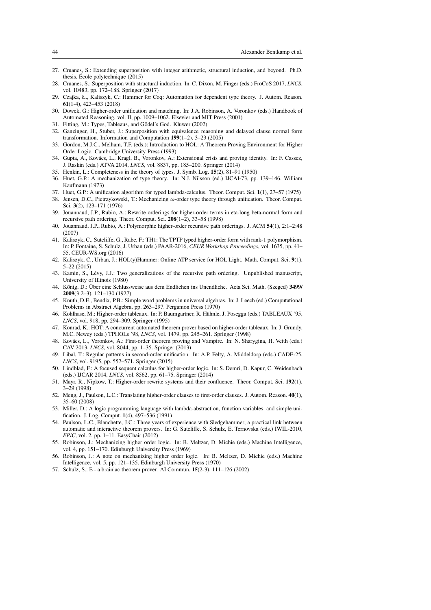- <span id="page-43-17"></span>27. Cruanes, S.: Extending superposition with integer arithmetic, structural induction, and beyond. Ph.D. thesis, École polytechnique (2015)
- <span id="page-43-5"></span>28. Cruanes, S.: Superposition with structural induction. In: C. Dixon, M. Finger (eds.) FroCoS 2017, *LNCS*, vol. 10483, pp. 172–188. Springer (2017)
- <span id="page-43-28"></span>29. Czajka, Ł., Kaliszyk, C.: Hammer for Coq: Automation for dependent type theory. J. Autom. Reason. 61(1-4), 423–453 (2018)
- <span id="page-43-19"></span>30. Dowek, G.: Higher-order unification and matching. In: J.A. Robinson, A. Voronkov (eds.) Handbook of Automated Reasoning, vol. II, pp. 1009–1062. Elsevier and MIT Press (2001)
- <span id="page-43-29"></span><span id="page-43-8"></span>31. Fitting, M.: Types, Tableaus, and Gödel's God. Kluwer (2002)
- 32. Ganzinger, H., Stuber, J.: Superposition with equivalence reasoning and delayed clause normal form transformation. Information and Computation 199(1–2), 3–23 (2005)
- <span id="page-43-10"></span>33. Gordon, M.J.C., Melham, T.F. (eds.): Introduction to HOL: A Theorem Proving Environment for Higher Order Logic. Cambridge University Press (1993)
- <span id="page-43-4"></span>34. Gupta, A., Kovács, L., Kragl, B., Voronkov, A.: Extensional crisis and proving identity. In: F. Cassez, J. Raskin (eds.) ATVA 2014, *LNCS*, vol. 8837, pp. 185–200. Springer (2014)
- <span id="page-43-20"></span><span id="page-43-9"></span>35. Henkin, L.: Completeness in the theory of types. J. Symb. Log. 15(2), 81–91 (1950)
- 36. Huet, G.P.: A mechanization of type theory. In: N.J. Nilsson (ed.) IJCAI-73, pp. 139–146. William Kaufmann (1973)
- <span id="page-43-12"></span><span id="page-43-2"></span>37. Huet, G.P.: A unification algorithm for typed lambda-calculus. Theor. Comput. Sci. 1(1), 27–57 (1975)
- 38. Jensen, D.C., Pietrzykowski, T.: Mechanizing ω-order type theory through unification. Theor. Comput. Sci. 3(2), 123–171 (1976)
- <span id="page-43-1"></span>39. Jouannaud, J.P., Rubio, A.: Rewrite orderings for higher-order terms in eta-long beta-normal form and recursive path ordering. Theor. Comput. Sci. 208(1–2), 33–58 (1998)
- <span id="page-43-0"></span>40. Jouannaud, J.P., Rubio, A.: Polymorphic higher-order recursive path orderings. J. ACM 54(1), 2:1–2:48 (2007)
- <span id="page-43-7"></span>41. Kaliszyk, C., Sutcliffe, G., Rabe, F.: TH1: The TPTP typed higher-order form with rank-1 polymorphism. In: P. Fontaine, S. Schulz, J. Urban (eds.) PAAR-2016, *CEUR Workshop Proceedings*, vol. 1635, pp. 41– 55. CEUR-WS.org (2016)
- <span id="page-43-27"></span>42. Kaliszyk, C., Urban, J.: HOL(y)Hammer: Online ATP service for HOL Light. Math. Comput. Sci. 9(1), 5–22 (2015)
- <span id="page-43-15"></span>43. Kamin, S., Lévy, J.J.: Two generalizations of the recursive path ordering. Unpublished manuscript, University of Illinois (1980)
- <span id="page-43-16"></span>44. Kőnig, D.: Über eine Schlussweise aus dem Endlichen ins Unendliche. Acta Sci. Math. (Szeged) 3499/ 2009(3:2–3), 121–130 (1927)
- <span id="page-43-14"></span>45. Knuth, D.E., Bendix, P.B.: Simple word problems in universal algebras. In: J. Leech (ed.) Computational Problems in Abstract Algebra, pp. 263–297. Pergamon Press (1970)
- <span id="page-43-21"></span>46. Kohlhase, M.: Higher-order tableaux. In: P. Baumgartner, R. Hähnle, J. Posegga (eds.) TABLEAUX '95, *LNCS*, vol. 918, pp. 294–309. Springer (1995)
- <span id="page-43-22"></span>47. Konrad, K.: HOT: A concurrent automated theorem prover based on higher-order tableaux. In: J. Grundy, M.C. Newey (eds.) TPHOLs '98, *LNCS*, vol. 1479, pp. 245–261. Springer (1998)
- <span id="page-43-6"></span>48. Kovács, L., Voronkov, A.: First-order theorem proving and Vampire. In: N. Sharygina, H. Veith (eds.) CAV 2013, *LNCS*, vol. 8044, pp. 1–35. Springer (2013)
- <span id="page-43-30"></span>49. Libal, T.: Regular patterns in second-order unification. In: A.P. Felty, A. Middeldorp (eds.) CADE-25, *LNCS*, vol. 9195, pp. 557–571. Springer (2015)
- <span id="page-43-24"></span>50. Lindblad, F.: A focused sequent calculus for higher-order logic. In: S. Demri, D. Kapur, C. Weidenbach (eds.) IJCAR 2014, *LNCS*, vol. 8562, pp. 61–75. Springer (2014)
- <span id="page-43-11"></span>51. Mayr, R., Nipkow, T.: Higher-order rewrite systems and their confluence. Theor. Comput. Sci. 192(1), 3–29 (1998)
- <span id="page-43-3"></span>52. Meng, J., Paulson, L.C.: Translating higher-order clauses to first-order clauses. J. Autom. Reason. 40(1), 35–60 (2008)
- <span id="page-43-18"></span>53. Miller, D.: A logic programming language with lambda-abstraction, function variables, and simple unification. J. Log. Comput. 1(4), 497–536 (1991)
- <span id="page-43-26"></span>54. Paulson, L.C., Blanchette, J.C.: Three years of experience with Sledgehammer, a practical link between automatic and interactive theorem provers. In: G. Sutcliffe, S. Schulz, E. Ternovska (eds.) IWIL-2010, *EPiC*, vol. 2, pp. 1–11. EasyChair (2012)
- <span id="page-43-23"></span>55. Robinson, J.: Mechanizing higher order logic. In: B. Meltzer, D. Michie (eds.) Machine Intelligence, vol. 4, pp. 151–170. Edinburgh University Press (1969)
- <span id="page-43-25"></span>56. Robinson, J.: A note on mechanizing higher order logic. In: B. Meltzer, D. Michie (eds.) Machine Intelligence, vol. 5, pp. 121–135. Edinburgh University Press (1970)
- <span id="page-43-13"></span>57. Schulz, S.: E - a brainiac theorem prover. AI Commun. 15(2-3), 111–126 (2002)